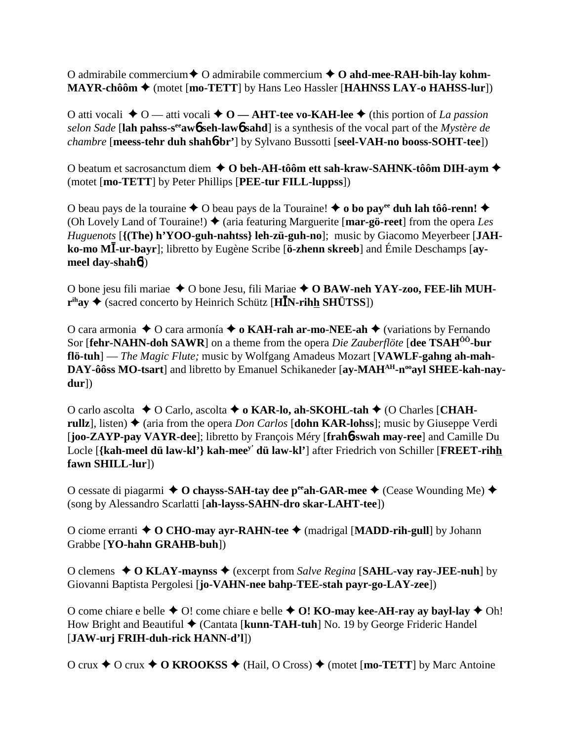O admirabile commercium **←** O admirabile commercium **← O ahd-mee-RAH-bih-lay kohm-MAYR-chôôm ♦** (motet [**mo-TETT**] by Hans Leo Hassler [**HAHNSS LAY-o HAHSS-lur**])

O atti vocali **→** O — atti vocali ◆ O — AHT-tee vo-KAH-lee ◆ (this portion of *La passion selon Sade* [**lah pahss-seeaw**6 **seh-law**6 **sahd**] is a synthesis of the vocal part of the *Mystère de chambre* [**meess-tehr duh shah**6**-br'**] by Sylvano Bussotti [**seel-VAH-no booss-SOHT-tee**])

O beatum et sacrosanctum diem **O beh-AH-tôôm ett sah-kraw-SAHNK-tôôm DIH-aym** (motet [**mo-TETT**] by Peter Phillips [**PEE-tur FILL-luppss**])

O beau pays de la touraine  $\triangle$  O beau pays de la Touraine!  $\triangle$  o bo pay<sup>ee</sup> duh lah tôô-renn!  $\triangle$ (Oh Lovely Land of Touraine!)  $\triangle$  (aria featuring Marguerite [**mar-gö-reet**] from the opera *Les Huguenots* [**{(The) h'YOO-guh-nahtss} leh-zü-guh-no**]; music by Giacomo Meyerbeer [**JAHko-mo M-ur-bayr**]; libretto by Eugène Scribe [**ö-zhenn skreeb**] and Émile Deschamps [**aymeel day-shah**6])

O bone jesu fili mariae ◆ O bone Jesu, fili Mariae ◆ O BAW-neh YAY-zoo, FEE-lih MUH**r**<sup>ih</sup>ay ♦ (sacred concerto by Heinrich Schütz [**HI**N-rihh SHÜTSS])

O cara armonia **→** O cara armonía **→ o KAH-rah ar-mo-NEE-ah →** (variations by Fernando Sor [**fehr-NAHN-doh SAWR**] on a theme from the opera *Die Zauberflöte* [**dee TSAHÔÔ-bur flö-tuh**] — *The Magic Flute;* music by Wolfgang Amadeus Mozart [**VAWLF-gahng ah-mah-**DAY-ôôss MO-tsart] and libretto by Emanuel Schikaneder [ay-MAH<sup>AH</sup>-n<sup>oo</sup>ayl SHEE-kah-nay**dur**])

O carlo ascolta **→** O Carlo, ascolta → **o KAR-lo, ah-SKOHL-tah** → (O Charles [CHAH**rullz**, listen)  $\triangle$  (aria from the opera *Don Carlos* [**dohn KAR-lohss**]; music by Giuseppe Verdi [**joo-ZAYP-pay VAYR-dee**]; libretto by François Méry [**frah**6**-swah may-ree**] and Camille Du Locle [**{kah-meel dü law-kl'} kah-meey' dü law-kl'**] after Friedrich von Schiller [**FREET-rihh fawn SHILL-lur**])

O cessate di piagarmi **→ O chayss-SAH-tay dee p<sup>ee</sup>ah-GAR-mee →** (Cease Wounding Me) ◆ (song by Alessandro Scarlatti [**ah-layss-SAHN-dro skar-LAHT-tee**])

O ciome erranti **O CHO-may ayr-RAHN-tee** (madrigal [**MADD-rih-gull**] by Johann Grabbe [**YO-hahn GRAHB-buh**])

O clemens  $\triangle$  O KLAY-maynss  $\triangle$  (excerpt from *Salve Regina* [SAHL-vay ray-JEE-nuh] by Giovanni Baptista Pergolesi [**jo-VAHN-nee bahp-TEE-stah payr-go-LAY-zee**])

O come chiare e belle  $\triangle$  O! come chiare e belle  $\triangle$  O! **KO-may kee-AH-ray ay bayl-lay**  $\triangle$  Oh! How Bright and Beautiful **→** (Cantata [**kunn-TAH-tuh**] No. 19 by George Frideric Handel [**JAW-urj FRIH-duh-rick HANN-d'l**])

O crux  $\triangle$  O crux  $\triangle$  O **KROOKSS**  $\triangle$  (Hail, O Cross)  $\triangle$  (motet [**mo-TETT**] by Marc Antoine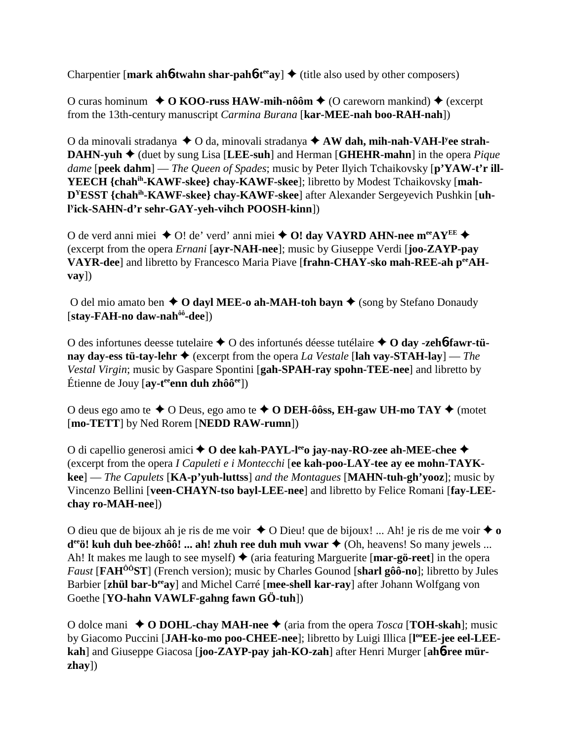Charpentier [mark ah**6**-twahn shar-pah**6**-t<sup>ee</sup>ay]  $\triangle$  (title also used by other composers)

O curas hominum  $\rightarrow$  O KOO-russ HAW-mih-nôôm  $\rightarrow$  (O careworn mankind)  $\rightarrow$  (excerpt from the 13th-century manuscript *Carmina Burana* [**kar-MEE-nah boo-RAH-nah**])

O da minovali stradanya ◆ O da, minovali stradanya ◆ AW dah, mih-nah-VAH-l<sup>y</sup>ee strah-**DAHN-yuh ♦** (duet by sung Lisa [LEE-suh] and Herman [GHEHR-mahn] in the opera *Pique dame* [**peek dahm**] — *The Queen of Spades*; music by Peter Ilyich Tchaikovsky [**p'YAW-t'r ill-YEECH {chahih-KAWF-skee} chay-KAWF-skee**]; libretto by Modest Tchaikovsky [**mah-DYESST {chahih-KAWF-skee} chay-KAWF-skee**] after Alexander Sergeyevich Pushkin [**uhl y ick-SAHN-d'r sehr-GAY-yeh-vihch POOSH-kinn**])

O de verd anni miei **→** O! de' verd' anni miei **→ O! day VAYRD AHN-nee m<sup>ee</sup>AY<sup>EE</sup> →** (excerpt from the opera *Ernani* [**ayr-NAH-nee**]; music by Giuseppe Verdi [**joo-ZAYP-pay** VAYR-deel and libretto by Francesco Maria Piave [frahn-CHAY-sko mah-REE-ah peeAH**vay**])

O del mio amato ben  $\triangle$  O dayl MEE-o ah-MAH-toh bayn  $\triangle$  (song by Stefano Donaudy [**stay-FAH-no daw-nahôô-dee**])

O des infortunes deesse tutelaire O des infortunés déesse tutélaire **O day -zeh**6**-fawr-tünay day-ess tü-tay-lehr**  $\triangle$  (excerpt from the opera *La Vestale* [lah vay-STAH-lay] — *The Vestal Virgin*; music by Gaspare Spontini [**gah-SPAH-ray spohn-TEE-nee**] and libretto by Étienne de Jouy [**ay-teeenn duh zhôôee**])

O deus ego amo te  $\triangle$  O Deus, ego amo te  $\triangle$  O **DEH-ôôss, EH-gaw UH-mo TAY**  $\triangle$  (motet [**mo-TETT**] by Ned Rorem [**NEDD RAW-rumn**])

O di capellio generosi amici **→ O dee kah-PAYL-l<sup>ee</sup>o jay-nay-RO-zee ah-MEE-chee →** (excerpt from the opera *I Capuleti e i Montecchi* [**ee kah-poo-LAY-tee ay ee mohn-TAYKkee**] — *The Capulets* [**KA-p'yuh-luttss**] *and the Montagues* [**MAHN-tuh-gh'yooz**]; music by Vincenzo Bellini [**veen-CHAYN-tso bayl-LEE-nee**] and libretto by Felice Romani [**fay-LEEchay ro-MAH-nee**])

O dieu que de bijoux ah je ris de me voir  $\triangle$  O Dieu! que de bijoux! ... Ah! je ris de me voir  $\triangle$  o **d<sup>ee</sup>ö! kuh duh bee-zhôô! ... ah! zhuh ree duh muh vwar ◆ (Oh, heavens! So many jewels ...** Ah! It makes me laugh to see myself)  $\triangle$  (aria featuring Marguerite [**mar-gö-reet**] in the opera *Faust* [**FAHÔÔST**] (French version); music by Charles Gounod [**sharl gôô-no**]; libretto by Jules Barbier [**zhül bar-beeay**] and Michel Carré [**mee-shell kar-ray**] after Johann Wolfgang von Goethe [**YO-hahn VAWLF-gahng fawn GÖ-tuh**])

O dolce mani  $\triangle$  O DOHL-chay MAH-nee  $\triangle$  (aria from the opera *Tosca* [**TOH-skah**]; music by Giacomo Puccini [JAH-ko-mo poo-CHEE-nee]; libretto by Luigi Illica [l<sup>oo</sup>EE-jee eel-LEE**kah**] and Giuseppe Giacosa [**joo-ZAYP-pay jah-KO-zah**] after Henri Murger [**ah**6**-ree mürzhay**])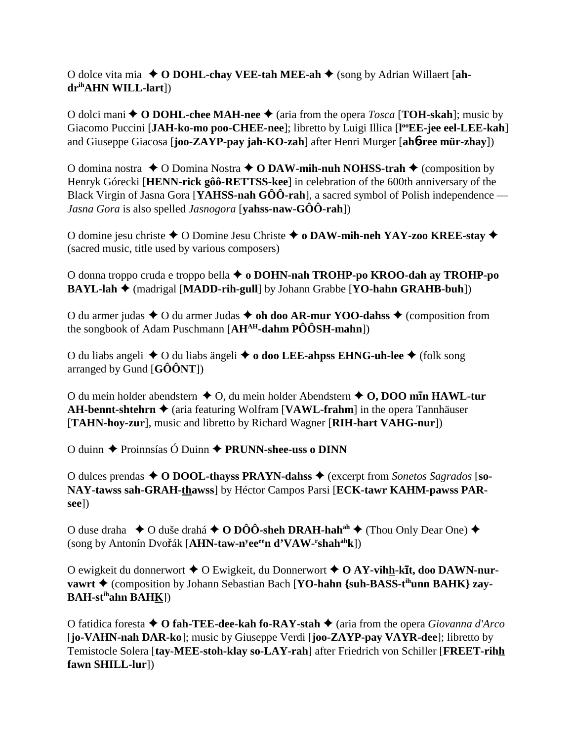O dolce vita mia **O DOHL-chay VEE-tah MEE-ah** (song by Adrian Willaert [**ahdrihAHN WILL-lart**])

O dolci mani  $\triangle$  O DOHL-chee MAH-nee  $\triangle$  (aria from the opera *Tosca* [TOH-skah]; music by Giacomo Puccini [JAH-ko-mo poo-CHEE-nee]; libretto by Luigi Illica [l<sup>oo</sup>EE-jee eel-LEE-kah] and Giuseppe Giacosa [**joo-ZAYP-pay jah-KO-zah**] after Henri Murger [**ah**6**-ree mür-zhay**])

O domina nostra  $\triangle$  O Domina Nostra  $\triangle$  O DAW-mih-nuh NOHSS-trah  $\triangle$  (composition by Henryk Górecki [**HENN-rick gôô-RETTSS-kee**] in celebration of the 600th anniversary of the Black Virgin of Jasna Gora [**YAHSS-nah GÔÔ-rah**], a sacred symbol of Polish independence — *Jasna Gora* is also spelled *Jasnogora* [**yahss-naw-GÔÔ-rah**])

O domine jesu christe **←** O Domine Jesu Christe ← o DAW-mih-neh YAY-zoo KREE-stay ← (sacred music, title used by various composers)

O donna troppo cruda e troppo bella **o DOHN-nah TROHP-po KROO-dah ay TROHP-po BAYL-lah ♦** (madrigal [MADD-rih-gull] by Johann Grabbe [**YO-hahn GRAHB-buh**])

O du armer judas **↓** O du armer Judas **↓ oh doo AR-mur YOO-dahss ↓** (composition from the songbook of Adam Puschmann [**AHAH-dahm PÔÔSH-mahn**])

O du liabs angeli **→** O du liabs ängeli **→ o doo LEE-ahpss EHNG-uh-lee** → (folk song arranged by Gund [**GÔÔNT**])

O du mein holder abendstern ◆ O, du mein holder Abendstern ◆ O, DOO mīn HAWL-tur **AH-bennt-shtehrn ♦** (aria featuring Wolfram [**VAWL-frahm**] in the opera Tannhäuser [**TAHN-hoy-zur**], music and libretto by Richard Wagner [**RIH-hart VAHG-nur**])

O duinn  $\triangle$  Proinnsías Ó Duinn  $\triangle$  **PRUNN-shee-uss o DINN** 

O dulces prendas **O DOOL-thayss PRAYN-dahss** (excerpt from *Sonetos Sagrados* [**so-NAY-tawss sah-GRAH-thawss**] by Héctor Campos Parsi [**ECK-tawr KAHM-pawss PARsee**])

O duse draha  $\rightarrow$  O duše drahá  $\rightarrow$  O DÔÔ-sheh DRAH-hah<sup>ah</sup>  $\rightarrow$  (Thou Only Dear One)  $\rightarrow$ (song by Antonín Dvořák [AHN-taw-n<sup>y</sup>ee<sup>ee</sup>n d'VAW-<sup>r</sup>shah<sup>ah</sup>k])

O ewigkeit du donnerwort ◆ O Ewigkeit, du Donnerwort ◆ O AY-vihh-kīt, doo DAWN-nur**vawrt ♦** (composition by Johann Sebastian Bach [**YO-hahn** {suh-BASS-t<sup>ih</sup>unn BAHK} zay-**BAH-stihahn BAHK**])

O fatidica foresta **O fah-TEE-dee-kah fo-RAY-stah** (aria from the opera *Giovanna d'Arco* [**jo-VAHN-nah DAR-ko**]; music by Giuseppe Verdi [**joo-ZAYP-pay VAYR-dee**]; libretto by Temistocle Solera [**tay-MEE-stoh-klay so-LAY-rah**] after Friedrich von Schiller [**FREET-rihh fawn SHILL-lur**])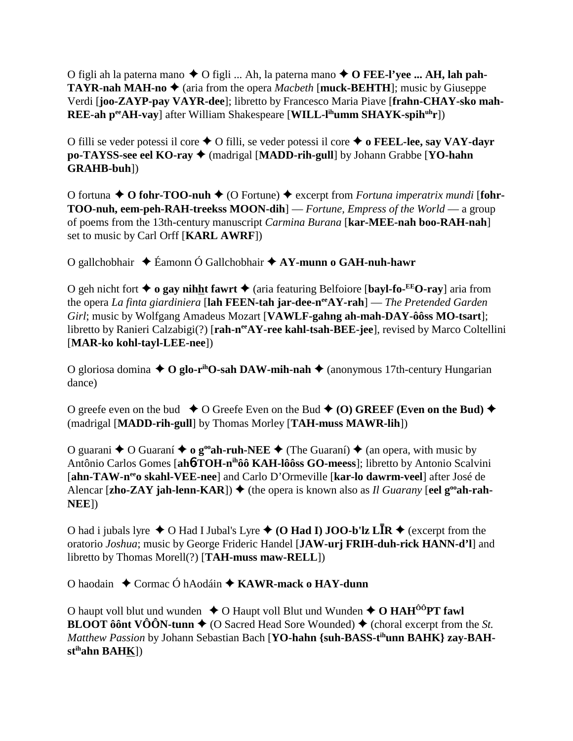O figli ah la paterna mano ◆ O figli ... Ah, la paterna mano ◆ O **FEE-l'yee ... AH, lah pah-TAYR-nah MAH-no**  $\triangle$  (aria from the opera *Macbeth* [**muck-BEHTH**]; music by Giuseppe Verdi [**joo-ZAYP-pay VAYR-dee**]; libretto by Francesco Maria Piave [**frahn-CHAY-sko mah-REE-ah p<sup>ee</sup>AH-vay**] after William Shakespeare [**WILL-l<sup>ih</sup>umm SHAYK-spih<sup>uh</sup>r**])

O filli se veder potessi il core O filli, se veder potessi il core  **o FEEL-lee, say VAY-dayr po-TAYSS-see eel KO-ray ♦** (madrigal [MADD-rih-gull] by Johann Grabbe [YO-hahn **GRAHB-buh**])

O fortuna **→ O fohr-TOO-nuh →** (O Fortune) ◆ excerpt from *Fortuna imperatrix mundi* [fohr-**TOO-nuh, eem-peh-RAH-treekss MOON-dih**] — *Fortune, Empress of the World* — a group of poems from the 13th-century manuscript *Carmina Burana* [**kar-MEE-nah boo-RAH-nah**] set to music by Carl Orff [**KARL AWRF**])

O gallchobhair Éamonn Ó Gallchobhair **AY-munn o GAH-nuh-hawr**

O geh nicht fort **→ o gay nihht fawrt →** (aria featuring Belfoiore [**bayl-fo-EEO-ray**] aria from the opera *La finta giardiniera* [**lah FEEN-tah jar-dee-neeAY-rah**] — *The Pretended Garden Girl*; music by Wolfgang Amadeus Mozart [**VAWLF-gahng ah-mah-DAY-ôôss MO-tsart**]; libretto by Ranieri Calzabigi(?) [rah-n<sup>ee</sup>AY-ree kahl-tsah-BEE-jee], revised by Marco Coltellini [**MAR-ko kohl-tayl-LEE-nee**])

O gloriosa domina  $\triangle$  O glo-r<sup>ih</sup>O-sah DAW-mih-nah  $\triangle$  (anonymous 17th-century Hungarian dance)

O greefe even on the bud  $\bullet$  O Greefe Even on the Bud  $\bullet$  (O) GREEF (Even on the Bud)  $\bullet$ (madrigal [**MADD-rih-gull**] by Thomas Morley [**TAH-muss MAWR-lih**])

O guarani  $\triangle$  O Guaraní  $\triangle$  o g<sup>oo</sup>ah-ruh-NEE  $\triangle$  (The Guaraní)  $\triangle$  (an opera, with music by Antônio Carlos Gomes [**ah**6**-TOH-nihôô KAH-lôôss GO-meess**]; libretto by Antonio Scalvini [ahn-TAW-n<sup>ee</sup>o skahl-VEE-nee] and Carlo D'Ormeville [kar-lo dawrm-veel] after José de Alencar [zho-ZAY jah-lenn-KAR])  $\blacklozenge$  (the opera is known also as *Il Guarany* [eel  $g^{\text{oo}}$ ah-rah-**NEE**])

O had i jubals lyre  $\triangle$  O Had I Jubal's Lyre  $\triangle$  (O **Had I) JOO-b'lz LIR**  $\triangle$  (excerpt from the oratorio *Joshua*; music by George Frideric Handel [**JAW-urj FRIH-duh-rick HANN-d'l**] and libretto by Thomas Morell(?) [**TAH-muss maw-RELL**])

O haodain ◆ Cormac Ó hAodáin ◆ **KAWR-mack o HAY-dunn** 

O haupt voll blut und wunden  $\triangle$  O Haupt voll Blut und Wunden  $\triangle$  O HAH<sup>ôô</sup>PT fawl **BLOOT ôônt VÔÔN-tunn**  $\triangle$  (O Sacred Head Sore Wounded)  $\triangle$  (choral excerpt from the *St. Matthew Passion* by Johann Sebastian Bach [**YO-hahn {suh-BASS-tihunn BAHK} zay-BAHstihahn BAHK**])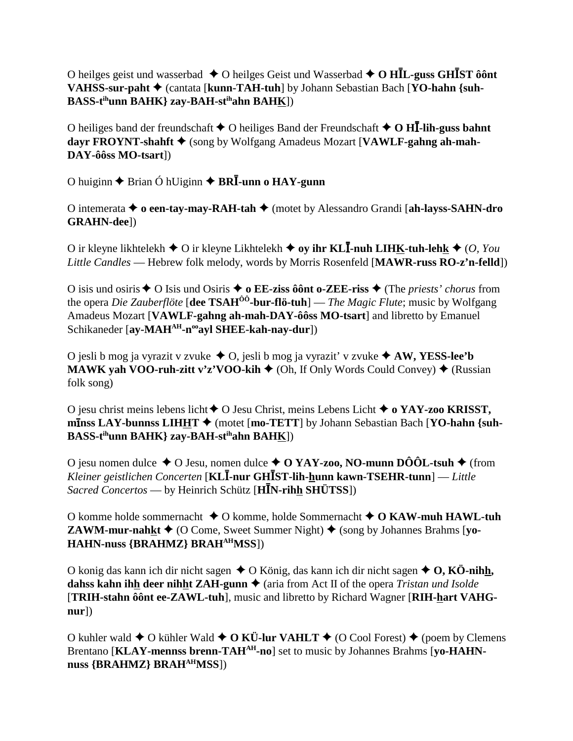O heilges geist und wasserbad  $\triangle$  O heilges Geist und Wasserbad  $\triangle$  O HIL-guss GHIST ôont VAHSS-sur-paht ♦ (cantata [kunn-TAH-tuh] by Johann Sebastian Bach [YO-hahn {suh-**BASS-t<sup>ih</sup>unn BAHK**} zay-BAH-st<sup>ih</sup>ahn BAHK])

O heiliges band der freundschaft  $\triangle$  O heiliges Band der Freundschaft  $\triangle$  O HI-lih-guss bahnt dayr FROYNT-shahft ♦ (song by Wolfgang Amadeus Mozart [VAWLF-gahng ah-mah-DAY-ôôss MO-tsart])

O huiginn  $\triangle$  Brian Ó hUiginn  $\triangle$  BR $\overline{I}$ -unn o HAY-gunn

O internerata  $\triangle$  o een-tay-may-RAH-tah  $\triangle$  (motet by Alessandro Grandi [ah-layss-SAHN-dro] **GRAHN-dee**l)

O ir kleyne likhtelekh  $\triangle$  O ir kleyne Likhtelekh  $\triangle$  oy ihr KLI-nuh LIHK-tuh-lehk  $\triangle$  (O, You Little Candles — Hebrew folk melody, words by Morris Rosenfeld [MAWR-russ RO-z'n-felld])

O isis und osiris  $\triangle$  O Isis und Osiris  $\triangle$  o EE-ziss ô ônt o-ZEE-riss  $\triangle$  (The *priests' chorus* from the opera Die Zauberflöte [dee TSAH<sup> $00$ </sup>-bur-flö-tuh] — The Magic Flute; music by Wolfgang Amadeus Mozart [VAWLF-gahng ah-mah-DAY-ôôss MO-tsart] and libretto by Emanuel Schikaneder [ay-MAH<sup>AH</sup>-n<sup>oo</sup>ayl SHEE-kah-nay-dur])

O jesli b mog ja vyrazit v zvuke  $\triangle$ O, jesli b mog ja vyrazit' v zvuke  $\triangle$  AW, YESS-lee'b **MAWK yah VOO-ruh-zitt v'z'VOO-kih**  $\triangle$  (Oh, If Only Words Could Convey)  $\triangle$  (Russian folk song)

O jesu christ meins lebens licht  $\bigstar$  O Jesu Christ, meins Lebens Licht  $\bigstar$  o YAY-zoo KRISST,  $m\overline{1}$ nss LAY-bunnss LIHHT  $\blacklozenge$  (motet [mo-TETT] by Johann Sebastian Bach [YO-hahn {suh-BASS-t<sup>ih</sup>unn BAHK} zay-BAH-st<sup>ih</sup>ahn BAH<u>K</u>])

O jesu nomen dulce  $\triangle$  O Jesu, nomen dulce  $\triangle$  O YAY-zoo, NO-munn DÔÔL-tsuh  $\triangle$  (from Kleiner geistlichen Concerten [KL**I-nur GHIST-lih-hunn kawn-TSEHR-tunn**] — Little *Sacred Concertos* — by Heinrich Schütz [ $H\bar{I}N$ -rihh SHÜTSS])

O komme holde sommernacht  $\triangle$  O komme, holde Sommernacht  $\triangle$  O KAW-muh HAWL-tuh **ZAWM-mur-nahkt**  $\triangleq$  (O Come, Sweet Summer Night)  $\triangleq$  (song by Johannes Brahms [vo-HAHN-nuss {BRAHMZ} BRAH<sup>AH</sup>MSS])

O konig das kann ich dir nicht sagen  $\triangle$  O König, das kann ich dir nicht sagen  $\triangle$  O, KÖ-nihh, dahss kahn ihh deer nihht ZAH-gunn  $\triangle$  (aria from Act II of the opera Tristan und Isolde [TRIH-stahn ôônt ee-ZAWL-tuh], music and libretto by Richard Wagner [RIH-hart VAHG $nur$ ])

O kuhler wald  $\triangle$  O kühler Wald  $\triangle$  O KÜ-lur VAHLT  $\triangle$  (O Cool Forest)  $\triangle$  (poem by Clemens Brentano [KLAY-mennss brenn-TAH<sup>AH</sup>-no] set to music by Johannes Brahms [vo-HAHNnuss {BRAHMZ} BRAH<sup>AH</sup>MSS])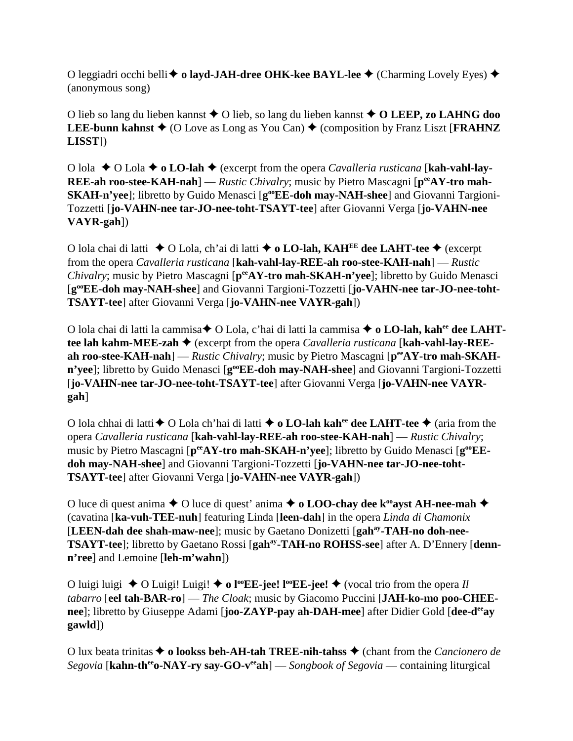O leggiadri occhi belli **→ o layd-JAH-dree OHK-kee BAYL-lee** → (Charming Lovely Eyes) → (anonymous song)

O lieb so lang du lieben kannst **→** O lieb, so lang du lieben kannst **→ O LEEP, zo LAHNG doo LEE-bunn kahnst**  $\blacklozenge$  (O Love as Long as You Can)  $\blacklozenge$  (composition by Franz Liszt [**FRAHNZ LISST**])

O lola O Lola **o LO-lah** (excerpt from the opera *Cavalleria rusticana* [**kah-vahl-lay-REE-ah roo-stee-KAH-nah**] — *Rustic Chivalry*; music by Pietro Mascagni [ $p^{ee}AY$ -tro mah-**SKAH-n'yee**]; libretto by Guido Menasci [**g**<sup>oo</sup>**EE-doh may-NAH-shee**] and Giovanni Targioni-Tozzetti [**jo-VAHN-nee tar-JO-nee-toht-TSAYT-tee**] after Giovanni Verga [**jo-VAHN-nee VAYR-gah**])

O lola chai di latti O Lola, ch'ai di latti **o LO-lah, KAHEE dee LAHT-tee** (excerpt from the opera *Cavalleria rusticana* [**kah-vahl-lay-REE-ah roo-stee-KAH-nah**] — *Rustic Chivalry*; music by Pietro Mascagni [ $p^{ee}AY$ -tro mah-SKAH-n'yee]; libretto by Guido Menasci [**gooEE-doh may-NAH-shee**] and Giovanni Targioni-Tozzetti [**jo-VAHN-nee tar-JO-nee-toht-TSAYT-tee**] after Giovanni Verga [**jo-VAHN-nee VAYR-gah**])

O lola chai di latti la cammisa O Lola, c'hai di latti la cammisa  **o LO-lah, kahee dee LAHTtee lah kahm-MEE-zah ♦** (excerpt from the opera *Cavalleria rusticana* [**kah-vahl-lay-REE**ah roo-stee-KAH-nah] — *Rustic Chivalry*; music by Pietro Mascagni [ $p^{ee}AY$ -tro mah-SKAHn'yee]; libretto by Guido Menasci [g<sup>oo</sup>EE-doh may-NAH-shee] and Giovanni Targioni-Tozzetti [**jo-VAHN-nee tar-JO-nee-toht-TSAYT-tee**] after Giovanni Verga [**jo-VAHN-nee VAYRgah**]

O lola chhai di latti O Lola ch'hai di latti **o LO-lah kahee dee LAHT-tee**  (aria from the opera *Cavalleria rusticana* [**kah-vahl-lay-REE-ah roo-stee-KAH-nah**] — *Rustic Chivalry*; music by Pietro Mascagni [ $p^{ee}AY$ -tro mah-SKAH-n'yee]; libretto by Guido Menasci [ $g^{oo}EE$ **doh may-NAH-shee**] and Giovanni Targioni-Tozzetti [**jo-VAHN-nee tar-JO-nee-toht-TSAYT-tee**] after Giovanni Verga [**jo-VAHN-nee VAYR-gah**])

O luce di quest anima  $\blacklozenge$  O luce di quest' anima  $\blacklozenge$  **o LOO-chay dee k<sup>oo</sup>ayst AH-nee-mah**  $\blacklozenge$ (cavatina [**ka-vuh-TEE-nuh**] featuring Linda [**leen-dah**] in the opera *Linda di Chamonix* [**LEEN-dah dee shah-maw-nee**]; music by Gaetano Donizetti [**gahay-TAH-no doh-nee-TSAYT-tee**]; libretto by Gaetano Rossi [**gahay-TAH-no ROHSS-see**] after A. D'Ennery [**dennn'ree**] and Lemoine [**leh-m'wahn**])

O luigi luigi  $\triangle$  O Luigi! Luigi!  $\triangle$  **o** l<sup>oo</sup>**EE**-jee!  $\triangle$  (vocal trio from the opera *Il tabarro* [**eel tah-BAR-ro**] — *The Cloak*; music by Giacomo Puccini [**JAH-ko-mo poo-CHEEnee**]; libretto by Giuseppe Adami [**joo-ZAYP-pay ah-DAH-mee**] after Didier Gold [**dee-deeay gawld**])

O lux beata trinitas **→ o lookss beh-AH-tah TREE-nih-tahss** → (chant from the *Cancionero de Segovia* [**kahn-th<sup>ee</sup>o-NAY-ry say-GO-v<sup>ee</sup>ah**] — *Songbook of Segovia* — containing liturgical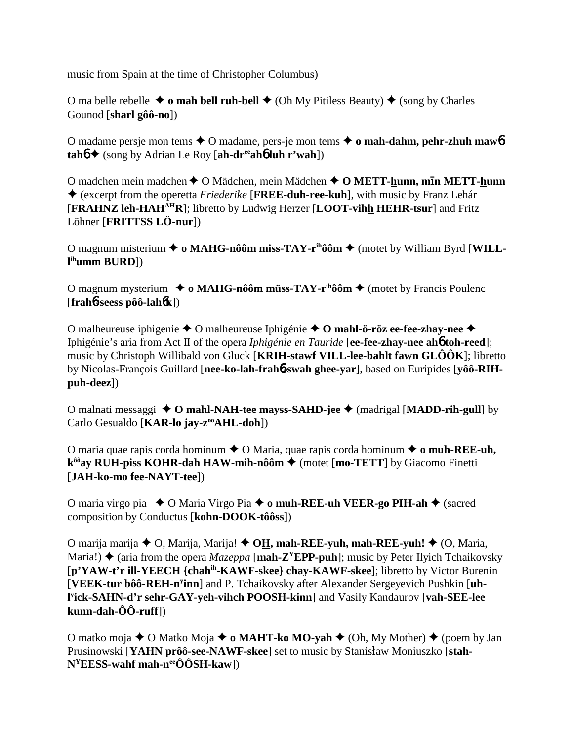music from Spain at the time of Christopher Columbus)

O ma belle rebelle  $\triangleq$  o mah bell ruh-bell  $\triangleq$  (Oh My Pitiless Beauty)  $\triangleq$  (song by Charles Gounod [**sharl gôô-no**])

O madame persje mon tems O madame, pers-je mon tems **o mah-dahm, pehr-zhuh maw**6  $tanh \triangleq$  (song by Adrian Le Roy [ah-dr<sup>ee</sup>ah**6** luh r'wah])

O madchen mein madchen ◆ O Mädchen, mein Mädchen ◆ O METT-hunn, mīn METT-hunn (excerpt from the operetta *Friederike* [**FREE-duh-ree-kuh**], with music by Franz Lehár [**FRAHNZ leh-HAHAHR**]; libretto by Ludwig Herzer [**LOOT-vihh HEHR-tsur**] and Fritz Löhner [**FRITTSS LÖ-nur**])

O magnum misterium **→ o MAHG-nôôm miss-TAY-r<sup>ih</sup>ôôm →** (motet by William Byrd [WILL**l ihumm BURD**])

O magnum mysterium **↓ o MAHG-nôôm müss-TAY-r<sup>ih</sup>ôôm ◆** (motet by Francis Poulenc [**frah**6**-seess pôô-lah**6**k**])

O malheureuse iphigenie **→** O malheureuse Iphigénie **→ O mahl-ö-röz ee-fee-zhay-nee** → Iphigénie's aria from Act II of the opera *Iphigénie en Tauride* [**ee-fee-zhay-nee ah**6 **toh-reed**]; music by Christoph Willibald von Gluck [**KRIH-stawf VILL-lee-bahlt fawn GLÔÔK**]; libretto by Nicolas-François Guillard [**nee-ko-lah-frah**6**-swah ghee-yar**], based on Euripides [**yôô-RIHpuh-deez**])

O malnati messaggi **O mahl-NAH-tee mayss-SAHD-jee**  (madrigal [**MADD-rih-gull**] by Carlo Gesualdo [**KAR-lo jay-z<sup>oo</sup>AHL-doh**])

O maria quae rapis corda hominum **→** O Maria, quae rapis corda hominum → **o muh-REE-uh**, **k<sup>ôô</sup>ay RUH-piss KOHR-dah HAW-mih-nôôm ♦** (motet [mo-TETT] by Giacomo Finetti [**JAH-ko-mo fee-NAYT-tee**])

O maria virgo pia ◆ O Maria Virgo Pia ◆ **o muh-REE-uh VEER-go PIH-ah** ◆ (sacred composition by Conductus [**kohn-DOOK-tôôss**])

O marija marija **→** O, Marija, Marija! **→ O<u>H</u>, mah-REE-yuh, mah-REE-yuh! →** (O, Maria, Maria!)  $\triangle$  (aria from the opera *Mazeppa* [**mah-Z<sup>Y</sup>EPP-puh**]; music by Peter Ilyich Tchaikovsky [**p'YAW-t'r ill-YEECH {chahih-KAWF-skee} chay-KAWF-skee**]; libretto by Victor Burenin [VEEK-tur bôô-REH-n<sup>y</sup>inn] and P. Tchaikovsky after Alexander Sergeyevich Pushkin [uh**l y ick-SAHN-d'r sehr-GAY-yeh-vihch POOSH-kinn**] and Vasily Kandaurov [**vah-SEE-lee kunn-dah-ÔÔ-ruff**])

O matko moja ◆ O Matko Moja ◆ **o MAHT-ko MO-yah** ◆ (Oh, My Mother) ◆ (poem by Jan Prusinowski [YAHN prôô-see-NAWF-skee] set to music by Stanisław Moniuszko [stah- $N<sup>Y</sup>EESS$ -wahf mah-n<sup>ee</sup>ÔÔSH-kaw])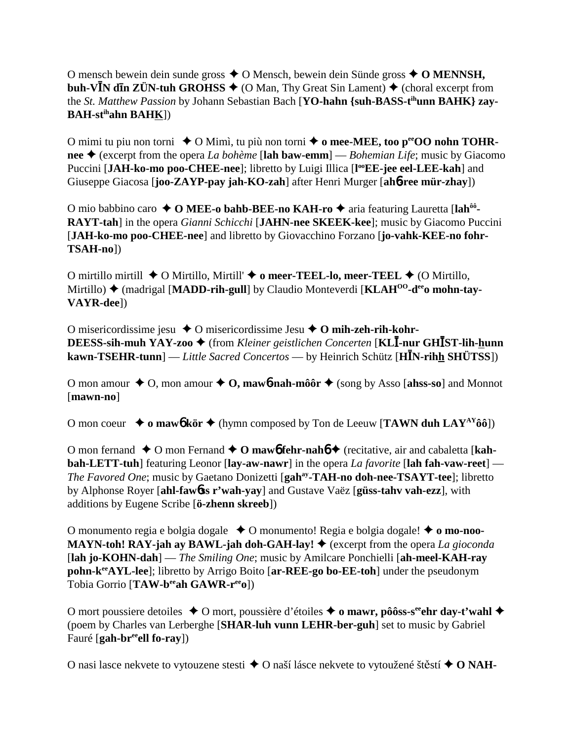O mensch bewein dein sunde gross  $\triangle$  O Mensch, bewein dein Sünde gross  $\triangle$  O MENNSH, **buh-V<sup>I</sup>N dIn ZÜN-tuh GROHSS**  $\blacklozenge$  (O Man, Thy Great Sin Lament)  $\blacklozenge$  (choral excerpt from the *St. Matthew Passion* by Johann Sebastian Bach [YO-hahn {suh-BASS-t<sup>ih</sup>unn BAHK} zay-**BAH-stihahn BAHK**])

O mimi tu piu non torni ◆ O Mimì, tu più non torni ◆ o mee-MEE, too p<sup>ee</sup>OO nohn TOHR**nee** (excerpt from the opera *La bohème* [**lah baw-emm**] — *Bohemian Life*; music by Giacomo Puccini [JAH-ko-mo poo-CHEE-nee]; libretto by Luigi Illica [l<sup>oo</sup>EE-jee eel-LEE-kah] and Giuseppe Giacosa [**joo-ZAYP-pay jah-KO-zah**] after Henri Murger [**ah**6**-ree mür-zhay**])

O mio babbino caro ◆ O MEE-o bahb-BEE-no KAH-ro ◆ aria featuring Lauretta [lah<sup>ôô</sup>-**RAYT-tah**] in the opera *Gianni Schicchi* [**JAHN-nee SKEEK-kee**]; music by Giacomo Puccini [**JAH-ko-mo poo-CHEE-nee**] and libretto by Giovacchino Forzano [**jo-vahk-KEE-no fohr-TSAH-no**])

O mirtillo mirtill **→** O Mirtillo, Mirtill' **→ o meer-TEEL-lo, meer-TEEL →** (O Mirtillo, Mirtillo)  $\triangle$  (madrigal [MADD-rih-gull] by Claudio Monteverdi [KLAH<sup>00</sup>-d<sup>ee</sup>o mohn-tay-**VAYR-dee**])

O misericordissime jesu O misericordissime Jesu **O mih-zeh-rih-kohr-DEESS-sih-muh YAY-zoo ♦** (from *Kleiner geistlichen Concerten* [KL**I-nur GHIST-lih-hunn kawn-TSEHR-tunn**] — *Little Sacred Concertos* — by Heinrich Schütz [**HN-rihh SHÜTSS**])

O mon amour  $\triangle$  O, mon amour  $\triangle$  O, mawb-nah-môôr  $\triangle$  (song by Asso [ahss-so] and Monnot [**mawn-no**]

O mon coeur  $\rightarrow$  o mawb kör  $\rightarrow$  (hymn composed by Ton de Leeuw [**TAWN duh LAY<sup>AY</sup>ôô**])

O mon fernand  $\triangle$  O mon Fernand  $\triangle$  O maw**6** fehr-nah**6**  $\triangle$  (recitative, air and cabaletta [kah**bah-LETT-tuh**] featuring Leonor [**lay-aw-nawr**] in the opera *La favorite* [**lah fah-vaw-reet**] — *The Favored One*; music by Gaetano Donizetti [**gahay-TAH-no doh-nee-TSAYT-tee**]; libretto by Alphonse Royer [**ahl-faw**6**ss r'wah-yay**] and Gustave Vaëz [**güss-tahv vah-ezz**], with additions by Eugene Scribe [**ö-zhenn skreeb**])

O monumento regia e bolgia dogale O monumento! Regia e bolgia dogale! **o mo-noo-MAYN-toh! RAY-jah ay BAWL-jah doh-GAH-lay!**  $\blacklozenge$  (excerpt from the opera *La gioconda* [**lah jo-KOHN-dah**] — *The Smiling One*; music by Amilcare Ponchielli [**ah-meel-KAH-ray pohn-keeAYL-lee**]; libretto by Arrigo Boito [**ar-REE-go bo-EE-toh**] under the pseudonym Tobia Gorrio [**TAW-beeah GAWR-reeo**])

O mort poussiere detoiles  $\triangle$  O mort, poussière d'étoiles  $\triangle$  o mawr, pôôss-s<sup>ee</sup>ehr day-t'wahl  $\triangle$ (poem by Charles van Lerberghe [**SHAR-luh vunn LEHR-ber-guh**] set to music by Gabriel Fauré [**gah-breeell fo-ray**])

O nasi lasce nekvete to vytouzene stesti **→** O naší lásce nekvete to vytoužené štěstí ◆ O NAH-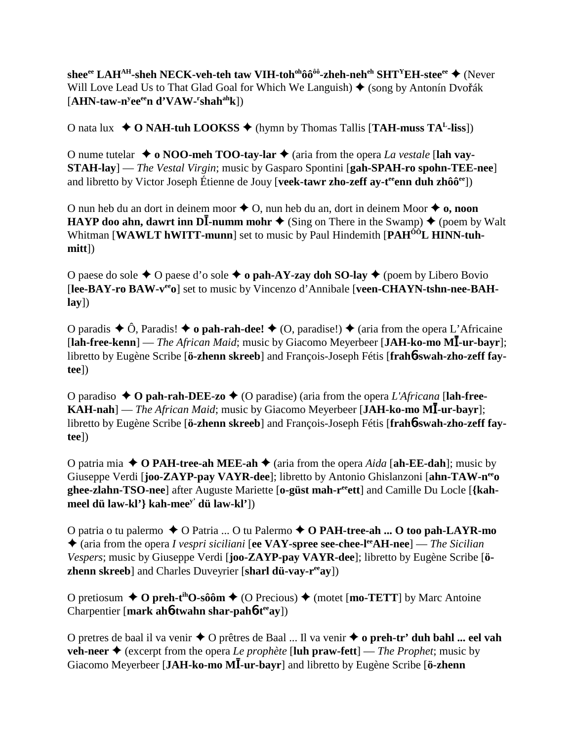shee<sup>ee</sup> LAH<sup>AH</sup>-sheh NECK-veh-teh taw VIH-toh<sup>oh</sup>ôô<sup>ôô</sup>-zheh-neh<sup>eh</sup> SHT<sup>Y</sup>EH-stee<sup>ee</sup> ◆ (Never Will Love Lead Us to That Glad Goal for Which We Languish)  $\blacklozenge$  (song by Antonín Dvořák [AHN-taw-n<sup>y</sup>ee<sup>ee</sup>n d'VAW-<sup>r</sup>shah<sup>ah</sup>k])

O nata lux  $\rightarrow$  **O NAH-tuh LOOKSS**  $\rightarrow$  (hymn by Thomas Tallis [**TAH-muss TA<sup>L</sup>-liss**])

O nume tutelar  $\triangle$  **o** NOO-meh TOO-tay-lar  $\triangle$  (aria from the opera *La vestale* [lah vay-**STAH-lay**] — *The Vestal Virgin*; music by Gasparo Spontini [**gah-SPAH-ro spohn-TEE-nee**] and libretto by Victor Joseph Étienne de Jouy [**veek-tawr zho-zeff ay-t<sup>ee</sup>enn duh zhôô<sup>ee</sup>]**)

O nun heb du an dort in deinem moor  $\triangle$  O, nun heb du an, dort in deinem Moor  $\triangle$  **o**, noon **HAYP doo ahn, dawrt inn DI-numm mohr**  $\triangle$  (Sing on There in the Swamp)  $\triangle$  (poem by Walt Whitman **[WAWLT hWITT-munn**] set to music by Paul Hindemith **[PAH<sup>ÔÔ</sup>L HINN-tuhmitt**])

O paese do sole  $\triangle$  O paese d'o sole  $\triangle$  o pah-AY-zay doh SO-lay  $\triangle$  (poem by Libero Bovio [lee-BAY-ro BAW-v<sup>ee</sup>o] set to music by Vincenzo d'Annibale [veen-CHAYN-tshn-nee-BAH**lay**])

O paradis  $\triangle$  Ô, Paradis!  $\triangle$  **o pah-rah-dee!**  $\triangle$  (O, paradise!)  $\triangle$  (aria from the opera L'Africaine [**lah-free-kenn**] — *The African Maid*; music by Giacomo Meyerbeer [**JAH-ko-mo M-ur-bayr**]; libretto by Eugène Scribe [**ö-zhenn skreeb**] and François-Joseph Fétis [**frah**6**-swah-zho-zeff faytee**])

O paradiso  $\triangle$  O pah-rah-DEE-zo  $\triangle$  (O paradise) (aria from the opera *L'Africana* [lah-free-**KAH-nah**] — *The African Maid*; music by Giacomo Meyerbeer [JAH-ko-mo MI-ur-bayr]; libretto by Eugène Scribe [**ö-zhenn skreeb**] and François-Joseph Fétis [**frah**6**-swah-zho-zeff faytee**])

O patria mia  $\triangle$  O PAH-tree-ah MEE-ah  $\triangle$  (aria from the opera *Aida* [ah-EE-dah]; music by Giuseppe Verdi [**joo-ZAYP-pay VAYR-dee**]; libretto by Antonio Ghislanzoni [**ahn-TAW-neeo ghee-zlahn-TSO-nee**] after Auguste Mariette [**o-güst mah-reeett**] and Camille Du Locle [**{kahmeel dü law-kl'} kah-meey' dü law-kl'**])

O patria o tu palermo **→** O Patria ... O tu Palermo ◆ **O PAH-tree-ah ... O too pah-LAYR-mo**  (aria from the opera *I vespri siciliani* [**ee VAY-spree see-chee-leeAH-nee**] — *The Sicilian Vespers*; music by Giuseppe Verdi [**joo-ZAYP-pay VAYR-dee**]; libretto by Eugène Scribe [**özhenn skreeb**] and Charles Duveyrier [**sharl dü-vay-reeay**])

O pretiosum  $\triangle$  O preh-t<sup>ih</sup>O-sôôm  $\triangle$  (O Precious)  $\triangle$  (motet [**mo-TETT**] by Marc Antoine Charpentier [**mark ah**6**-twahn shar-pah**6**-teeay**])

O pretres de baal il va venir O prêtres de Baal ... Il va venir **o preh-tr' duh bahl ... eel vah veh-neer**  $\triangle$  (excerpt from the opera *Le prophète* [**luh praw-fett**] — *The Prophet*; music by Giacomo Meyerbeer [**JAH-ko-mo M-ur-bayr**] and libretto by Eugène Scribe [**ö-zhenn**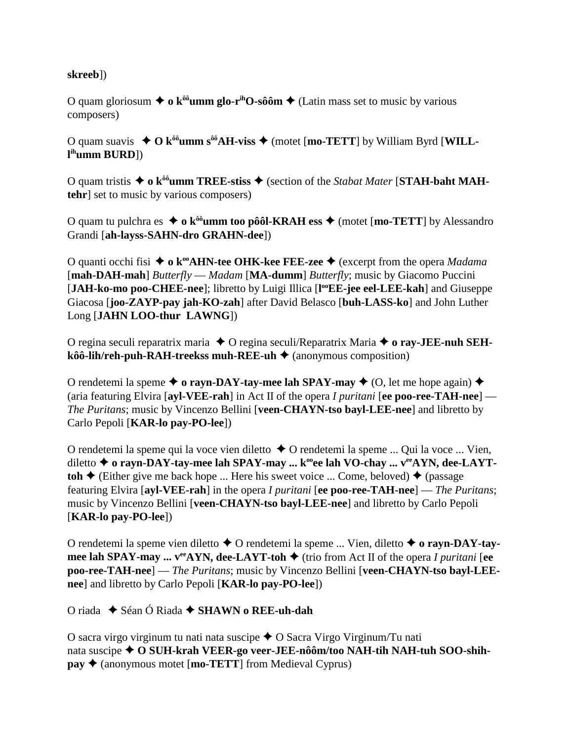#### **skreeb**])

O quam gloriosum  $\triangleq$  **o**  $k^{00}$ **umm glo-r<sup>ih</sup>O-sôôm**  $\triangleq$  (Latin mass set to music by various composers)

O quam suavis  $\triangle$  O  $k^{00}$ **umm s**<sup> $00$ </sup>**AH-viss**  $\triangle$  (motet [**mo-TETT**] by William Byrd [**WILLl ihumm BURD**])

O quam tristis ◆ o k<sup>ôô</sup>umm TREE-stiss ◆ (section of the *Stabat Mater* [STAH-baht MAH**tehr**] set to music by various composers)

O quam tu pulchra es  $\triangleq$  **o**  $k^{00}$ **umm too pôôl-KRAH ess**  $\triangleq$  (motet [**mo-TETT**] by Alessandro Grandi [**ah-layss-SAHN-dro GRAHN-dee**])

O quanti occhi fisi ◆ **o k<sup>oo</sup>AHN-tee OHK-kee FEE-zee** ◆ (excerpt from the opera *Madama* [**mah-DAH-mah**] *Butterfly* — *Madam* [**MA-dumm**] *Butterfly*; music by Giacomo Puccini [JAH-ko-mo poo-CHEE-nee]; libretto by Luigi Illica [l<sup>oo</sup>EE-jee eel-LEE-kah] and Giuseppe Giacosa [**joo-ZAYP-pay jah-KO-zah**] after David Belasco [**buh-LASS-ko**] and John Luther Long [**JAHN LOO-thur LAWNG**])

O regina seculi reparatrix maria **→** O regina seculi/Reparatrix Maria **→ o ray-JEE-nuh SEHkôô-lih/reh-puh-RAH-treekss muh-REE-uh ♦** (anonymous composition)

O rendetemi la speme  $\triangle$  o rayn-DAY-tay-mee lah SPAY-may  $\triangle$  (O, let me hope again)  $\triangle$ (aria featuring Elvira [**ayl-VEE-rah**] in Act II of the opera *I puritani* [**ee poo-ree-TAH-nee**] — *The Puritans*; music by Vincenzo Bellini [**veen-CHAYN-tso bayl-LEE-nee**] and libretto by Carlo Pepoli [**KAR-lo pay-PO-lee**])

O rendetemi la speme qui la voce vien diletto  $\triangle$  O rendetemi la speme ... Qui la voce ... Vien, diletto **→** o rayn-DAY-tay-mee lah SPAY-may ... k<sup>oo</sup>ee lah VO-chay ... v<sup>ee</sup>AYN, dee-LAYT**toh**  $\triangle$  (Either give me back hope ... Here his sweet voice ... Come, beloved)  $\triangle$  (passage featuring Elvira [**ayl-VEE-rah**] in the opera *I puritani* [**ee poo-ree-TAH-nee**] — *The Puritans*; music by Vincenzo Bellini [**veen-CHAYN-tso bayl-LEE-nee**] and libretto by Carlo Pepoli [**KAR-lo pay-PO-lee**])

O rendetemi la speme vien diletto O rendetemi la speme ... Vien, diletto **o rayn-DAY-taymee lah SPAY-may ...**  $v^{ee}$ **AYN, dee-LAYT-toh**  $\blacklozenge$  (trio from Act II of the opera *I puritani* [ee **poo-ree-TAH-nee**] — *The Puritans*; music by Vincenzo Bellini [**veen-CHAYN-tso bayl-LEEnee**] and libretto by Carlo Pepoli [**KAR-lo pay-PO-lee**])

O riada Séan Ó Riada **SHAWN o REE-uh-dah**

O sacra virgo virginum tu nati nata suscipe  $\triangle$  O Sacra Virgo Virginum/Tu nati nata suscipe **O SUH-krah VEER-go veer-JEE-nôôm/too NAH-tih NAH-tuh SOO-shihpay ♦** (anonymous motet [**mo-TETT**] from Medieval Cyprus)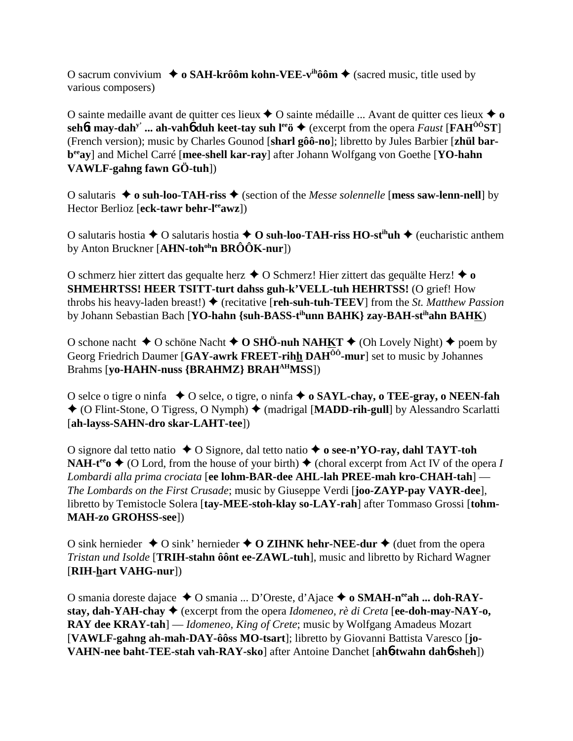O sacrum convivium  $\triangleq$  o SAH-krôôm kohn-VEE-v<sup>ih</sup>ôôm  $\triangleq$  (sacred music, title used by various composers)

O sainte medaille avant de quitter ces lieux  $\triangle$  O sainte médaille ... Avant de quitter ces lieux  $\triangle$  o sehot may-dah<sup>y</sup> ... ah-vaho duh keet-tay suh l<sup>ee</sup>  $\blacklozenge$  (excerpt from the opera *Faust* [FAH<sup>00</sup>ST] (French version); music by Charles Gounod [sharl gôô-no]; libretto by Jules Barbier [zhül barb<sup>ee</sup>ay] and Michel Carré [mee-shell kar-ray] after Johann Wolfgang von Goethe [YO-hahn VAWLF-gahng fawn GÖ-tuh]

O salutaris  $\triangle$  o suh-loo-TAH-riss  $\triangle$  (section of the *Messe solennelle* [mess saw-lenn-nell] by Hector Berlioz [eck-tawr behr-leawz])

O salutaris hostia  $\triangle$  O salutaris hostia  $\triangle$  O suh-loo-TAH-riss HO-st<sup>in</sup>uh  $\triangle$  (eucharistic anthem by Anton Bruckner [AHN-toh<sup>oh</sup>n  $BR\hat{O}OK$ -nur])

O schmerz hier zittert das gequalte herz  $\triangle$  O Schmerz! Hier zittert das gequalte Herz!  $\triangle$  o **SHMEHRTSS! HEER TSITT-turt dahss guh-k'VELL-tuh HEHRTSS!** (O grief! How throbs his heavy-laden breast!)  $\blacklozenge$  (recitative [reh-suh-tuh-TEEV] from the *St. Matthew Passion* by Johann Sebastian Bach [YO-hahn {suh-BASS-t<sup>ih</sup>unn BAHK} zay-BAH-st<sup>ih</sup>ahn BAHK)

O schone nacht  $\triangle$  O schöne Nacht  $\triangle$  O SHÖ-nuh NAHKT  $\triangle$  (Oh Lovely Night)  $\triangle$  poem by Georg Friedrich Daumer [GAY-awrk FREET-rihh DAH<sup>00</sup>-mur] set to music by Johannes Brahms [vo-HAHN-nuss {BRAHMZ} BRAH<sup>AH</sup>MSS])

O selce o tigre o ninfa  $\bullet$  O selce, o tigre, o ninfa  $\bullet$  o SAYL-chay, o TEE-gray, o NEEN-fah ◆ (O Flint-Stone, O Tigress, O Nymph) ◆ (madrigal [MADD-rih-gull] by Alessandro Scarlatti [ah-layss-SAHN-dro skar-LAHT-tee])

O signore dal tetto natio  $\triangle$  O Signore, dal tetto natio  $\triangle$  o see-n'YO-ray, dahl TAYT-toh **NAH-t<sup>ee</sup>o**  $\blacklozenge$  (O Lord, from the house of your birth)  $\blacklozenge$  (choral excerpt from Act IV of the opera I Lombardi alla prima crociata [ee lohm-BAR-dee AHL-lah PREE-mah kro-CHAH-tah] -The Lombards on the First Crusade; music by Giuseppe Verdi [joo-ZAYP-pay VAYR-dee], libretto by Temistocle Solera [tay-MEE-stoh-klay so-LAY-rah] after Tommaso Grossi [tohm-**MAH-zo GROHSS-see])** 

O sink hernieder  $\triangle$  O sink' hernieder  $\triangle$  O ZIHNK hehr-NEE-dur  $\triangle$  (duet from the opera Tristan und Isolde [TRIH-stahn ôônt ee-ZAWL-tuh], music and libretto by Richard Wagner [RIH-hart VAHG-nur])

O smania doreste dajace  $\triangle$  O smania ... D'Oreste, d'Ajace  $\triangle$  o SMAH-n<sup>ee</sup>ah ... doh-RAYstay, dah-YAH-chay  $\blacklozenge$  (excerpt from the opera *Idomeneo, rè di Creta* [ee-doh-may-NAY-o, **RAY dee KRAY-tah**] — *Idomeneo, King of Crete;* music by Wolfgang Amadeus Mozart [VAWLF-gahng ah-mah-DAY-ôôss MO-tsart]; libretto by Giovanni Battista Varesco [jo-VAHN-nee baht-TEE-stah vah-RAY-sko] after Antoine Danchet [ah6-twahn dah6-sheh])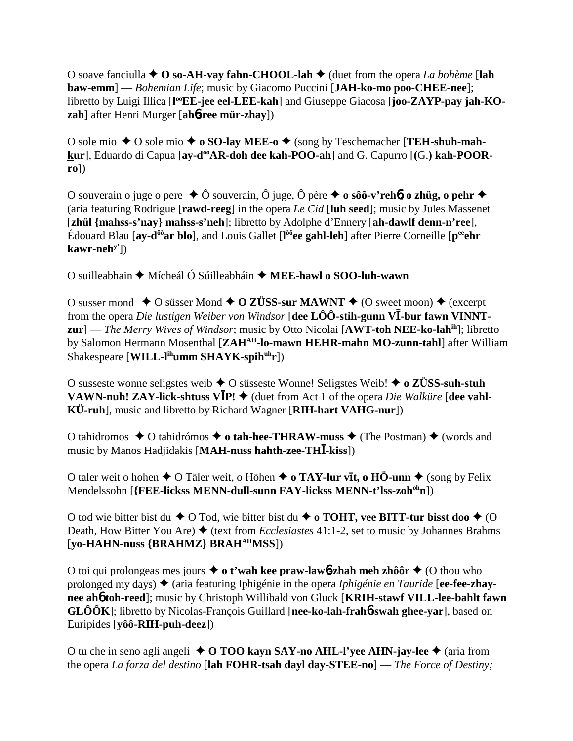O soave fanciulla **O so-AH-vay fahn-CHOOL-lah** (duet from the opera *La bohème* [**lah baw-emm**] — *Bohemian Life*; music by Giacomo Puccini [**JAH-ko-mo poo-CHEE-nee**]; libretto by Luigi Illica [l<sup>oo</sup>EE-jee eel-LEE-kah] and Giuseppe Giacosa [joo-ZAYP-pay jah-KO**zah**] after Henri Murger [**ah**6**-ree mür-zhay**])

O sole mio  $\triangle$  O sole mio  $\triangle$  o **SO-lay MEE-o**  $\triangle$  (song by Teschemacher [**TEH-shuh-mah**kur], Eduardo di Capua [ay-d<sup>oo</sup>AR-doh dee kah-POO-ah] and G. Capurro [(G.) kah-POOR**ro**])

O souverain o juge o pere Ô souverain, Ô juge, Ô père  **o sôô-v'reh**6**, o zhüg, o pehr** (aria featuring Rodrigue [**rawd-reeg**] in the opera *Le Cid* [**luh seed**]; music by Jules Massenet [**zhül {mahss-s'nay} mahss-s'neh**]; libretto by Adolphe d'Ennery [**ah-dawlf denn-n'ree**], Édouard Blau [**ay-dôôar blo**], and Louis Gallet [**l ôôee gahl-leh**] after Pierre Corneille [**peeehr kawr-nehy'**])

O suilleabhain Mícheál Ó Súilleabháin **MEE-hawl o SOO-luh-wawn**

O susser mond  $\triangle$  O süsser Mond  $\triangle$  O ZÜSS-sur MAWNT  $\triangle$  (O sweet moon)  $\triangle$  (excerpt from the opera *Die lustigen Weiber von Windsor* [**dee LÔÔ-stih-gunn V-bur fawn VINNTzur**] — *The Merry Wives of Windsor*; music by Otto Nicolai [**AWT-toh NEE-ko-lahih**]; libretto by Salomon Hermann Mosenthal [**ZAHAH-lo-mawn HEHR-mahn MO-zunn-tahl**] after William Shakespeare [**WILL-l<sup>ih</sup>umm SHAYK-spih<sup>uh</sup>r**])

O susseste wonne seligstes weib O süsseste Wonne! Seligstes Weib! **o ZÜSS-suh-stuh VAWN-nuh! ZAY-lick-shtuss**  $V\bar{I}P!$  $\blacklozenge$  **(duet from Act 1 of the opera** *Die Walküre* **[dee vahl-KÜ-ruh**], music and libretto by Richard Wagner [**RIH-hart VAHG-nur**])

O tahidromos  $\triangle$  O tahidrómos  $\triangle$  o tah-hee-THRAW-muss  $\triangle$  (The Postman)  $\triangle$  (words and music by Manos Hadjidakis [**MAH-nuss hahth-zee-TH-kiss**])

O taler weit o hohen ◆ O Täler weit, o Höhen ◆ o TAY-lur vīt, o HÖ-unn ◆ (song by Felix Mendelssohn [**{FEE-lickss MENN-dull-sunn FAY-lickss MENN-t'lss-zoh<sup>oh</sup>n**])

O tod wie bitter bist du  $\blacklozenge$  O Tod, wie bitter bist du  $\blacklozenge$  o TOHT, vee BITT-tur bisst doo  $\blacklozenge$  (O Death, How Bitter You Are) ♦ (text from *Ecclesiastes* 41:1-2, set to music by Johannes Brahms [**yo-HAHN-nuss {BRAHMZ} BRAHAHMSS**])

O toi qui prolongeas mes jours **o t'wah kee praw-law**6**-zhah meh zhôôr** (O thou who prolonged my days)  $\triangleq$  (aria featuring Iphigénie in the opera *Iphigénie en Tauride* [ee-fee-zhay**nee ah**6 **toh-reed**]; music by Christoph Willibald von Gluck [**KRIH-stawf VILL-lee-bahlt fawn GLÔÔK**]; libretto by Nicolas-François Guillard [**nee-ko-lah-frah**6**-swah ghee-yar**], based on Euripides [**yôô-RIH-puh-deez**])

O tu che in seno agli angeli **O TOO kayn SAY-no AHL-l'yee AHN-jay-lee** (aria from the opera *La forza del destino* [**lah FOHR-tsah dayl day-STEE-no**] — *The Force of Destiny;*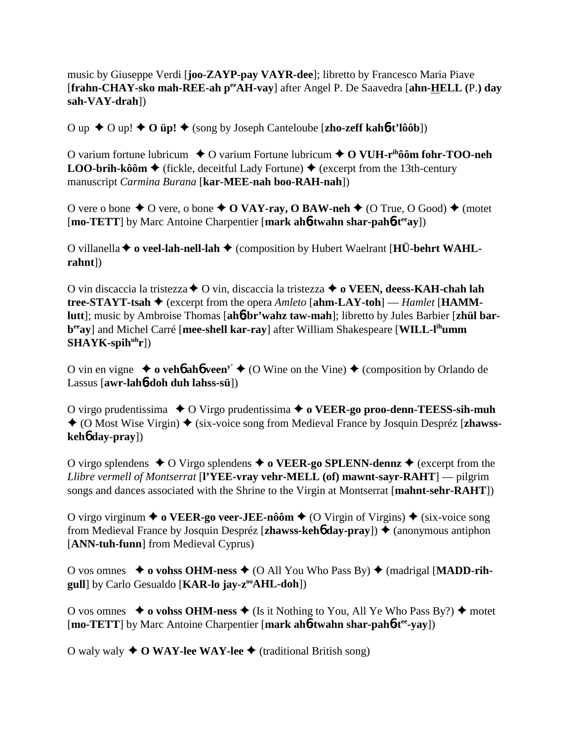music by Giuseppe Verdi [**joo-ZAYP-pay VAYR-dee**]; libretto by Francesco Maria Piave [**frahn-CHAY-sko mah-REE-ah peeAH-vay**] after Angel P. De Saavedra [**ahn-HELL (**P.**) day sah-VAY-drah**])

O up  $\blacklozenge$  O up!  $\blacklozenge$  O **üp!**  $\blacklozenge$  (song by Joseph Canteloube [**zho-zeff kah<sup>6</sup>-t'lôôb**])

O varium fortune lubricum **→** O varium Fortune lubricum → O VUH-r<sup>ih</sup>ôôm fohr-TOO-neh **LOO-brih-kôôm**  $\triangle$  (fickle, deceitful Lady Fortune)  $\triangle$  (excerpt from the 13th-century manuscript *Carmina Burana* [**kar-MEE-nah boo-RAH-nah**])

O vere o bone  $\triangle$  O vere, o bone  $\triangle$  **O VAY-ray, O BAW-neh**  $\triangle$  (O True, O Good)  $\triangle$  (motet [**mo-TETT**] by Marc Antoine Charpentier [**mark ah**6**-twahn shar-pah**6**-teeay**])

O villanella **o veel-lah-nell-lah** (composition by Hubert Waelrant [**HÜ-behrt WAHLrahnt**])

O vin discaccia la tristezza **→** O vin, discaccia la tristezza → **o VEEN, deess-KAH-chah lah tree-STAYT-tsah** (excerpt from the opera *Amleto* [**ahm-LAY-toh**] — *Hamlet* [**HAMMlutt**]; music by Ambroise Thomas [**ah**6**-br'wahz taw-mah**]; libretto by Jules Barbier [**zhül barbeeay**] and Michel Carré [**mee-shell kar-ray**] after William Shakespeare [**WILL-lihumm** SHAYK-spih<sup>uh</sup>r])

O vin en vigne  $\rightarrow$  **o vehb ahb veen<sup>y'</sup>**  $\rightarrow$  (O Wine on the Vine)  $\rightarrow$  (composition by Orlando de Lassus [**awr-lah**6**-doh duh lahss-sü**])

O virgo prudentissima **→** O Virgo prudentissima → **o VEER-go proo-denn-TEESS-sih-muh** ◆ (O Most Wise Virgin) ◆ (six-voice song from Medieval France by Josquin Despréz [zhawss**keh**6 **day-pray**])

O virgo splendens  $\triangle$  O Virgo splendens  $\triangle$  o **VEER-go SPLENN-dennz**  $\triangle$  (excerpt from the *Llibre vermell of Montserrat* [**l'YEE-vray vehr-MELL (of) mawnt-sayr-RAHT**] — pilgrim songs and dances associated with the Shrine to the Virgin at Montserrat [**mahnt-sehr-RAHT**])

O virgo virginum  $\triangleq$  **o VEER-go veer-JEE-nôôm**  $\triangleq$  (O Virgin of Virgins)  $\triangleq$  (six-voice song from Medieval France by Josquin Despréz [**zhawss-keh**6 **day-pray**]) (anonymous antiphon [**ANN-tuh-funn**] from Medieval Cyprus)

O vos omnes **↓ o vohss OHM-ness ♦** (O All You Who Pass By) ♦ (madrigal [MADD-rih**gull**] by Carlo Gesualdo [**KAR-lo jay-z<sup>oo</sup>AHL-doh**])

O vos omnes  $\rightarrow$  **o vohss OHM-ness**  $\rightarrow$  (Is it Nothing to You, All Ye Who Pass By?)  $\rightarrow$  motet [**mo-TETT**] by Marc Antoine Charpentier [**mark ah**6**-twahn shar-pah**6**-tee-yay**])

O waly waly  $\triangle$  **O WAY-lee WAY-lee**  $\triangle$  (traditional British song)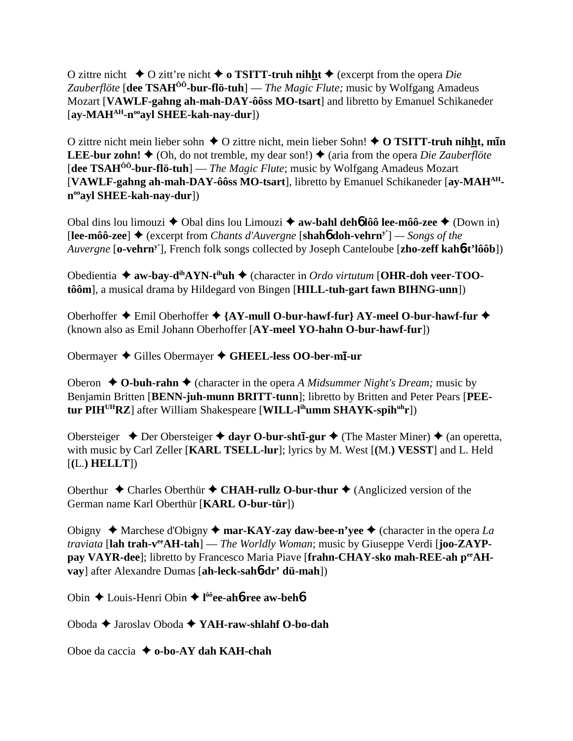O zittre nicht  $\triangle$  O zitt're nicht  $\triangle$  o **TSITT-truh nihht**  $\triangle$  (excerpt from the opera *Die Zauberflöte* [**dee TSAHÔÔ-bur-flö-tuh**] — *The Magic Flute;* music by Wolfgang Amadeus Mozart [**VAWLF-gahng ah-mah-DAY-ôôss MO-tsart**] and libretto by Emanuel Schikaneder [**ay-MAHAH-nooayl SHEE-kah-nay-dur**])

O zittre nicht mein lieber sohn ♦ O zittre nicht, mein lieber Sohn! ♦ O TSITT-truh nihht, min **LEE-bur zohn!**  $\triangleq$  (Oh, do not tremble, my dear son!)  $\triangleq$  (aria from the opera *Die Zauberflöte* [**dee TSAHÔÔ-bur-flö-tuh**] — *The Magic Flute*; music by Wolfgang Amadeus Mozart [**VAWLF-gahng ah-mah-DAY-ôôss MO-tsart**], libretto by Emanuel Schikaneder [**ay-MAHAHnooayl SHEE-kah-nay-dur**])

Obal dins lou limouzi **→** Obal dins lou Limouzi **→ aw-bahl deh<sup>6</sup> lôô lee-môô-zee** ◆ (Down in)  $[{\bf lee-môô\text{-}zee}]$   $\triangleq$  (excerpt from *Chants d'Auvergne* [shah**6** doh-vehrn<sup>y'</sup>] — *Songs of the Auvergne* [**o-vehrny'**], French folk songs collected by Joseph Canteloube [**zho-zeff kah**6**-t'lôôb**])

Obedientia **→ aw-bay-d<sup>ih</sup>AYN-t<sup>ih</sup>uh →** (character in *Ordo virtutum* [**OHR-doh veer-TOOtôôm**], a musical drama by Hildegard von Bingen [**HILL-tuh-gart fawn BIHNG-unn**])

Oberhoffer Emil Oberhoffer **{AY-mull O-bur-hawf-fur} AY-meel O-bur-hawf-fur** (known also as Emil Johann Oberhoffer [**AY-meel YO-hahn O-bur-hawf-fur**])

Obermayer ◆ Gilles Obermayer ◆ GHEEL-less OO-ber-m**ī**-ur

Oberon  $\triangle$  **O-buh-rahn**  $\triangle$  (character in the opera *A Midsummer Night's Dream;* music by Benjamin Britten [**BENN-juh-munn BRITT-tunn**]; libretto by Britten and Peter Pears [**PEEtur PIHUHRZ**] after William Shakespeare [**WILL-lihumm SHAYK-spihuhr**])

Obersteiger ◆ Der Obersteiger ◆ dayr O-bur-sht**ī-gur** ◆ (The Master Miner) ◆ (an operetta, with music by Carl Zeller [**KARL TSELL-lur**]; lyrics by M. West [**(**M.**) VESST**] and L. Held [**(**L.**) HELLT**])

Oberthur  $\triangle$  Charles Oberthür  $\triangle$  CHAH-rullz O-bur-thur  $\triangle$  (Anglicized version of the German name Karl Oberthür [**KARL O-bur-tür**])

Obigny  $\triangle$  Marchese d'Obigny  $\triangle$  mar-KAY-zay daw-bee-n'vee  $\triangle$  (character in the opera *La traviata* [**lah trah-veeAH-tah**] — *The Worldly Woman*; music by Giuseppe Verdi [**joo-ZAYP**pay VAYR-dee]; libretto by Francesco Maria Piave [frahn-CHAY-sko mah-REE-ah p<sup>ee</sup>AH**vay**] after Alexandre Dumas [**ah-leck-sah**6**-dr' dü-mah**])

Obin Louis-Henri Obin **l ôôee-ah**6**-ree aw-beh**6

Oboda Jaroslav Oboda **YAH-raw-shlahf O-bo-dah**

Oboe da caccia **o-bo-AY dah KAH-chah**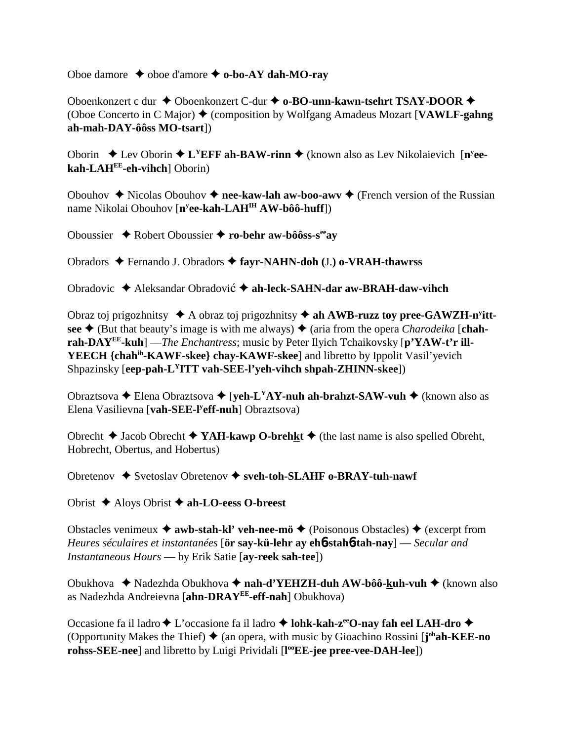Oboe damore  $\rightarrow$  oboe d'amore  $\rightarrow$  o-bo-AY dah-MO-ray

Oboenkonzert c dur ◆ Oboenkonzert C-dur ◆ o-BO-unn-kawn-tsehrt TSAY-DOOR ◆ (Oboe Concerto in C Major) (composition by Wolfgang Amadeus Mozart [**VAWLF-gahng ah-mah-DAY-ôôss MO-tsart**])

Oborin  $\triangle$  Lev Oborin  $\triangle$  L<sup>Y</sup>EFF ah-BAW-rinn  $\triangle$  (known also as Lev Nikolaievich [n<sup>y</sup>ee**kah-LAHEE-eh-vihch**] Oborin)

Obouhov  $\triangle$  Nicolas Obouhov  $\triangle$  nee-kaw-lah aw-boo-awv  $\triangle$  (French version of the Russian name Nikolai Obouhov [**ny ee-kah-LAHIH AW-bôô-huff**])

Oboussier Robert Oboussier **ro-behr aw-bôôss-seeay**

Obradors Fernando J. Obradors **fayr-NAHN-doh (**J.**) o-VRAH-thawrss**

Obradovic ◆ Aleksandar Obradović ◆ ah-leck-SAHN-dar aw-BRAH-daw-vihch

Obraz toj prigozhnitsy  $\triangleleft$  A obraz toj prigozhnitsy  $\triangleleft$  ah AWB-ruzz toy pree-GAWZH-n<sup>y</sup>ittsee  $\triangle$  (But that beauty's image is with me always)  $\triangle$  (aria from the opera *Charodeika* [chah**rah-DAYEE-kuh**] —*The Enchantress*; music by Peter Ilyich Tchaikovsky [**p'YAW-t'r ill-YEECH {chahih-KAWF-skee} chay-KAWF-skee**] and libretto by Ippolit Vasil'yevich Shpazinsky [**eep-pah-LYITT vah-SEE-l'yeh-vihch shpah-ZHINN-skee**])

Obraztsova **→** Elena Obraztsova → [**yeh-L<sup>Y</sup>AY-nuh ah-brahzt-SAW-vuh →** (known also as Elena Vasilievna [**vah-SEE-ly eff-nuh**] Obraztsova)

Obrecht  $\blacklozenge$  Jacob Obrecht  $\blacklozenge$  **YAH-kawp O-brehkt**  $\blacklozenge$  (the last name is also spelled Obreht, Hobrecht, Obertus, and Hobertus)

Obretenov Svetoslav Obretenov **sveh-toh-SLAHF o-BRAY-tuh-nawf**

Obrist Aloys Obrist **ah-LO-eess O-breest**

Obstacles venimeux  $\triangleq$  awb-stah-kl' veh-nee-mö  $\triangleq$  (Poisonous Obstacles)  $\triangleq$  (excerpt from *Heures séculaires et instantanées* [**ör say-kü-lehr ay eh**6**-stah**6**-tah-nay**] — *Secular and Instantaneous Hours* — by Erik Satie [**ay-reek sah-tee**])

Obukhova Nadezhda Obukhova **nah-d'YEHZH-duh AW-bôô-kuh-vuh** (known also as Nadezhda Andreievna [**ahn-DRAYEE-eff-nah**] Obukhova)

Occasione fa il ladro **↓** L'occasione fa il ladro **↓ lohk-kah-z<sup>ee</sup>O-nay fah eel LAH-dro ◆** (Opportunity Makes the Thief) ♦ (an opera, with music by Gioachino Rossini [**j**<sup>oh</sup>**ah-KEE-no rohss-SEE-nee**] and libretto by Luigi Prividali [**l ooEE-jee pree-vee-DAH-lee**])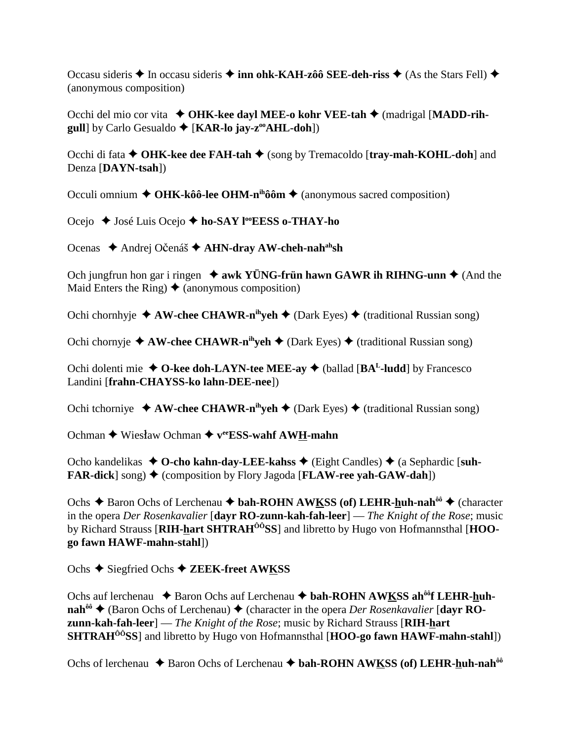Occasu sideris **→** In occasu sideris **→ inn ohk-KAH-zôô SEE-deh-riss** → (As the Stars Fell) → (anonymous composition)

Occhi del mio cor vita **OHK-kee dayl MEE-o kohr VEE-tah**  (madrigal [**MADD-rihgull**] by Carlo Gesualdo  $\blacklozenge$  [**KAR-lo jay-z<sup>oo</sup>AHL-doh**])

Occhi di fata **↑ OHK-kee dee FAH-tah ◆** (song by Tremacoldo [tray-mah-KOHL-doh] and Denza [**DAYN-tsah**])

Occuli omnium **← OHK-kôô-lee OHM-n<sup>ih</sup>ôôm ←** (anonymous sacred composition)

Ocejo **→** José Luis Ocejo → ho-SAY l<sup>oo</sup>EESS o-THAY-ho

Ocenas ◆ Andrej Očenáš **◆ AHN-dray AW-cheh-nah<sup>ah</sup>sh** 

Och jungfrun hon gar i ringen  $\triangleq$  awk YÜNG-frün hawn GAWR ih RIHNG-unn  $\triangleq$  (And the Maid Enters the Ring)  $\triangle$  (anonymous composition)

Ochi chornhyje  $\triangle$  AW-chee CHAWR-n<sup>ih</sup>yeh  $\triangle$  (Dark Eyes)  $\triangle$  (traditional Russian song)

Ochi chornyje  $\triangle$  AW-chee CHAWR-n<sup>ih</sup>yeh  $\triangle$  (Dark Eyes)  $\triangle$  (traditional Russian song)

Ochi dolenti mie  $\triangle$  O-kee doh-LAYN-tee MEE-ay  $\triangle$  (ballad [BA<sup>L</sup>-ludd] by Francesco Landini [**frahn-CHAYSS-ko lahn-DEE-nee**])

Ochi tchorniye  $\triangle$  **AW-chee CHAWR-n<sup>ih</sup>yeh**  $\triangle$  (Dark Eyes)  $\triangle$  (traditional Russian song)

Ochman ◆ Wiesław Ochman ◆ v<sup>ee</sup>ESS-wahf AWH-mahn

Ocho kandelikas ◆ O-cho kahn-day-LEE-kahss ◆ (Eight Candles) ◆ (a Sephardic [suh-**FAR-dick**  $\text{song}$   $\blacklozenge$  (composition by Flory Jagoda [**FLAW-ree yah-GAW-dah**])

Ochs **→** Baron Ochs of Lerchenau ◆ bah-ROHN AWKSS (of) LEHR-huh-nah<sup>ôô</sup> ◆ (character in the opera *Der Rosenkavalier* [**dayr RO-zunn-kah-fah-leer**] — *The Knight of the Rose*; music by Richard Strauss [**RIH-hart SHTRAHÔÔSS**] and libretto by Hugo von Hofmannsthal [**HOOgo fawn HAWF-mahn-stahl**])

Ochs ◆ Siegfried Ochs ◆ ZEEK-freet AWKSS

Ochs auf lerchenau ◆ Baron Ochs auf Lerchenau ◆ bah-ROHN AWKSS ah<sup>ôô</sup>f LEHR-huh**nah<sup>ôô</sup> ♦ (Baron Ochs of Lerchenau) ♦ (character in the opera** *Der Rosenkavalier* **[dayr ROzunn-kah-fah-leer**] — *The Knight of the Rose*; music by Richard Strauss [**RIH-hart SHTRAHÔÔSS**] and libretto by Hugo von Hofmannsthal [**HOO-go fawn HAWF-mahn-stahl**])

Ochs of lerchenau **→** Baron Ochs of Lerchenau **→ bah-ROHN AWKSS (of) LEHR-huh-nah**<sup>ôô</sup>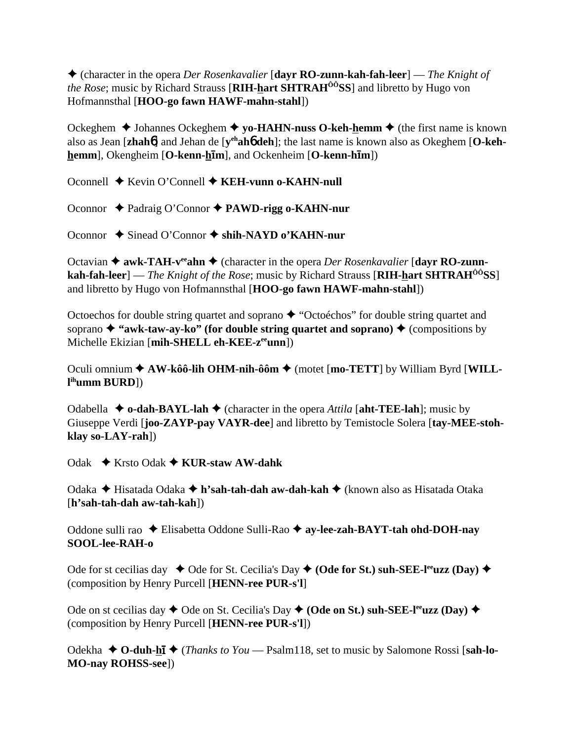(character in the opera *Der Rosenkavalier* [**dayr RO-zunn-kah-fah-leer**] — *The Knight of the Rose*; music by Richard Strauss [**RIH-hart SHTRAHÔÔSS**] and libretto by Hugo von Hofmannsthal [**HOO-go fawn HAWF-mahn-stahl**])

Ockeghem  $\triangle$  Johannes Ockeghem  $\triangle$  yo-**HAHN-nuss O-keh-hemm**  $\triangle$  (the first name is known also as Jean [**zhah**6] and Jehan de [**yehah**6 **deh**]; the last name is known also as Okeghem [**O-kehhemm**], Okengheim [**O-kenn-h**-**m**], and Ockenheim [**O-kenn-h**-**m**])

Oconnell ♦ Kevin O'Connell ♦ **KEH-vunn o-KAHN-null** 

Oconnor Padraig O'Connor **PAWD-rigg o-KAHN-nur**

Oconnor **→** Sinead O'Connor → shih-NAYD o'KAHN-nur

Octavian ◆ awk-TAH-v<sup>ee</sup>ahn ◆ (character in the opera *Der Rosenkavalier* [dayr RO-zunn**kah-fah-leer**] — *The Knight of the Rose*; music by Richard Strauss [**RIH-hart SHTRAHÔÔSS**] and libretto by Hugo von Hofmannsthal [**HOO-go fawn HAWF-mahn-stahl**])

Octoechos for double string quartet and soprano  $\triangle$  "Octoéchos" for double string quartet and soprano  $\triangle$  "awk-taw-ay-ko" (for double string quartet and soprano)  $\triangle$  (compositions by Michelle Ekizian [**mih-SHELL eh-KEE-zeeunn**])

Oculi omnium ◆ AW-kôô-lih OHM-nih-ôôm ◆ (motet [mo-TETT] by William Byrd [WILL**l ihumm BURD**])

Odabella  $\triangle$  **o-dah-BAYL-lah**  $\triangle$  (character in the opera *Attila* [aht-TEE-lah]; music by Giuseppe Verdi [**joo-ZAYP-pay VAYR-dee**] and libretto by Temistocle Solera [**tay-MEE-stohklay so-LAY-rah**])

Odak Krsto Odak **KUR-staw AW-dahk**

Odaka Hisatada Odaka **h'sah-tah-dah aw-dah-kah** (known also as Hisatada Otaka [**h'sah-tah-dah aw-tah-kah**])

Oddone sulli rao Elisabetta Oddone Sulli-Rao **ay-lee-zah-BAYT-tah ohd-DOH-nay SOOL-lee-RAH-o**

Ode for st cecilias day  $\triangleleft$  Ode for St. Cecilia's Day  $\triangleleft$  (Ode for St.) suh-SEE-l<sup>ee</sup>uzz (Day)  $\triangleleft$ (composition by Henry Purcell [**HENN-ree PUR-s'l**]

Ode on st cecilias day  $\blacklozenge$  Ode on St. Cecilia's Day  $\blacklozenge$  (Ode on St.) suh-SEE-l<sup>ee</sup>uzz (Day)  $\blacklozenge$ (composition by Henry Purcell [**HENN-ree PUR-s'l**])

Odekha ◆ O-duh-hi ◆ (*Thanks to You* — Psalm118, set to music by Salomone Rossi [sah-lo-**MO-nay ROHSS-see**])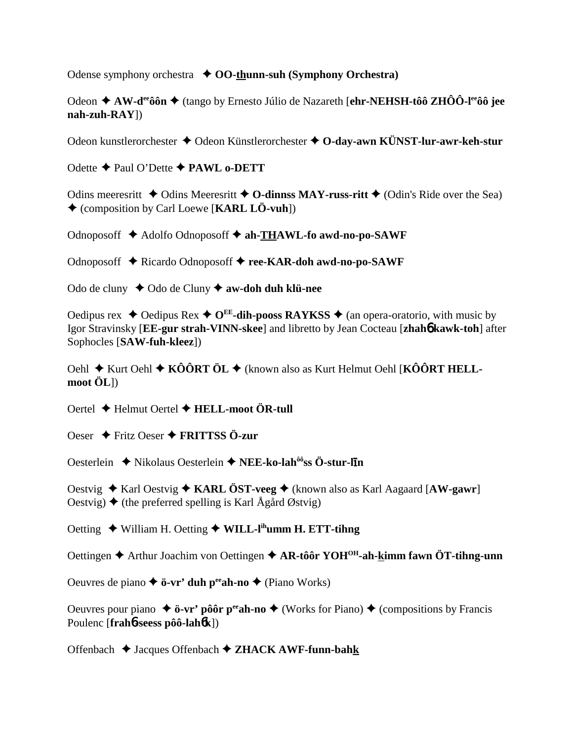Odense symphony orchestra  $\triangle$  OO-thunn-suh (Symphony Orchestra)

Odeon  $\triangle$  AW-d<sup>ee</sup> ô în  $\triangle$  (tango by Ernesto Júlio de Nazareth [ehr-NEHSH-tô îz ZHÔ Ô-l<sup>ee</sup> ô îee  $nah-zuh-RAY$ ])

Odeon kunstlerorchester  $\triangle$  Odeon Künstlerorchester  $\triangle$  O-day-awn KÜNST-lur-awr-keh-stur

Odette  $\triangle$  Paul O'Dette  $\triangle$  PAWL o-DETT

Odins meeresritt  $\triangle$  Odins Meeresritt  $\triangle$  O-dinnss MAY-russ-ritt  $\triangle$  (Odin's Ride over the Sea)  $\triangle$  (composition by Carl Loewe [KARL LÖ-vuh])

Odnoposoff ◆ Adolfo Odnoposoff ◆ ah-THAWL-fo awd-no-po-SAWF

Odnoposoff ◆ Ricardo Odnoposoff ◆ ree-KAR-doh awd-no-po-SAWF

Odo de cluny  $\triangle$  Odo de Cluny  $\triangle$  aw-doh duh klü-nee

Oedipus rex  $\triangleleft$  Oedipus Rex  $\triangleleft$  O<sup>EE</sup>-dih-pooss RAYKSS  $\triangleleft$  (an opera-oratorio, with music by Igor Stravinsky [EE-gur strah-VINN-skee] and libretto by Jean Cocteau [zhahó kawk-toh] after Sophocles [SAW-fuh-kleez])

Oehl ◆ Kurt Oehl ◆ KÔÔRT ÖL ◆ (known also as Kurt Helmut Oehl [KÔÔRT HELL- $\text{mod} \ddot{\text{OL}}$ 

Oertel  $\bigstar$  Helmut Oertel  $\bigstar$  HELL-moot ÖR-tull

Oeser  $\rightarrow$  Fritz Oeser  $\rightarrow$  FRITTSS Ö-zur

Oesterlein ◆ Nikolaus Oesterlein ◆ NEE-ko-lah<sup>ôô</sup>ss Ö-stur-lin

Oestvig  $\triangle$  Karl Oestvig  $\triangle$  KARL ÖST-veeg  $\triangle$  (known also as Karl Aagaard [AW-gawr] Oestyig)  $\triangle$  (the preferred spelling is Karl  $\hat{A}$ gård Østyig)

Oetting ◆ William H. Oetting ◆ WILL-I<sup>th</sup>umm H. ETT-tihng

Oettingen ♦ Arthur Joachim von Oettingen ♦ AR-tôôr YOH<sup>OH</sup>-ah-kimm fawn ÖT-tihng-unn

Oeuvres de piano  $\triangle$  ö-vr' duh p<sup>ee</sup> ah-no  $\triangle$  (Piano Works)

Oeuvres pour piano  $\triangleq$  ö-vr' pôôr p<sup>ee</sup> ah-no  $\triangleq$  (Works for Piano)  $\triangleq$  (compositions by Francis Poulenc [frahb-seess pôô-lahbk])

Offenbach  $\triangleleft$  Jacques Offenbach  $\triangleleft$  ZHACK AWF-funn-bahk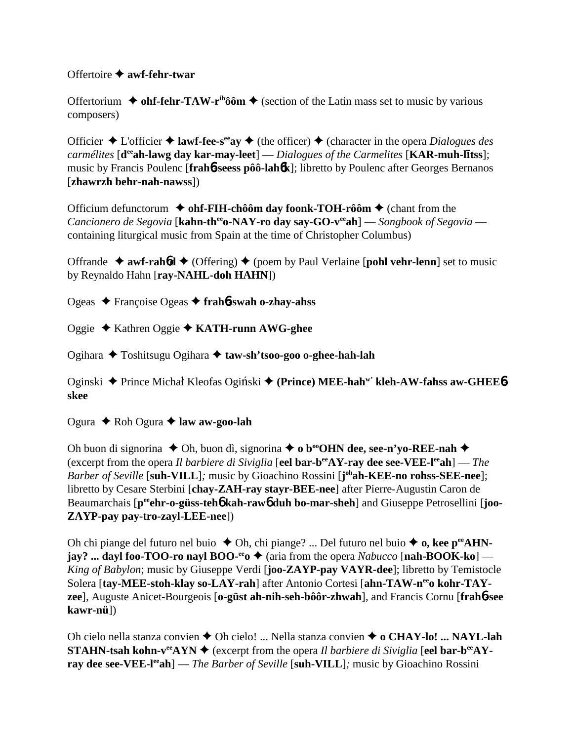Offertoire **awf-fehr-twar**

Offertorium  $\triangleq$  ohf-fehr-TAW-r<sup>ih</sup>ôôm  $\triangleq$  (section of the Latin mass set to music by various composers)

Officier  $\triangle$  L'officier  $\triangle$  **lawf-fee-s<sup>ee</sup>ay**  $\triangle$  (the officer)  $\triangle$  (character in the opera *Dialogues des* carmélites [d<sup>ee</sup>ah-lawg day kar-may-leet] — *Dialogues of the Carmelites* [KAR-muh-litss]; music by Francis Poulenc [**frah**6**-seess pôô-lah**6**k**]; libretto by Poulenc after Georges Bernanos [**zhawrzh behr-nah-nawss**])

Officium defunctorum **→ ohf-FIH-chôôm day foonk-TOH-rôôm →** (chant from the *Cancionero de Segovia* [**kahn-th<sup>ee</sup>o-NAY-ro day say-GO-v<sup>ee</sup>ah**] — *Songbook of Segovia* containing liturgical music from Spain at the time of Christopher Columbus)

Offrande  $\rightarrow$  awf-rahold  $\rightarrow$  (Offering)  $\rightarrow$  (poem by Paul Verlaine [pohl vehr-lenn] set to music by Reynaldo Hahn [**ray-NAHL-doh HAHN**])

Ogeas Françoise Ogeas **frah**6**-swah o-zhay-ahss**

Oggie Kathren Oggie **KATH-runn AWG-ghee**

Ogihara Toshitsugu Ogihara **taw-sh'tsoo-goo o-ghee-hah-lah**

Oginski ◆ Prince Michał Kleofas Ogiński ◆ (Prince) MEE-hah<sup>w'</sup> kleh-AW-fahss aw-GHEE6**skee**

Ogura **← Roh Ogura ← law aw-goo-lah** 

Oh buon di signorina  $\blacklozenge$  Oh, buon dì, signorina  $\blacklozenge$  o b<sup>oo</sup>OHN dee, see-n'yo-REE-nah  $\blacklozenge$ (excerpt from the opera *Il barbiere di Siviglia* [**eel bar-beeAY-ray dee see-VEE-leeah**] — *The Barber of Seville* [**suh-VILL**]*;* music by Gioachino Rossini [**j ohah-KEE-no rohss-SEE-nee**]; libretto by Cesare Sterbini [**chay-ZAH-ray stayr-BEE-nee**] after Pierre-Augustin Caron de Beaumarchais [p<sup>ee</sup>ehr-o-güss-teh**6** kah-raw6 duh bo-mar-sheh] and Giuseppe Petrosellini [joo-**ZAYP-pay pay-tro-zayl-LEE-nee**])

Oh chi piange del futuro nel buio  $\triangle$  Oh, chi piange? ... Del futuro nel buio  $\triangle$  **o, kee p<sup>ee</sup>AHN jay?** ... dayl foo-TOO-ro nayl BOO-<sup>ee</sup>o  $\triangle$  (aria from the opera *Nabucco* [nah-BOOK-ko] — *King of Babylon*; music by Giuseppe Verdi [**joo-ZAYP-pay VAYR-dee**]; libretto by Temistocle Solera [tay-MEE-stoh-klay so-LAY-rah] after Antonio Cortesi [ahn-TAW-n<sup>ee</sup>o kohr-TAY**zee**], Auguste Anicet-Bourgeois [**o-güst ah-nih-seh-bôôr-zhwah**], and Francis Cornu [**frah**6**-see kawr-nü**])

Oh cielo nella stanza convien **→** Oh cielo! ... Nella stanza convien → **o CHAY-lo! ... NAYL-lah STAHN-tsah kohn-v<sup>ee</sup>AYN**  $\blacklozenge$  (excerpt from the opera *Il barbiere di Siviglia* [eel bar-b<sup>ee</sup>AY**ray dee see-VEE-leeah**] — *The Barber of Seville* [**suh-VILL**]*;* music by Gioachino Rossini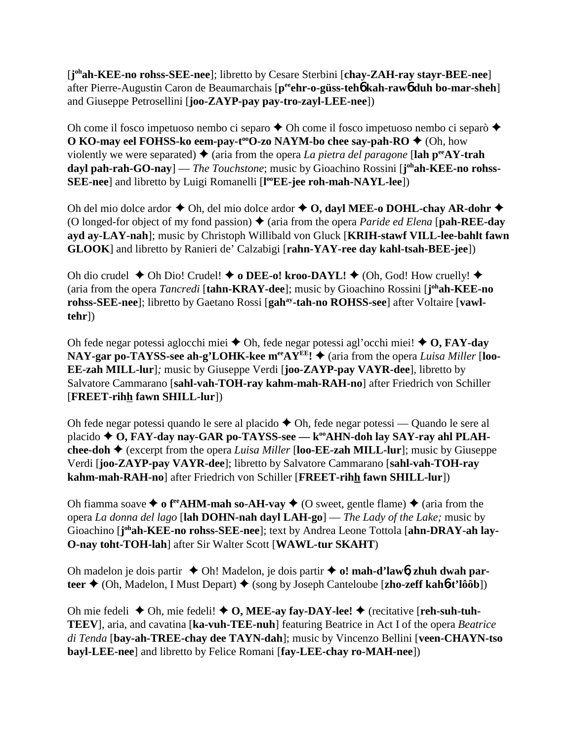[**j ohah-KEE-no rohss-SEE-nee**]; libretto by Cesare Sterbini [**chay-ZAH-ray stayr-BEE-nee**] after Pierre-Augustin Caron de Beaumarchais [**peeehr-o-güss-teh**6 **kah-raw**6 **duh bo-mar-sheh**] and Giuseppe Petrosellini [**joo-ZAYP-pay pay-tro-zayl-LEE-nee**])

Oh come il fosco impetuoso nembo ci separo  $\triangle$  Oh come il fosco impetuoso nembo ci separò  $\triangle$ **O KO-may eel FOHSS-ko eem-pay-t<sup>oo</sup>O-zo NAYM-bo chee say-pah-RO ♦** (Oh, how violently we were separated)  $\triangle$  (aria from the opera *La pietra del paragone* [**lah p<sup>ee</sup>AY-trah** dayl pah-rah-GO-nay] — *The Touchstone*; music by Gioachino Rossini [j<sup>oh</sup>ah-KEE-no rohss-**SEE-nee**] and libretto by Luigi Romanelli [**l ooEE-jee roh-mah-NAYL-lee**])

Oh del mio dolce ardor  $\blacklozenge$  Oh, del mio dolce ardor  $\blacklozenge$  O, dayl MEE-o DOHL-chay AR-dohr  $\blacklozenge$ (O longed-for object of my fond passion)  $\blacklozenge$  (aria from the opera *Paride ed Elena* [**pah-REE-day ayd ay-LAY-nah**]; music by Christoph Willibald von Gluck [**KRIH-stawf VILL-lee-bahlt fawn GLOOK**] and libretto by Ranieri de' Calzabigi [**rahn-YAY-ree day kahl-tsah-BEE-jee**])

Oh dio crudel  $\blacklozenge$  Oh Dio! Crudel!  $\blacklozenge$  **o DEE-o! kroo-DAYL!**  $\blacklozenge$  (Oh, God! How cruelly!  $\blacklozenge$ (aria from the opera *Tancredi* [**tahn-KRAY-dee**]; music by Gioachino Rossini [**j ohah-KEE-no** rohss-SEE-nee]; libretto by Gaetano Rossi [gah<sup>ay</sup>-tah-no ROHSS-see] after Voltaire [vawl**tehr**])

Oh fede negar potessi aglocchi miei  $\triangle$  Oh, fede negar potessi agl'occhi miei!  $\triangle$  O, FAY-day NAY-gar po-TAYSS-see ah-g'LOHK-kee m<sup>ee</sup>AY<sup>EE</sup>!  $\blacklozenge$  (aria from the opera *Luisa Miller* [loo-**EE-zah MILL-lur**]*;* music by Giuseppe Verdi [**joo-ZAYP-pay VAYR-dee**], libretto by Salvatore Cammarano [**sahl-vah-TOH-ray kahm-mah-RAH-no**] after Friedrich von Schiller [**FREET-rihh fawn SHILL-lur**])

Oh fede negar potessi quando le sere al placido  $\triangle$  Oh, fede negar potessi — Quando le sere al placido **↑ O, FAY-day nay-GAR po-TAYSS-see — k<sup>oo</sup>AHN-doh lay SAY-ray ahl PLAHchee-doh**  $\triangle$  (excerpt from the opera *Luisa Miller* [loo-**EE-zah MILL-lur**]; music by Giuseppe Verdi [**joo-ZAYP-pay VAYR-dee**]; libretto by Salvatore Cammarano [**sahl-vah-TOH-ray kahm-mah-RAH-no**] after Friedrich von Schiller [**FREET-rihh fawn SHILL-lur**])

Oh fiamma soave  $\triangleq$  o f<sup>re</sup> AHM-mah so-AH-vay  $\triangleq$  (O sweet, gentle flame)  $\triangleq$  (aria from the opera *La donna del lago* [**lah DOHN-nah dayl LAH-go**] — *The Lady of the Lake;* music by Gioachino [j<sup>oh</sup>ah-KEE-no rohss-SEE-nee]; text by Andrea Leone Tottola [ahn-DRAY-ah lay-**O-nay toht-TOH-lah**] after Sir Walter Scott [**WAWL-tur SKAHT**)

Oh madelon je dois partir  $\triangle$  Oh! Madelon, je dois partir  $\triangle$  o! mah-d'law**6**, zhuh dwah par**teer ♦** (Oh, Madelon, I Must Depart) ♦ (song by Joseph Canteloube [**zho-zeff kah6-t'lôôb**])

Oh mie fedeli  $\blacklozenge$  Oh, mie fedeli!  $\blacklozenge$  O, MEE-ay fay-DAY-lee!  $\blacklozenge$  (recitative [reh-suh-tuh-**TEEV**], aria, and cavatina [**ka-vuh-TEE-nuh**] featuring Beatrice in Act I of the opera *Beatrice di Tenda* [**bay-ah-TREE-chay dee TAYN-dah**]; music by Vincenzo Bellini [**veen-CHAYN-tso bayl-LEE-nee**] and libretto by Felice Romani [**fay-LEE-chay ro-MAH-nee**])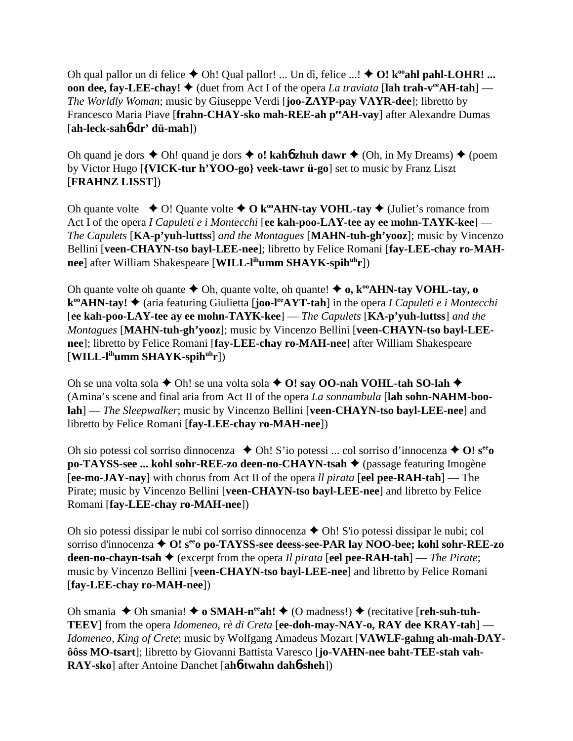Oh qual pallor un di felice  $\blacklozenge$  Oh! Qual pallor! ... Un dì, felice ...!  $\blacklozenge$  O! k<sup>oo</sup>ahl pahl-LOHR! ... **oon dee, fay-LEE-chay!**  $\blacklozenge$  (duet from Act I of the opera *La traviata* [lah trah-v<sup>ee</sup>AH-tah] — *The Worldly Woman*; music by Giuseppe Verdi [**joo-ZAYP-pay VAYR-dee**]; libretto by Francesco Maria Piave [frahn-CHAY-sko mah-REE-ah per AH-vay] after Alexandre Dumas [**ah-leck-sah**6**-dr' dü-mah**])

Oh quand je dors  $\triangle$  Oh! quand je dors  $\triangle$  o! kaho zhuh dawr  $\triangle$  (Oh, in My Dreams)  $\triangle$  (poem by Victor Hugo [**{VICK-tur h'YOO-go} veek-tawr ü-go**] set to music by Franz Liszt [**FRAHNZ LISST**])

Oh quante volte  $\triangle$  O! Quante volte  $\triangle$  O k<sup>oo</sup>AHN-tay VOHL-tay  $\triangle$  (Juliet's romance from Act I of the opera *I Capuleti e i Montecchi* [**ee kah-poo-LAY-tee ay ee mohn-TAYK-kee**] — *The Capulets* [**KA-p'yuh-luttss**] *and the Montagues* [**MAHN-tuh-gh'yooz**]; music by Vincenzo Bellini [**veen-CHAYN-tso bayl-LEE-nee**]; libretto by Felice Romani [**fay-LEE-chay ro-MAHnee**] after William Shakespeare [**WILL-lihumm SHAYK-spihuhr**])

Oh quante volte oh quante  $\triangle$  Oh, quante volte, oh quante!  $\triangle$  **o**,  $k^{\omega}$ **AHN-tay VOHL-tay, o k<sup>∞</sup>AHN-tay! ◆** (aria featuring Giulietta [**joo-l<sup>ee</sup>AYT-tah**] in the opera *I Capuleti e i Montecchi* [**ee kah-poo-LAY-tee ay ee mohn-TAYK-kee**] — *The Capulets* [**KA-p'yuh-luttss**] *and the Montagues* [**MAHN-tuh-gh'yooz**]; music by Vincenzo Bellini [**veen-CHAYN-tso bayl-LEEnee**]; libretto by Felice Romani [**fay-LEE-chay ro-MAH-nee**] after William Shakespeare [**WILL-lihumm SHAYK-spihuhr**])

Oh se una volta sola  $\blacklozenge$  Oh! se una volta sola  $\blacklozenge$  O! say OO-nah VOHL-tah SO-lah  $\blacklozenge$ (Amina's scene and final aria from Act II of the opera *La sonnambula* [**lah sohn-NAHM-boolah**] — *The Sleepwalker*; music by Vincenzo Bellini [**veen-CHAYN-tso bayl-LEE-nee**] and libretto by Felice Romani [**fay-LEE-chay ro-MAH-nee**])

Oh sio potessi col sorriso dinnocenza  $\triangle$  Oh! S'io potessi ... col sorriso d'innocenza  $\triangle$  O!  $s^{ee}$ **po-TAYSS-see ... kohl sohr-REE-zo deen-no-CHAYN-tsah ♦** (passage featuring Imogène [**ee-mo-JAY-nay**] with chorus from Act II of the opera *ll pirata* [**eel pee-RAH-tah**] — The Pirate; music by Vincenzo Bellini [**veen-CHAYN-tso bayl-LEE-nee**] and libretto by Felice Romani [**fay-LEE-chay ro-MAH-nee**])

Oh sio potessi dissipar le nubi col sorriso dinnocenza  $\triangle$  Oh! S'io potessi dissipar le nubi; col sorriso d'innocenza  $\triangle$  **O!** s<sup>ee</sup>o po-TAYSS-see deess-see-PAR lay NOO-bee; kohl sohr-REE-zo **deen-no-chayn-tsah** (excerpt from the opera *Il pirata* [**eel pee-RAH-tah**] — *The Pirate*; music by Vincenzo Bellini [**veen-CHAYN-tso bayl-LEE-nee**] and libretto by Felice Romani [**fay-LEE-chay ro-MAH-nee**])

Oh smania  $\blacklozenge$  Oh smania!  $\blacklozenge$  **o SMAH-n<sup>ee</sup>ah!**  $\blacklozenge$  (O madness!)  $\blacklozenge$  (recitative [**reh-suh-tuh-TEEV**] from the opera *Idomeneo, rè di Creta* [**ee-doh-may-NAY-o, RAY dee KRAY-tah**] — *Idomeneo, King of Crete*; music by Wolfgang Amadeus Mozart [**VAWLF-gahng ah-mah-DAYôôss MO-tsart**]; libretto by Giovanni Battista Varesco [**jo-VAHN-nee baht-TEE-stah vah-RAY-sko**] after Antoine Danchet [**ah**6**-twahn dah**6**-sheh**])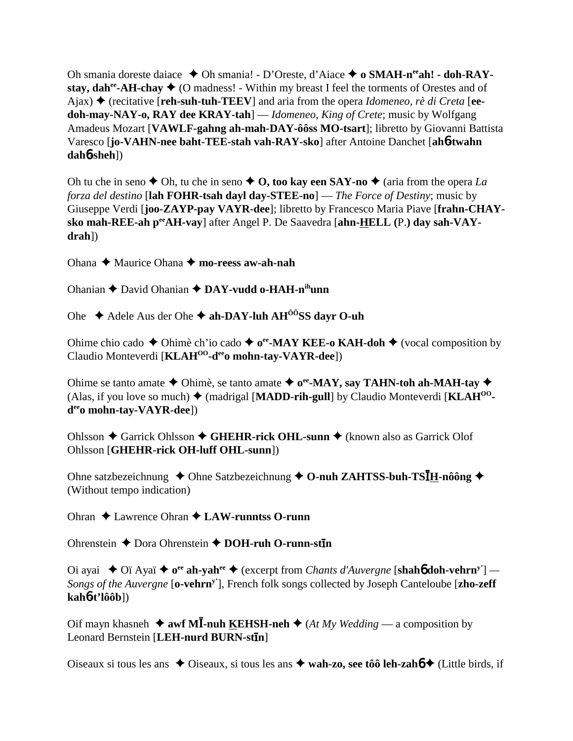Oh smania doreste daiace  $\triangle$  Oh smania! - D'Oreste, d'Aiace  $\triangle$  o SMAH-n<sup>ee</sup>ah! - doh-RAYstay, dah<sup>ee</sup>-AH-chay  $\triangleq$  (O madness! - Within my breast I feel the torments of Orestes and of Ajax)  $\triangle$  (recitative [reh-suh-tuh-TEEV] and aria from the opera *Idomeneo, rè di Creta* [eedoh-may-NAY-o, RAY dee KRAY-tah $]-$  *Idomeneo, King of Crete;* music by Wolfgang Amadeus Mozart [VAWLF-gahng ah-mah-DAY-ôôss MO-tsart]; libretto by Giovanni Battista Varesco [jo-VAHN-nee baht-TEE-stah vah-RAY-sko] after Antoine Danchet [ah6-twahn]  $dahb-sheh$ ])

Oh tu che in seno  $\triangle$  Oh, tu che in seno  $\triangle$  O, too kay een SAY-no  $\triangle$  (aria from the opera La forza del destino [lah FOHR-tsah dayl day-STEE-no] — The Force of Destiny; music by Giuseppe Verdi [joo-ZAYP-pay VAYR-dee]; libretto by Francesco Maria Piave [frahn-CHAYsko mah-REE-ah pee AH-vay] after Angel P. De Saavedra [ahn-HELL (P.) day sah-VAY $drah$ ])

Ohana  $\triangle$  Maurice Ohana  $\triangle$  mo-reess aw-ah-nah

Ohanian ← David Ohanian ← DAY-vudd o-HAH-nihunn

Ohe  $\triangle$  Adele Aus der Ohe  $\triangle$  ah-DAY-luh AH<sup> $\hat{o}$ ôSS dayr O-uh</sup>

Ohime chio cado  $\triangle$  Ohimè ch'io cado  $\triangle$  o<sup>e</sup>-MAY KEE-o KAH-doh  $\triangle$  (vocal composition by Claudio Monteverdi [KLAH<sup>00</sup>-d<sup>ee</sup>o mohn-tay-VAYR-dee])

Ohime se tanto amate  $\triangle$  Ohimè, se tanto amate  $\triangle$  o<sup>e</sup> MAY, say TAHN-toh ah-MAH-tay  $\triangle$ (Alas, if you love so much)  $\blacklozenge$  (madrigal [MADD-rih-gull] by Claudio Monteverdi [KLAH<sup>00</sup> $d^{ee}$ o mohn-tay-VAYR-dee])

Ohlsson ← Garrick Ohlsson ← GHEHR-rick OHL-sunn ← (known also as Garrick Olof Ohlsson [GHEHR-rick OH-luff OHL-sunn])

Ohne satzbezeichnung  $\triangle$  Ohne Satzbezeichnung  $\triangle$  O-nuh ZAHTSS-buh-TS $I_{H}$ -nôông  $\triangle$ (Without tempo indication)

Ohran  $\triangle$  Lawrence Ohran  $\triangle$  LAW-runntss O-runn

Ohrenstein  $\triangle$  Dora Ohrenstein  $\triangle$  DOH-ruh O-runn-stin

Oi ayai  $\triangle$  Oï Ayaï  $\triangle$  o<sup>ee</sup> ah-yah<sup>ee</sup>  $\triangle$  (excerpt from *Chants d'Auvergne* [shahb doh-vehrn<sup>y'</sup>] — Songs of the Auvergne [o-vehrn<sup>y'</sup>], French folk songs collected by Joseph Canteloube [zho-zeff]  $kah6-t'lôôb]$ 

Oif mayn khasneh  $\triangleq$  awf MI-nuh KEHSH-neh  $\triangleq$  (At My Wedding — a composition by Leonard Bernstein [LEH-nurd BURN-stin]

Oiseaux si tous les ans  $\triangle$  Oiseaux, si tous les ans  $\triangle$  wah-zo, see tôô leh-zahó  $\triangle$  (Little birds, if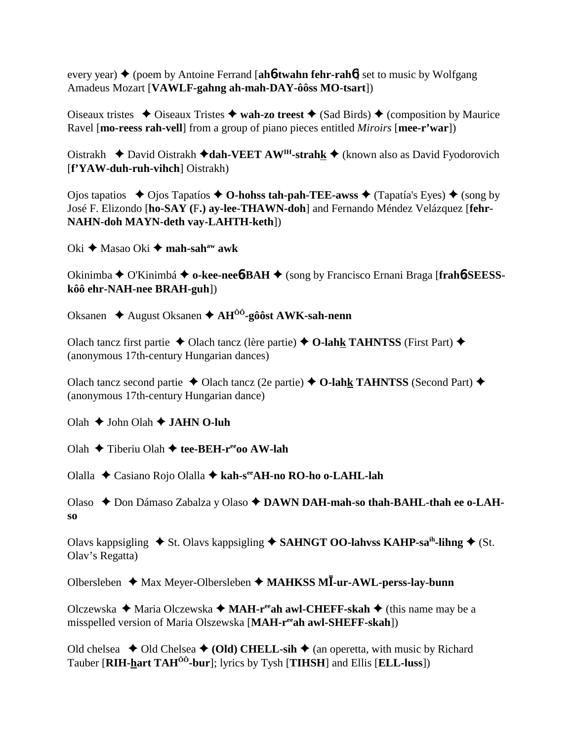every year) **→** (poem by Antoine Ferrand [**ah<sup>6</sup>-twahn fehr-rah<sup>6</sup>**] set to music by Wolfgang Amadeus Mozart [**VAWLF-gahng ah-mah-DAY-ôôss MO-tsart**])

Oiseaux tristes  $\triangle$  Oiseaux Tristes  $\triangle$  wah-zo treest  $\triangle$  (Sad Birds)  $\triangle$  (composition by Maurice Ravel [**mo-reess rah-vell**] from a group of piano pieces entitled *Miroirs* [**mee-r'war**])

Oistrakh **→** David Oistrakh → dah-VEET AW<sup>IH</sup>-strahk → (known also as David Fyodorovich [**f'YAW-duh-ruh-vihch**] Oistrakh)

Ojos tapatios  $\rightarrow$  Ojos Tapatíos  $\rightarrow$  **O-hohss tah-pah-TEE-awss**  $\rightarrow$  (Tapatía's Eyes)  $\rightarrow$  (song by José F. Elizondo [**ho-SAY (**F**.) ay-lee-THAWN-doh**] and Fernando Méndez Velázquez [**fehr-NAHN-doh MAYN-deth vay-LAHTH-keth**])

Oki **→** Masao Oki → mah-sah<sup>aw</sup> awk

Okinimba O'Kinimbá **o-kee-nee**6**-BAH** (song by Francisco Ernani Braga [**frah**6**-SEESSkôô ehr-NAH-nee BRAH-guh**])

Oksanen August Oksanen **AHÔÔ-gôôst AWK-sah-nenn**

Olach tancz first partie  $\triangle$  Olach tancz (lère partie)  $\triangle$  O-lahk TAHNTSS (First Part)  $\triangle$ (anonymous 17th-century Hungarian dances)

Olach tancz second partie  $\triangle$  Olach tancz (2e partie)  $\triangle$  **O-lahk TAHNTSS** (Second Part)  $\triangle$ (anonymous 17th-century Hungarian dance)

Olah  $\triangle$  John Olah  $\triangle$  **JAHN O-luh** 

Olah Tiberiu Olah **tee-BEH-reeoo AW-lah**

Olalla Casiano Rojo Olalla **kah-seeAH-no RO-ho o-LAHL-lah**

Olaso Don Dámaso Zabalza y Olaso **DAWN DAH-mah-so thah-BAHL-thah ee o-LAHso**

Olavs kappsigling  $\triangle$  St. Olavs kappsigling  $\triangle$  SAHNGT OO-lahvss KAHP-sa<sup>ih</sup>-lihng  $\triangle$  (St. Olav's Regatta)

Olbersleben Max Meyer-Olbersleben **MAHKSS M-ur-AWL-perss-lay-bunn**

Olczewska **→** Maria Olczewska → MAH-r<sup>ee</sup>ah awl-CHEFF-skah → (this name may be a misspelled version of Maria Olszewska [**MAH-reeah awl-SHEFF-skah**])

Old chelsea  $\triangle$  Old Chelsea  $\triangle$  (Old) CHELL-sih  $\triangle$  (an operetta, with music by Richard Tauber [**RIH-hart TAHÔÔ-bur**]; lyrics by Tysh [**TIHSH**] and Ellis [**ELL-luss**])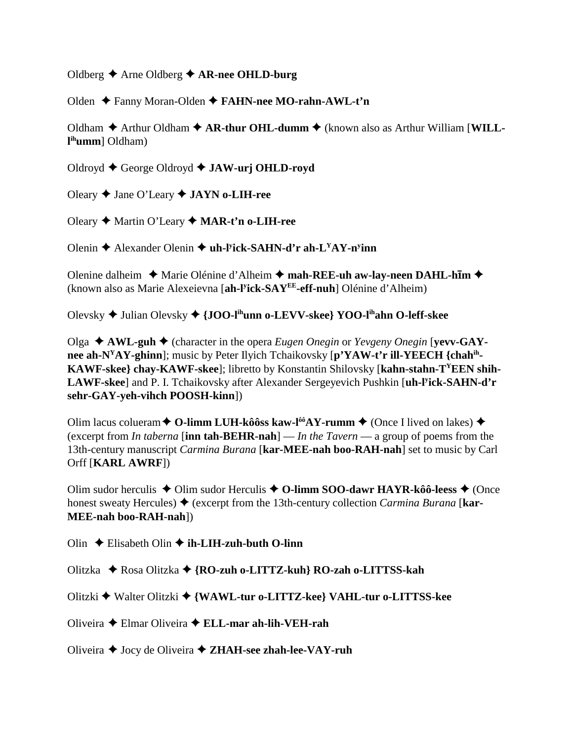### Oldberg Arne Oldberg **AR-nee OHLD-burg**

Olden Fanny Moran-Olden **FAHN-nee MO-rahn-AWL-t'n**

Oldham  $\triangle$  Arthur Oldham  $\triangle$  AR-thur OHL-dumm  $\triangle$  (known also as Arthur William [WILL**l ihumm**] Oldham)

Oldroyd George Oldroyd **JAW-urj OHLD-royd**

Oleary Jane O'Leary **JAYN o-LIH-ree**

Oleary Martin O'Leary **MAR-t'n o-LIH-ree**

Olenin **→** Alexander Olenin ◆ uh-l<sup>y</sup>ick-SAHN-d'r ah-L<sup>Y</sup>AY-n<sup>y</sup>inn

Olenine dalheim ◆ Marie Olénine d'Alheim ◆ mah-REE-uh aw-lay-neen DAHL-h**īm** ◆ (known also as Marie Alexeievna [**ah-ly ick-SAYEE-eff-nuh**] Olénine d'Alheim)

Olevsky Julian Olevsky **{JOO-lihunn o-LEVV-skee} YOO-lihahn O-leff-skee**

Olga **AWL-guh** (character in the opera *Eugen Onegin* or *Yevgeny Onegin* [**yevv-GAYnee ah-NYAY-ghinn**]; music by Peter Ilyich Tchaikovsky [**p'YAW-t'r ill-YEECH {chahih-KAWF-skee} chay-KAWF-skee**]; libretto by Konstantin Shilovsky [**kahn-stahn-TYEEN shih-LAWF-skee**] and P. I. Tchaikovsky after Alexander Sergeyevich Pushkin [**uh-ly ick-SAHN-d'r sehr-GAY-yeh-vihch POOSH-kinn**])

Olim lacus colueram  $\triangle$  O-limm LUH-kôôss kaw-l<sup>ôô</sup>AY-rumm  $\triangle$  (Once I lived on lakes)  $\triangle$ (excerpt from *In taberna* [**inn tah-BEHR-nah**] — *In the Tavern* — a group of poems from the 13th-century manuscript *Carmina Burana* [**kar-MEE-nah boo-RAH-nah**] set to music by Carl Orff [**KARL AWRF**])

Olim sudor herculis  $\triangle$  Olim sudor Herculis  $\triangle$  O-limm SOO-dawr HAYR-kôô-leess  $\triangle$  (Once honest sweaty Hercules)  $\blacklozenge$  (excerpt from the 13th-century collection *Carmina Burana* [**kar-MEE-nah boo-RAH-nah**])

Olin Elisabeth Olin **ih-LIH-zuh-buth O-linn**

Olitzka Rosa Olitzka **{RO-zuh o-LITTZ-kuh} RO-zah o-LITTSS-kah**

Olitzki Walter Olitzki **{WAWL-tur o-LITTZ-kee} VAHL-tur o-LITTSS-kee**

Oliveira Elmar Oliveira **ELL-mar ah-lih-VEH-rah**

Oliveira Jocy de Oliveira **ZHAH-see zhah-lee-VAY-ruh**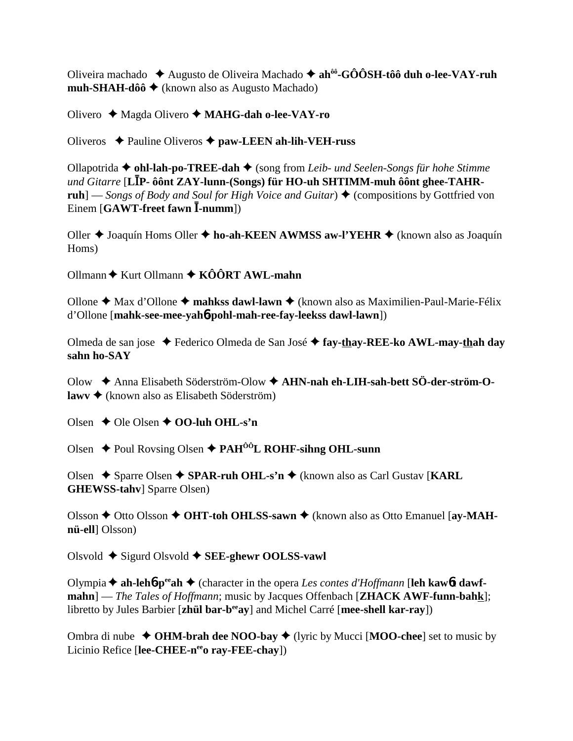Oliveira machado ◆ Augusto de Oliveira Machado ◆ ah<sup>ôô</sup>-GÔÔSH-tôô duh o-lee-VAY-ruh muh-SHAH-dôô  $\triangleq$  (known also as Augusto Machado)

Olivero  $\triangleleft$  Magda Olivero  $\triangleleft$  MAHG-dah o-lee-VAY-ro

Oliveros  $\triangle$  Pauline Oliveros  $\triangle$  paw-LEEN ah-lih-VEH-russ

Ollapotrida  $\blacklozenge$  ohl-lah-po-TREE-dah  $\blacklozenge$  (song from Leib- und Seelen-Songs für hohe Stimme und Gitarre [LIP- ôônt ZAY-lunn-(Songs) für HO-uh SHTIMM-muh ôônt ghee-TAHRruh] — Songs of Body and Soul for High Voice and Guitar)  $\triangle$  (compositions by Gottfried von Einem  $[GAWT-freeet$  fawn  $\overline{I}$ -numm])

Oller ♦ Joaquín Homs Oller ♦ ho-ah-KEEN AWMSS aw-l'YEHR ♦ (known also as Joaquín Homs)

 $Ollmann \triangleq$  Kurt Ollmann  $\triangleq$  KÔÔRT AWL-mahn

Ollone  $\triangle$  Max d'Ollone  $\triangle$  mahkss dawl-lawn  $\triangle$  (known also as Maximilien-Paul-Marie-Félix d'Ollone [mahk-see-mee-yah6-pohl-mah-ree-fay-leekss dawl-lawn])

Olmeda de san jose → Federico Olmeda de San José → fay-thay-REE-ko AWL-may-thah day sahn ho-SAY

Olow → Anna Elisabeth Söderström-Olow → AHN-nah eh-LIH-sah-bett SÖ-der-ström-O $lawv \triangleleft (known also as Elisabeth Söderström)$ 

Olsen  $\triangle$  Ole Olsen  $\triangle$  OO-luh OHL-s'n

Olsen  $\triangle$  Poul Rovsing Olsen  $\triangle$  PAH<sup> $\hat{o}$ OL ROHF-sihng OHL-sunn</sup>

Olsen  $\rightarrow$  Sparre Olsen  $\rightarrow$  SPAR-ruh OHL-s'n  $\rightarrow$  (known also as Carl Gustav [KARL] **GHEWSS-tahv** Sparre Olsen)

Olsson  $\triangle$  Otto Olsson  $\triangle$  OHT-toh OHLSS-sawn  $\triangle$  (known also as Otto Emanuel [av-MAHnü-ell] Olsson)

Olsvold  $\triangle$  Sigurd Olsvold  $\triangle$  SEE-ghewr OOLSS-vawl

Olympia  $\triangle$  ah-lehb-p<sup>ec</sup>ah  $\triangle$  (character in the opera Les contes d'Hoffmann [leh kawbt dawfmahn] — The Tales of Hoffmann; music by Jacques Offenbach [ZHACK AWF-funn-bahk]; libretto by Jules Barbier [zhül bar-b<sup>ee</sup>ay] and Michel Carré [mee-shell kar-ray])

Ombra di nube  $\triangleleft$  OHM-brah dee NOO-bay  $\triangleleft$  (lyric by Mucci [MOO-chee] set to music by Licinio Refice [lee-CHEE-n<sup>ee</sup>o ray-FEE-chay])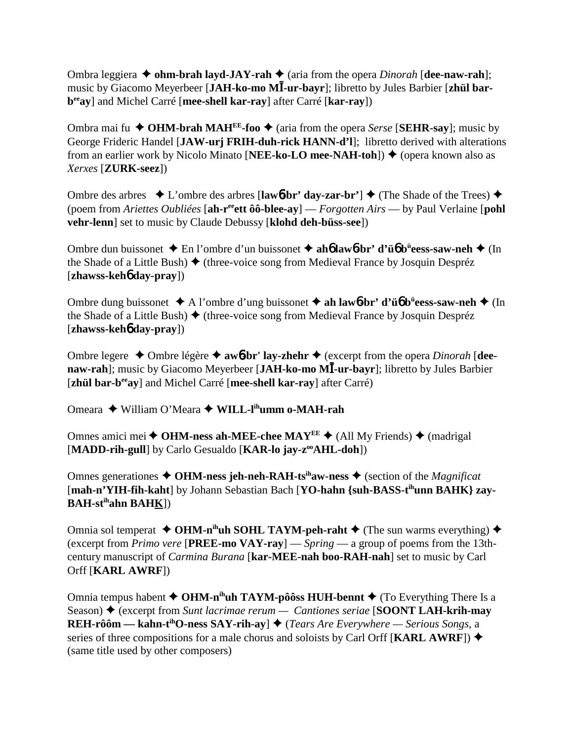Ombra leggiera  $\triangle$  **ohm-brah layd-JAY-rah**  $\triangle$  (aria from the opera *Dinorah* [**dee-naw-rah**]; music by Giacomo Meyerbeer [JAH-ko-mo MI-ur-bayr]; libretto by Jules Barbier [zhül bar**beeay**] and Michel Carré [**mee-shell kar-ray**] after Carré [**kar-ray**])

Ombra mai fu  $\triangle$  OHM-brah MAH<sup>EE</sup>-foo  $\triangle$  (aria from the opera *Serse* [SEHR-say]; music by George Frideric Handel [**JAW-urj FRIH-duh-rick HANN-d'l**]; libretto derived with alterations from an earlier work by Nicolo Minato [**NEE-ko-LO mee-NAH-toh**]) ♦ (opera known also as *Xerxes* [**ZURK-seez**])

Ombre des arbres  $\bullet$  L'ombre des arbres [law**6-br' day-zar-br'**]  $\bullet$  (The Shade of the Trees)  $\bullet$ (poem from *Ariettes Oubliées* [**ah-reeett ôô-blee-ay**] — *Forgotten Airs* — by Paul Verlaine [**pohl vehr-lenn**] set to music by Claude Debussy [**klohd deh-büss-see**])

Ombre dun buissonet En l'ombre d'un buissonet **ah**6 **law**6**-br' d'ü**6 **bü eess-saw-neh** (In the Shade of a Little Bush)  $\blacklozenge$  (three-voice song from Medieval France by Josquin Despréz [**zhawss-keh**6 **day-pray**])

Ombre dung buissonet A l'ombre d'ung buissonet **ah law**6**-br' d'ü**6 **bü eess-saw-neh** (In the Shade of a Little Bush)  $\blacklozenge$  (three-voice song from Medieval France by Josquin Despréz [**zhawss-keh**6 **day-pray**])

Ombre legere  $\triangle$  Ombre légère  $\triangle$  awb-br' lay-zhehr  $\triangle$  (excerpt from the opera *Dinorah* [dee**naw-rah**]; music by Giacomo Meyerbeer [**JAH-ko-mo M-ur-bayr**]; libretto by Jules Barbier [**zhül bar-b<sup>ee</sup>ay**] and Michel Carré [**mee-shell kar-ray**] after Carré)

Omeara William O'Meara **WILL-lihumm o-MAH-rah**

Omnes amici mei  $\triangle$  OHM-ness ah-MEE-chee MAY<sup>EE</sup>  $\triangle$  (All My Friends)  $\triangle$  (madrigal [MADD-rih-gull] by Carlo Gesualdo [KAR-lo jay-z<sup>oo</sup>AHL-doh])

Omnes generationes  $\triangle$  OHM-ness jeh-neh-RAH-ts<sup>ih</sup>aw-ness  $\triangle$  (section of the *Magnificat* [mah-n'YIH-fih-kaht] by Johann Sebastian Bach [YO-hahn {suh-BASS-t<sup>ih</sup>unn BAHK} zay-**BAH-stihahn BAHK**])

Omnia sol temperat  $\triangle$  OHM-n<sup>ih</sup>uh SOHL TAYM-peh-raht  $\triangle$  (The sun warms everything)  $\triangle$ (excerpt from *Primo vere* [**PREE-mo VAY-ray**] — *Spring* — a group of poems from the 13thcentury manuscript of *Carmina Burana* [**kar-MEE-nah boo-RAH-nah**] set to music by Carl Orff [**KARL AWRF**])

Omnia tempus habent  $\triangle$  OHM-n<sup>ih</sup>uh TAYM-pôôss HUH-bennt  $\triangle$  (To Everything There Is a Season) ♦ (excerpt from *Sunt lacrimae rerum — Cantiones seriae* [**SOONT LAH-krih-may REH-rôôm — kahn-t<sup>ih</sup>O-ness SAY-rih-ay**]  $\triangle$  (*Tears Are Everywhere — Serious Songs*, a series of three compositions for a male chorus and soloists by Carl Orff [**KARL AWRF**]) (same title used by other composers)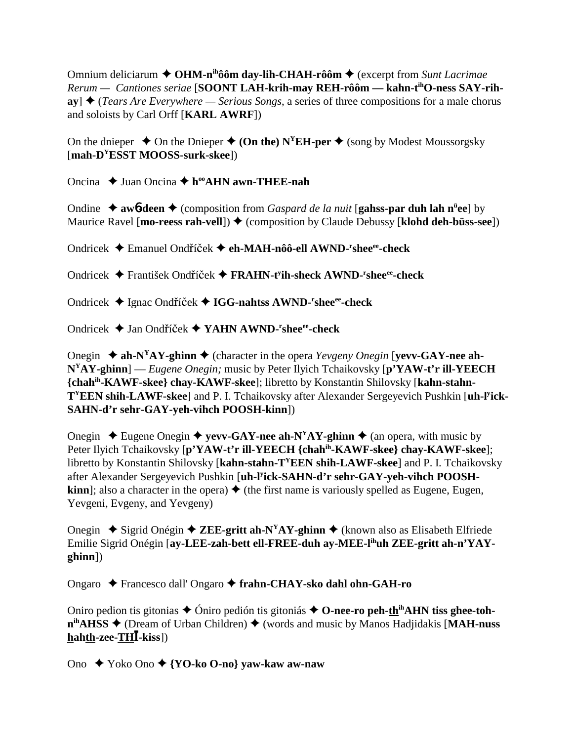Omnium deliciarum **← OHM-n<sup>ih</sup>ôôm day-lih-CHAH-rôôm ←** (excerpt from *Sunt Lacrimae Rerum — Cantiones seriae* [**SOONT LAH-krih-may REH-rôôm — kahn-tihO-ness SAY-rih-** $\mathbf{a}$ **y**]  $\blacklozenge$  (*Tears Are Everywhere — Serious Songs*, a series of three compositions for a male chorus and soloists by Carl Orff [**KARL AWRF**])

On the dnieper  $\triangle$  On the Dnieper  $\triangle$  (On the) N<sup>Y</sup>EH-per  $\triangle$  (song by Modest Moussorgsky [**mah-DYESST MOOSS-surk-skee**])

Oncina **→** Juan Oncina **→ h<sup>oo</sup>AHN awn-THEE-nah** 

Ondine ◆ awb-deen ◆ (composition from *Gaspard de la nuit* [gahss-par duh lah n<sup>ü</sup>ee] by Maurice Ravel [mo-reess rah-vell])  $\blacklozenge$  (composition by Claude Debussy [klohd deh-büss-see])

Ondricek ◆ Emanuel Ondříček ◆ eh-MAH-nôô-ell AWND-<sup>r</sup>shee<sup>ee</sup>-check

Ondricek ◆ František Ondříček ◆ FRAHN-t<sup>y</sup>ih-sheck AWND-<sup>r</sup>shee<sup>ee</sup>-check

Ondricek Ignac Ondíek **IGG-nahtss AWND-r sheeee-check**

Ondricek ◆ Jan Ondříček ◆ YAHN AWND-<sup>r</sup>shee<sup>ee</sup>-check

Onegin  $\triangle$  ah-N<sup>Y</sup>AY-ghinn  $\triangle$  (character in the opera *Yevgeny Onegin* [**vevv-GAY-nee ah-NYAY-ghinn**] — *Eugene Onegin;* music by Peter Ilyich Tchaikovsky [**p'YAW-t'r ill-YEECH {chahih-KAWF-skee} chay-KAWF-skee**]; libretto by Konstantin Shilovsky [**kahn-stahn-TYEEN shih-LAWF-skee**] and P. I. Tchaikovsky after Alexander Sergeyevich Pushkin [**uh-ly ick-SAHN-d'r sehr-GAY-yeh-vihch POOSH-kinn**])

Onegin  $\triangle$  Eugene Onegin  $\triangle$  **yevv-GAY-nee ah-N<sup>Y</sup>AY-ghinn**  $\triangle$  (an opera, with music by Peter Ilyich Tchaikovsky [**p'YAW-t'r ill-YEECH {chahih-KAWF-skee} chay-KAWF-skee**]; libretto by Konstantin Shilovsky [**kahn-stahn-TYEEN shih-LAWF-skee**] and P. I. Tchaikovsky after Alexander Sergeyevich Pushkin [**uh-ly ick-SAHN-d'r sehr-GAY-yeh-vihch POOSHkinn**]; also a character in the opera)  $\triangle$  (the first name is variously spelled as Eugene, Eugen, Yevgeni, Evgeny, and Yevgeny)

Onegin **→** Sigrid Onégin **→ ZEE-gritt ah-N<sup>Y</sup>AY-ghinn →** (known also as Elisabeth Elfriede Emilie Sigrid Onégin [**ay-LEE-zah-bett ell-FREE-duh ay-MEE-lihuh ZEE-gritt ah-n'YAYghinn**])

Ongaro Francesco dall' Ongaro **frahn-CHAY-sko dahl ohn-GAH-ro**

Oniro pedion tis gitonias  $\triangle$  Oniro pedión tis gitoniás  $\triangle$  O-nee-ro peh-th<sup>in</sup>AHN tiss ghee-toh**n**<sup>ih</sup>**AHSS** ♦ (Dream of Urban Children) ♦ (words and music by Manos Hadjidakis [MAH-nuss] **hahth-zee-TH-kiss**])

Ono Yoko Ono **{YO-ko O-no} yaw-kaw aw-naw**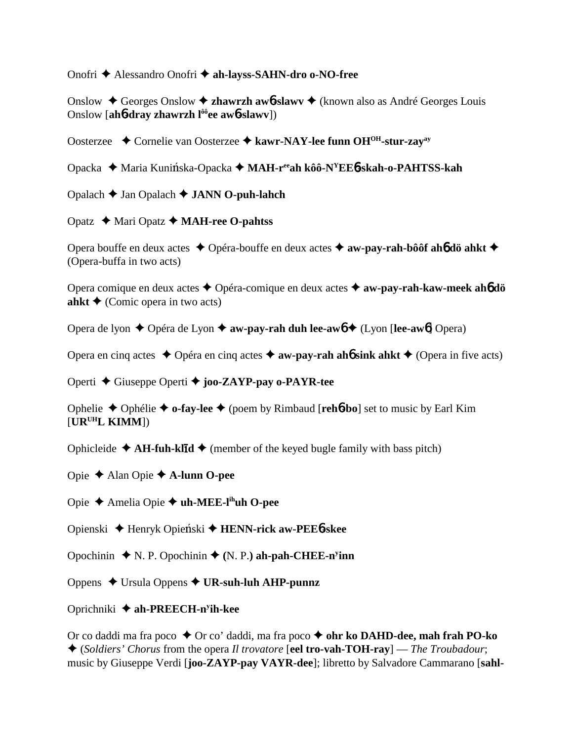Onofri Alessandro Onofri **ah-layss-SAHN-dro o-NO-free**

Onslow Georges Onslow **zhawrzh aw**6**-slawv** (known also as André Georges Louis Onslow [**ah**6**-dray zhawrzh lôôee aw**6**-slawv**])

Oosterzee **→** Cornelie van Oosterzee → kawr-NAY-lee funn OH<sup>OH</sup>-stur-zay<sup>ay</sup>

Opacka Maria Kuniska-Opacka **MAH-reeah kôô-NYEE**6**-skah-o-PAHTSS-kah**

Opalach Jan Opalach **JANN O-puh-lahch**

Opatz Mari Opatz **MAH-ree O-pahtss**

Opera bouffe en deux actes **→** Opéra-bouffe en deux actes **→ aw-pay-rah-bôôf ah6 dö ahkt** → (Opera-buffa in two acts)

Opera comique en deux actes Opéra-comique en deux actes **aw-pay-rah-kaw-meek ah**6 **dö ahkt**  $\triangle$  (Comic opera in two acts)

Opera de lyon ◆ Opéra de Lyon ◆ **aw-pay-rah duh lee-aw6** ◆ (Lyon [**lee-aw6**] Opera)

Opera en cinq actes  $\triangle$  Opéra en cinq actes  $\triangle$  **aw-pay-rah ah<sup>6</sup> sink ahkt**  $\triangle$  (Opera in five acts)

Operti Giuseppe Operti **joo-ZAYP-pay o-PAYR-tee**

Ophelie Ophélie **o-fay-lee** (poem by Rimbaud [**reh**6**-bo**] set to music by Earl Kim [**URUHL KIMM**])

Ophicleide  $\triangle$  AH-fuh-klid  $\triangle$  (member of the keyed bugle family with bass pitch)

Opie Alan Opie **A-lunn O-pee**

Opie Amelia Opie **uh-MEE-lihuh O-pee**

Opienski Henryk Opieski **HENN-rick aw-PEE**6**-skee**

Opochinin  $\blacklozenge$  N. P. Opochinin  $\blacklozenge$  (N. P.) ah-pah-CHEE-n<sup>y</sup>inn

Oppens Ursula Oppens **UR-suh-luh AHP-punnz**

# Oprichniki **ah-PREECH-ny ih-kee**

Or co daddi ma fra poco **→** Or co' daddi, ma fra poco **→ ohr ko DAHD-dee, mah frah PO-ko**  (*Soldiers' Chorus* from the opera *Il trovatore* [**eel tro-vah-TOH-ray**] — *The Troubadour*; music by Giuseppe Verdi [**joo-ZAYP-pay VAYR-dee**]; libretto by Salvadore Cammarano [**sahl-**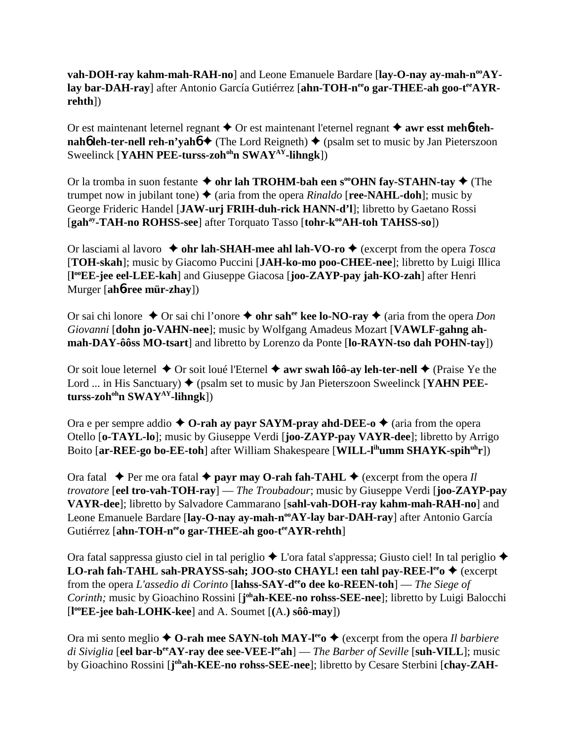**vah-DOH-ray kahm-mah-RAH-no**] and Leone Emanuele Bardare [lay-O-nay ay-mah-n<sup>oo</sup>AYlay bar-DAH-ray] after Antonio García Gutiérrez [ahn-TOH-n<sup>ee</sup>o gar-THEE-ah goo-t<sup>ee</sup>AYR**rehth**])

Or est maintenant leternel regnant **→** Or est maintenant l'eternel regnant **→ awr esst mehb-tehnah<sup>6</sup> leh-ter-nell reh-n'yah<sup>6</sup>**  $\triangle$  (The Lord Reigneth)  $\triangle$  (psalm set to music by Jan Pieterszoon Sweelinck [**YAHN PEE-turss-zoh<sup>oh</sup>n SWAY<sup>AY</sup>-lihngk**])

Or la tromba in suon festante  $\triangle$  ohr lah TROHM-bah een s<sup>oo</sup>OHN fay-STAHN-tay  $\triangle$  (The trumpet now in jubilant tone)  $\triangleq$  (aria from the opera *Rinaldo* [**ree-NAHL-doh**]; music by George Frideric Handel [**JAW-urj FRIH-duh-rick HANN-d'l**]; libretto by Gaetano Rossi [gah<sup>ay</sup>-TAH-no ROHSS-see] after Torquato Tasso [tohr-k<sup>oo</sup>AH-toh TAHSS-so])

Or lasciami al lavoro  $\rightarrow$  ohr lah-SHAH-mee ahl lah-VO-ro  $\rightarrow$  (excerpt from the opera *Tosca* [**TOH-skah**]; music by Giacomo Puccini [**JAH-ko-mo poo-CHEE-nee**]; libretto by Luigi Illica [**l ooEE-jee eel-LEE-kah**] and Giuseppe Giacosa [**joo-ZAYP-pay jah-KO-zah**] after Henri Murger [**ah**6**-ree mür-zhay**])

Or sai chi lonore **→** Or sai chi l'onore **→ ohr sah<sup>ee</sup> kee lo-NO-ray** ◆ (aria from the opera *Don Giovanni* [**dohn jo-VAHN-nee**]; music by Wolfgang Amadeus Mozart [**VAWLF-gahng ahmah-DAY-ôôss MO-tsart**] and libretto by Lorenzo da Ponte [**lo-RAYN-tso dah POHN-tay**])

Or soit loue leternel  $\triangle$  Or soit loué l'Eternel  $\triangle$  awr swah lôô-ay leh-ter-nell  $\triangle$  (Praise Ye the Lord ... in His Sanctuary)  $\blacklozenge$  (psalm set to music by Jan Pieterszoon Sweelinck [**YAHN PEEturss-zohohn SWAYAY-lihngk**])

Ora e per sempre addio  $\triangle$  O-rah ay payr SAYM-pray ahd-DEE-o  $\triangle$  (aria from the opera Otello [**o-TAYL-lo**]; music by Giuseppe Verdi [**joo-ZAYP-pay VAYR-dee**]; libretto by Arrigo Boito [ar-REE-go bo-EE-toh] after William Shakespeare [WILL-l<sup>ih</sup>umm SHAYK-spih<sup>uh</sup>r])

Ora fatal  $\triangle$  Per me ora fatal  $\triangle$  payr may O-rah fah-TAHL  $\triangle$  (excerpt from the opera *Il trovatore* [**eel tro-vah-TOH-ray**] — *The Troubadour*; music by Giuseppe Verdi [**joo-ZAYP-pay VAYR-dee**]; libretto by Salvadore Cammarano [**sahl-vah-DOH-ray kahm-mah-RAH-no**] and Leone Emanuele Bardare [lay-O-nay ay-mah-n<sup>oo</sup>AY-lay bar-DAH-ray] after Antonio García Gutiérrez [ahn-TOH-n<sup>ee</sup>o gar-THEE-ah goo-t<sup>ee</sup>AYR-rehth]

Ora fatal sappressa giusto ciel in tal periglio  $\triangle$  L'ora fatal s'appressa; Giusto ciel! In tal periglio  $\triangle$ **LO-rah fah-TAHL sah-PRAYSS-sah; JOO-sto CHAYL! een tahl pay-REE-l<sup>ee</sup>o ♦ (excerpt** from the opera *L'assedio di Corinto* [**lahss-SAY-deeo dee ko-REEN-toh**] — *The Siege of* Corinth; music by Gioachino Rossini [joh**ah-KEE-no rohss-SEE-nee**]; libretto by Luigi Balocchi [**l ooEE-jee bah-LOHK-kee**] and A. Soumet [**(**A.**) sôô-may**])

Ora mi sento meglio **↑ O-rah mee SAYN-toh MAY-l<sup>ee</sup>o ◆** (excerpt from the opera *Il barbiere di Siviglia* [eel bar-b<sup>ee</sup>AY-ray dee see-VEE-leeah] — *The Barber of Seville* [suh-VILL]; music by Gioachino Rossini [**j ohah-KEE-no rohss-SEE-nee**]; libretto by Cesare Sterbini [**chay-ZAH-**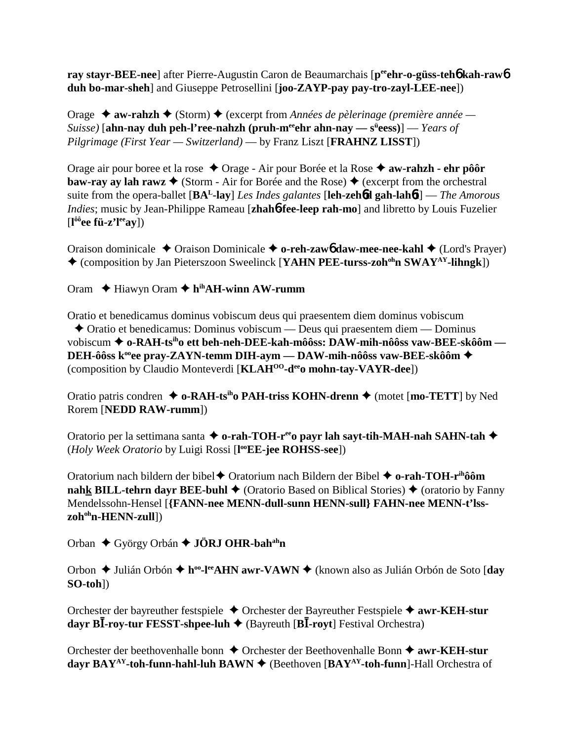**ray stayr-BEE-nee**] after Pierre-Augustin Caron de Beaumarchais [peen**r-o-güss-teh6** kah-raw6 **duh bo-mar-sheh**] and Giuseppe Petrosellini [**joo-ZAYP-pay pay-tro-zayl-LEE-nee**])

Orage  **→ aw-rahzh →** (Storm) ◆ (excerpt from *Années de pèlerinage (première année — Suisse)* [**ahn-nay duh peh-l'ree-nahzh (pruh-meeehr ahn-nay — sü eess)**] — *Years of Pilgrimage (First Year — Switzerland)* — by Franz Liszt [**FRAHNZ LISST**])

Orage air pour boree et la rose ◆ Orage - Air pour Borée et la Rose ◆ **aw-rahzh - ehr pôôr baw-ray ay lah rawz**  $\blacklozenge$  (Storm - Air for Borée and the Rose)  $\blacklozenge$  (excerpt from the orchestral suite from the opera-ballet [**BAL-lay**] *Les Indes galantes* [**leh-zeh**6**d gah-lah**6**t**] — *The Amorous Indies*; music by Jean-Philippe Rameau [**zhah**6**-fee-leep rah-mo**] and libretto by Louis Fuzelier [**l ôôee fü-z'leeay**])

Oraison dominicale ◆ Oraison Dominicale ◆ **o-reh-zaw6** daw-mee-nee-kahl ◆ (Lord's Prayer) (composition by Jan Pieterszoon Sweelinck [**YAHN PEE-turss-zohohn SWAYAY-lihngk**])

Oram Hiawyn Oram **hihAH-winn AW-rumm**

Oratio et benedicamus dominus vobiscum deus qui praesentem diem dominus vobiscum Oratio et benedicamus: Dominus vobiscum — Deus qui praesentem diem — Dominus vobiscum **o-RAH-tsiho ett beh-neh-DEE-kah-môôss: DAW-mih-nôôss vaw-BEE-skôôm — DEH-ôôss k<sup>°</sup>ee pray-ZAYN-temm DIH-aym — DAW-mih-nôôss vaw-BEE-skôôm ◆** (composition by Claudio Monteverdi [**KLAHOO-deeo mohn-tay-VAYR-dee**])

Oratio patris condren  $\triangle$  o-RAH-ts<sup>ih</sup>o PAH-triss KOHN-drenn  $\triangle$  (motet [mo-TETT] by Ned Rorem [**NEDD RAW-rumm**])

Oratorio per la settimana santa **← o-rah-TOH-r<sup>ee</sup>o payr lah sayt-tih-MAH-nah SAHN-tah ←** (*Holy Week Oratorio* by Luigi Rossi [**l ooEE-jee ROHSS-see**])

Oratorium nach bildern der bibel Oratorium nach Bildern der Bibel **o-rah-TOH-rihôôm nahk BILL-tehrn dayr BEE-buhl**  $\blacklozenge$  (Oratorio Based on Biblical Stories)  $\blacklozenge$  (oratorio by Fanny Mendelssohn-Hensel [**{FANN-nee MENN-dull-sunn HENN-sull} FAHN-nee MENN-t'lsszoh<sup>oh</sup>n-HENN-zull**])

Orban ◆ György Orbán **→ JÖRJ OHR-bah<sup>ah</sup>n** 

Orbon Julián Orbón **hoo-leeAHN awr-VAWN** (known also as Julián Orbón de Soto [**day SO-toh**])

Orchester der bayreuther festspiele Orchester der Bayreuther Festspiele **awr-KEH-stur dayr BI**-roy-tur FESST-shpee-luh  $\triangle$  (Bayreuth [B**I**-royt] Festival Orchestra)

Orchester der beethovenhalle bonn ◆ Orchester der Beethovenhalle Bonn ◆ awr-KEH-stur **dayr BAY<sup>AY</sup>-toh-funn-hahl-luh BAWN ♦** (Beethoven [BAY<sup>AY</sup>-toh-funn]-Hall Orchestra of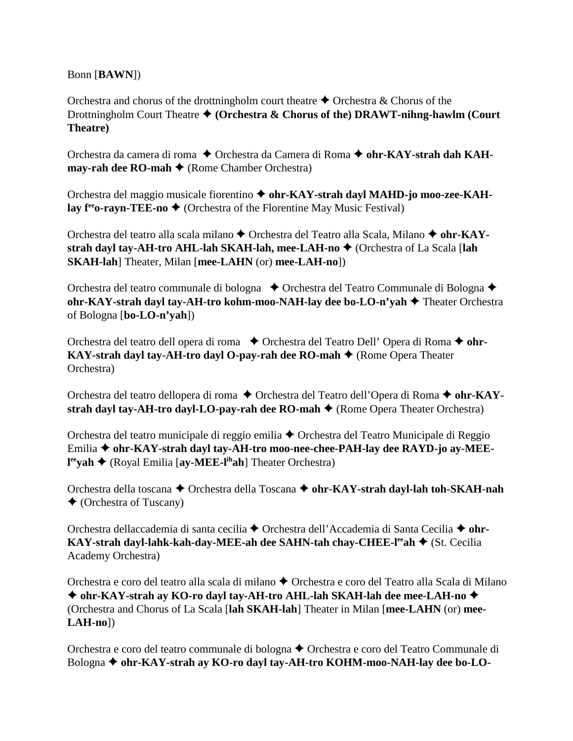Bonn [**BAWN**])

Orchestra and chorus of the drottningholm court theatre  $\triangle$  Orchestra & Chorus of the Drottningholm Court Theatre ♦ (Orchestra & Chorus of the) DRAWT-nihng-hawlm (Court **Theatre)**

Orchestra da camera di roma ◆ Orchestra da Camera di Roma ◆ ohr-KAY-strah dah KAH**may-rah dee RO-mah ♦** (Rome Chamber Orchestra)

Orchestra del maggio musicale fiorentino **ohr-KAY-strah dayl MAHD-jo moo-zee-KAHlay**  $f^{\text{ee}}$ **o-rayn-TEE-no**  $\blacklozenge$  (Orchestra of the Florentine May Music Festival)

Orchestra del teatro alla scala milano ◆ Orchestra del Teatro alla Scala, Milano ◆ ohr-KAY**strah dayl tay-AH-tro AHL-lah SKAH-lah, mee-LAH-no ♦ (Orchestra of La Scala [lah SKAH-lah**] Theater, Milan [**mee-LAHN** (or) **mee-LAH-no**])

Orchestra del teatro communale di bologna ◆ Orchestra del Teatro Communale di Bologna ◆ **ohr-KAY-strah dayl tay-AH-tro kohm-moo-NAH-lay dee bo-LO-n'yah ♦** Theater Orchestra of Bologna [**bo-LO-n'yah**])

Orchestra del teatro dell opera di roma **→** Orchestra del Teatro Dell' Opera di Roma → ohr-**KAY-strah dayl tay-AH-tro dayl O-pay-rah dee RO-mah ♦** (Rome Opera Theater Orchestra)

Orchestra del teatro dellopera di roma ♦ Orchestra del Teatro dell'Opera di Roma ♦ ohr-KAY**strah dayl tay-AH-tro dayl-LO-pay-rah dee RO-mah**  $\triangle$  (Rome Opera Theater Orchestra)

Orchestra del teatro municipale di reggio emilia ♦ Orchestra del Teatro Municipale di Reggio Emilia ◆ ohr-KAY-strah dayl tay-AH-tro moo-nee-chee-PAH-lay dee RAYD-jo ay-MEE**l<sup>ee</sup>yah ◆** (Royal Emilia [ay-MEE-l<sup>ih</sup>ah] Theater Orchestra)

Orchestra della toscana ◆ Orchestra della Toscana ◆ ohr-KAY-strah dayl-lah toh-SKAH-nah (Orchestra of Tuscany)

Orchestra dellaccademia di santa cecilia ◆ Orchestra dell'Accademia di Santa Cecilia ◆ ohr-**KAY-strah dayl-lahk-kah-day-MEE-ah dee SAHN-tah chay-CHEE-l<sup>ee</sup>ah ◆ (St. Cecilia** Academy Orchestra)

Orchestra e coro del teatro alla scala di milano ◆ Orchestra e coro del Teatro alla Scala di Milano **ohr-KAY-strah ay KO-ro dayl tay-AH-tro AHL-lah SKAH-lah dee mee-LAH-no**  (Orchestra and Chorus of La Scala [**lah SKAH-lah**] Theater in Milan [**mee-LAHN** (or) **mee-LAH-no**])

Orchestra e coro del teatro communale di bologna ◆ Orchestra e coro del Teatro Communale di Bologna **ohr-KAY-strah ay KO-ro dayl tay-AH-tro KOHM-moo-NAH-lay dee bo-LO-**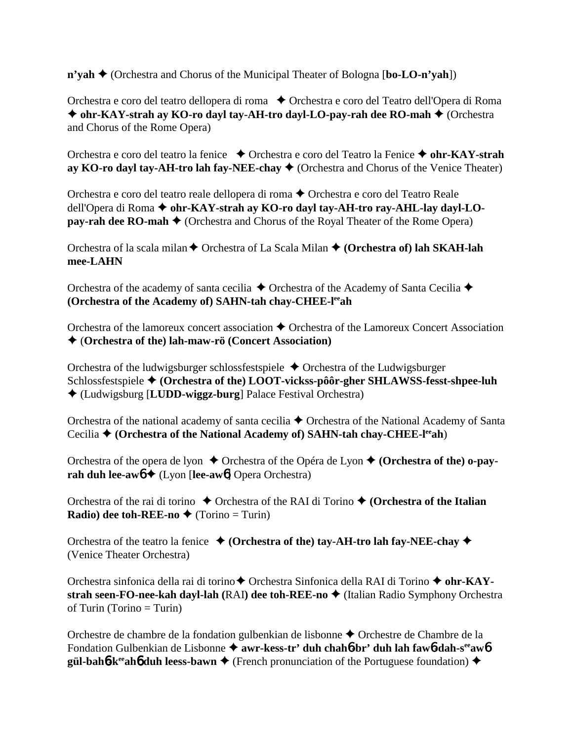**n'yah ♦** (Orchestra and Chorus of the Municipal Theater of Bologna [**bo-LO-n'yah**])

Orchestra e coro del teatro dellopera di roma ◆ Orchestra e coro del Teatro dell'Opera di Roma ◆ ohr-KAY-strah ay KO-ro dayl tay-AH-tro dayl-LO-pay-rah dee RO-mah ◆ (Orchestra and Chorus of the Rome Opera)

Orchestra e coro del teatro la fenice ◆ Orchestra e coro del Teatro la Fenice ◆ ohr-KAY-strah **ay KO-ro dayl tay-AH-tro lah fay-NEE-chay**  $\blacklozenge$  (Orchestra and Chorus of the Venice Theater)

Orchestra e coro del teatro reale dellopera di roma ◆ Orchestra e coro del Teatro Reale dell'Opera di Roma ◆ ohr-KAY-strah ay KO-ro dayl tay-AH-tro ray-AHL-lay dayl-LO**pay-rah dee RO-mah**  $\triangle$  (Orchestra and Chorus of the Royal Theater of the Rome Opera)

Orchestra of la scala milan **←** Orchestra of La Scala Milan ← (Orchestra of) lah SKAH-lah **mee-LAHN**

Orchestra of the academy of santa cecilia  $\triangle$  Orchestra of the Academy of Santa Cecilia  $\triangle$ **(Orchestra of the Academy of) SAHN-tah chay-CHEE-leeah**

Orchestra of the lamoreux concert association  $\triangle$  Orchestra of the Lamoreux Concert Association (**Orchestra of the) lah-maw-rö (Concert Association)**

Orchestra of the ludwigsburger schlossfestspiele  $\triangle$  Orchestra of the Ludwigsburger Schlossfestspiele **(Orchestra of the) LOOT-vickss-pôôr-gher SHLAWSS-fesst-shpee-luh** (Ludwigsburg [**LUDD-wiggz-burg**] Palace Festival Orchestra)

Orchestra of the national academy of santa cecilia  $\triangle$  Orchestra of the National Academy of Santa Cecilia **♦ (Orchestra of the National Academy of) SAHN-tah chay-CHEE-l<sup>ee</sup>ah)** 

Orchestra of the opera de Ivon  $\triangle$  Orchestra of the Opéra de Lyon  $\triangle$  (Orchestra of the) o-pay**rah duh lee-aw<sup>6 →</sup> (Lyon [lee-aw<sup>6</sup>] Opera Orchestra)** 

Orchestra of the rai di torino  $\triangle$  Orchestra of the RAI di Torino  $\triangle$  (Orchestra of the Italian **Radio) dee toh-REE-no**  $\blacklozenge$  (Torino = Turin)

Orchestra of the teatro la fenice  $\triangle$  (Orchestra of the) tay-AH-tro lah fay-NEE-chay  $\triangle$ (Venice Theater Orchestra)

Orchestra sinfonica della rai di torino ♦ Orchestra Sinfonica della RAI di Torino ♦ ohr-KAY**strah seen-FO-nee-kah dayl-lah (RAI) dee toh-REE-no ♦ (Italian Radio Symphony Orchestra** of Turin (Torino  $=$  Turin)

Orchestre de chambre de la fondation gulbenkian de lisbonne ◆ Orchestre de Chambre de la Fondation Gulbenkian de Lisbonne  $\triangleq$  awr-kess-tr' duh chah**6**-br' duh lah faw6-dah-s<sup>ee</sup>aw6 **gül-bah<sup>6</sup>-k<sup>ee</sup>ah<sup>6</sup> duh leess-bawn**  $\triangle$  (French pronunciation of the Portuguese foundation)  $\triangle$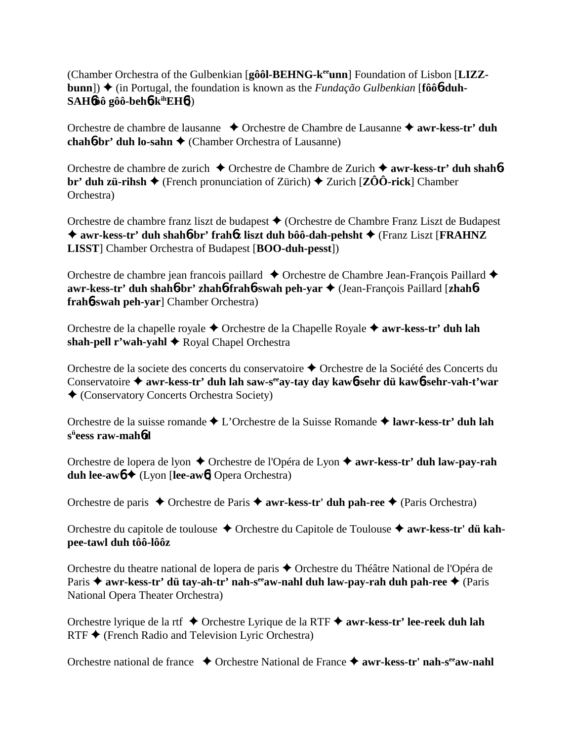(Chamber Orchestra of the Gulbenkian [**gôôl-BEHNG-keeunn**] Foundation of Lisbon [**LIZZbunn**])  $\triangle$  (in Portugal, the foundation is known as the *Fundação Gulbenkian* [fôô**6-duh-SAH**6**ôô gôô-beh**6**-kihEH**6])

Orchestre de chambre de lausanne **↓** Orchestre de Chambre de Lausanne **→ awr-kess-tr' duh chah6⋅br' duh lo-sahn ←** (Chamber Orchestra of Lausanne)

Orchestre de chambre de zurich Orchestre de Chambre de Zurich **awr-kess-tr' duh shah**6 **br' duh zü-rihsh**  $\blacklozenge$  (French pronunciation of Zürich)  $\blacklozenge$  Zurich [**ZÔÔ-rick**] Chamber Orchestra)

Orchestre de chambre franz liszt de budapest (Orchestre de Chambre Franz Liszt de Budapest ◆ awr-kess-tr' duh shah**6**-br' frah**6z** liszt duh bôô-dah-pehsht ◆ (Franz Liszt [**FRAHNZ LISST**] Chamber Orchestra of Budapest [**BOO-duh-pesst**])

Orchestre de chambre jean francois paillard  $\triangle$  Orchestre de Chambre Jean-François Paillard  $\triangle$ **awr-kess-tr' duh shah**6**-br' zhah**6**-frah**6**-swah peh-yar** (Jean-François Paillard [**zhah**6 **frah**6**-swah peh-yar**] Chamber Orchestra)

Orchestre de la chapelle royale ◆ Orchestre de la Chapelle Royale ◆ **awr-kess-tr' duh lah** shah-pell r'wah-yahl **→** Royal Chapel Orchestra

Orchestre de la societe des concerts du conservatoire Orchestre de la Société des Concerts du Conservatoire **awr-kess-tr' duh lah saw-seeay-tay day kaw**6**-sehr dü kaw**6**-sehr-vah-t'war** (Conservatory Concerts Orchestra Society)

Orchestre de la suisse romande L'Orchestre de la Suisse Romande **lawr-kess-tr' duh lah sü eess raw-mah**6**d**

Orchestre de lopera de lyon ◆ Orchestre de l'Opéra de Lyon ◆ **awr-kess-tr' duh law-pay-rah duh lee-aw**6 (Lyon [**lee-aw**6] Opera Orchestra)

Orchestre de paris **←** Orchestre de Paris ← **awr-kess-tr' duh pah-ree** ← (Paris Orchestra)

Orchestre du capitole de toulouse ◆ Orchestre du Capitole de Toulouse ◆ awr-kess-tr' dü kah**pee-tawl duh tôô-lôôz**

Orchestre du theatre national de lopera de paris Orchestre du Théâtre National de l'Opéra de Paris **→ awr-kess-tr' dü tay-ah-tr' nah-s<sup>ee</sup>aw-nahl duh law-pay-rah duh pah-ree →** (Paris National Opera Theater Orchestra)

Orchestre lyrique de la rtf Orchestre Lyrique de la RTF **awr-kess-tr' lee-reek duh lah**  $RTF$   $\blacklozenge$  (French Radio and Television Lyric Orchestra)

Orchestre national de france ◆ Orchestre National de France ◆ awr-kess-tr' nah-s<sup>ee</sup>aw-nahl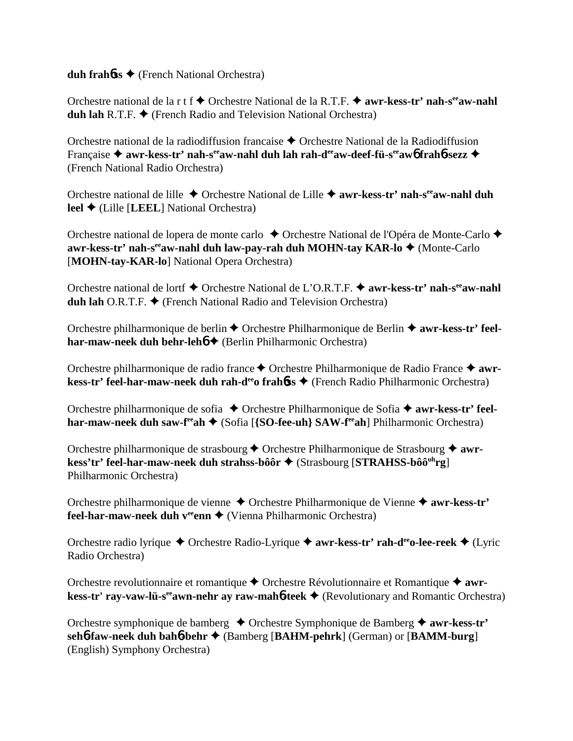**duh frah**6**ss** (French National Orchestra)

Orchestre national de la r t f **→** Orchestre National de la R.T.F. → **awr-kess-tr' nah-s<sup>ee</sup>aw-nahl duh lah** R.T.F. ◆ (French Radio and Television National Orchestra)

Orchestre national de la radiodiffusion francaise  $\triangle$  Orchestre National de la Radiodiffusion Française ◆ awr-kess-tr' nah-s<sup>ee</sup>aw-nahl duh lah rah-d<sup>ee</sup>aw-deef-fü-s<sup>ee</sup>aw6 frah6-sezz ◆ (French National Radio Orchestra)

Orchestre national de lille Orchestre National de Lille **awr-kess-tr' nah-seeaw-nahl duh leel ◆ (Lille [LEEL] National Orchestra)** 

Orchestre national de lopera de monte carlo ◆ Orchestre National de l'Opéra de Monte-Carlo ◆ **awr-kess-tr' nah-s<sup>ee</sup>aw-nahl duh law-pay-rah duh MOHN-tay KAR-lo ♦ (Monte-Carlo** [**MOHN-tay-KAR-lo**] National Opera Orchestra)

Orchestre national de lortf ◆ Orchestre National de L'O.R.T.F. ◆ awr-kess-tr' nah-s<sup>ee</sup>aw-nahl **duh lah** O.R.T.F.  $\blacklozenge$  (French National Radio and Television Orchestra)

Orchestre philharmonique de berlin ◆ Orchestre Philharmonique de Berlin ◆ awr-kess-tr' feel**har-maw-neek duh behr-leh ♦** (Berlin Philharmonic Orchestra)

Orchestre philharmonique de radio france ◆ Orchestre Philharmonique de Radio France ◆ awr**kess-tr' feel-har-maw-neek duh rah-d<sup>ee</sup>o frahbss ♦** (French Radio Philharmonic Orchestra)

Orchestre philharmonique de sofia ◆ Orchestre Philharmonique de Sofia ◆ **awr-kess-tr' feelhar-maw-neek duh saw-f<sup>ee</sup>ah ♦ (Sofia [{SO-fee-uh} SAW-f<sup>ee</sup>ah] Philharmonic Orchestra)** 

Orchestre philharmonique de strasbourg **→** Orchestre Philharmonique de Strasbourg ◆ **awrkess'tr' feel-har-maw-neek duh strahss-bôôr ♦ (Strasbourg [STRAHSS-bôô<sup>uh</sup>rg]** Philharmonic Orchestra)

Orchestre philharmonique de vienne Orchestre Philharmonique de Vienne **awr-kess-tr' feel-har-maw-neek duh v<sup>ee</sup>enn ♦** (Vienna Philharmonic Orchestra)

Orchestre radio lyrique ◆ Orchestre Radio-Lyrique ◆ awr-kess-tr' rah-d<sup>ee</sup>o-lee-reek ◆ (Lyric Radio Orchestra)

Orchestre revolutionnaire et romantique **←** Orchestre Révolutionnaire et Romantique **← awrkess-tr' ray-vaw-lü-s<sup>ee</sup>awn-nehr ay raw-mah<b>6-teek** ♦ (Revolutionary and Romantic Orchestra)

Orchestre symphonique de bamberg Orchestre Symphonique de Bamberg **awr-kess-tr' seh**6**-faw-neek duh bah**6**-behr** (Bamberg [**BAHM-pehrk**] (German) or [**BAMM-burg**] (English) Symphony Orchestra)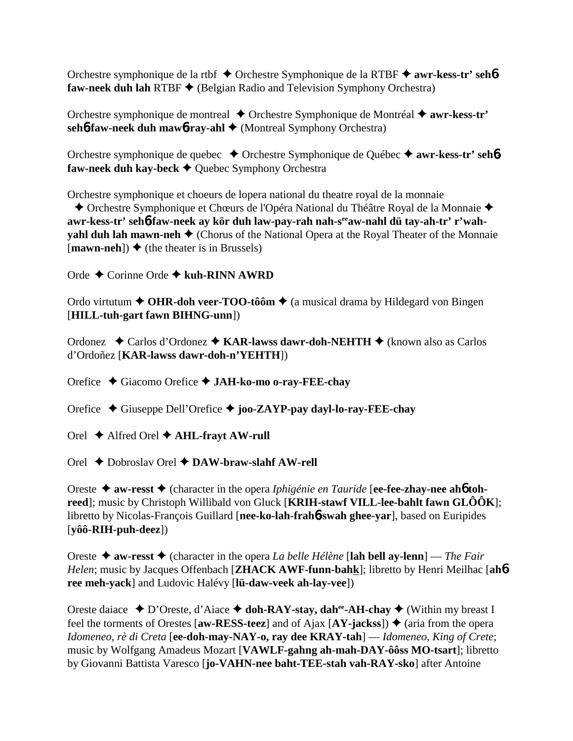Orchestre symphonique de la rtbf **→** Orchestre Symphonique de la RTBF → **awr-kess-tr' seh6 faw-neek duh lah RTBF ♦ (Belgian Radio and Television Symphony Orchestra)** 

Orchestre symphonique de montreal **→** Orchestre Symphonique de Montréal → **awr-kess-tr' seh6-faw-neek duh maw6-ray-ahl ♦** (Montreal Symphony Orchestra)

Orchestre symphonique de quebec **→** Orchestre Symphonique de Québec → **awr-kess-tr' seh6 faw-neek duh kay-beck ♦ Quebec Symphony Orchestra** 

Orchestre symphonique et choeurs de lopera national du theatre royal de la monnaie

 Orchestre Symphonique et Chœurs de l'Opéra National du Théâtre Royal de la Monnaie awr-kess-tr' seh<sub>0</sub>-faw-neek ay kör duh law-pay-rah nah-s<sup>ee</sup>aw-nahl dü tay-ah-tr' r'wah**yahl duh lah mawn-neh**  $\triangle$  (Chorus of the National Opera at the Royal Theater of the Monnaie  $[\text{mawn-neh}]$ )  $\blacklozenge$  (the theater is in Brussels)

Orde Corinne Orde **kuh-RINN AWRD**

Ordo virtutum **← OHR-doh veer-TOO-tôôm ←** (a musical drama by Hildegard von Bingen [**HILL-tuh-gart fawn BIHNG-unn**])

Ordonez ◆ Carlos d'Ordonez ◆ KAR-lawss dawr-doh-NEHTH ◆ (known also as Carlos d'Ordoñez [**KAR-lawss dawr-doh-n'YEHTH**])

Orefice Giacomo Orefice **JAH-ko-mo o-ray-FEE-chay**

Orefice Giuseppe Dell'Orefice **joo-ZAYP-pay dayl-lo-ray-FEE-chay**

Orel Alfred Orel **AHL-frayt AW-rull**

Orel Dobroslav Orel **DAW-braw-slahf AW-rell**

Oreste **→ aw-resst →** (character in the opera *Iphigénie en Tauride* [ee-fee-zhay-nee ah**6** toh**reed**]; music by Christoph Willibald von Gluck [**KRIH-stawf VILL-lee-bahlt fawn GLÔÔK**]; libretto by Nicolas-François Guillard [**nee-ko-lah-frah**6**-swah ghee-yar**], based on Euripides [**yôô-RIH-puh-deez**])

Oreste  $\triangle$  aw-resst  $\triangle$  (character in the opera *La belle Hélène* [lah bell ay-lenn] — *The Fair Helen*; music by Jacques Offenbach [**ZHACK AWF-funn-bahk**]; libretto by Henri Meilhac [**ah**6 **ree meh-yack**] and Ludovic Halévy [**lü-daw-veek ah-lay-vee**])

Oreste daiace **→** D'Oreste, d'Aiace **→ doh-RAY-stay, dah<sup>ee</sup>-AH-chay →** (Within my breast I feel the torments of Orestes  $\left[\text{aw-RESS-teez}\right]$  and of Ajax  $\left[\text{AY-iacks}\right]$ )  $\blacklozenge$  (aria from the opera *Idomeneo, rè di Creta* [**ee-doh-may-NAY-o, ray dee KRAY-tah**] — *Idomeneo, King of Crete*; music by Wolfgang Amadeus Mozart [**VAWLF-gahng ah-mah-DAY-ôôss MO-tsart**]; libretto by Giovanni Battista Varesco [**jo-VAHN-nee baht-TEE-stah vah-RAY-sko**] after Antoine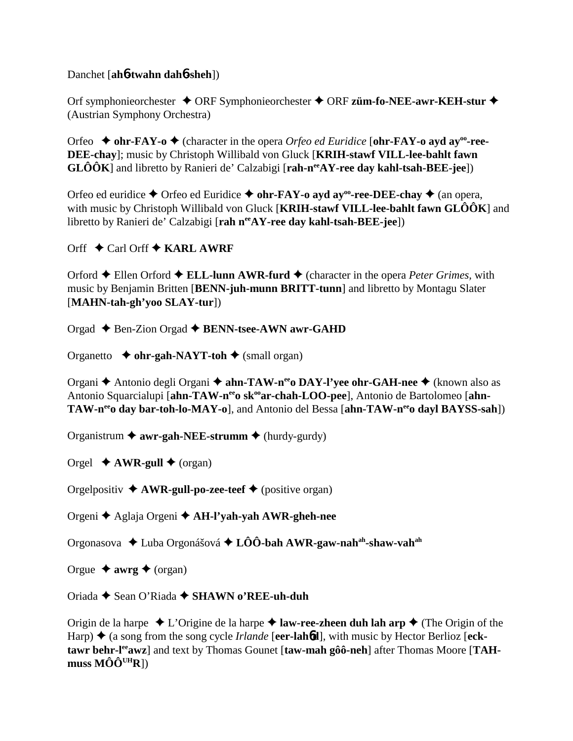### Danchet [**ah**6**-twahn dah**6**-sheh**])

Orf symphonieorchester **→** ORF Symphonieorchester ◆ ORF züm-fo-NEE-awr-KEH-stur ◆ (Austrian Symphony Orchestra)

Orfeo  $\blacklozenge$  ohr-FAY-o  $\blacklozenge$  (character in the opera *Orfeo ed Euridice* [ohr-FAY-o ayd ay<sup>oo</sup>-ree-**DEE-chay**]; music by Christoph Willibald von Gluck [**KRIH-stawf VILL-lee-bahlt fawn GLÔÔK**] and libretto by Ranieri de' Calzabigi [rah-n<sup>ee</sup>AY-ree day kahl-tsah-BEE-jee])

Orfeo ed euridice  $\triangle$  Orfeo ed Euridice  $\triangle$  ohr-FAY-o ayd ay<sup>oo</sup>-ree-DEE-chay  $\triangle$  (an opera, with music by Christoph Willibald von Gluck [**KRIH-stawf VILL-lee-bahlt fawn GLÔÔK**] and libretto by Ranieri de' Calzabigi [rah n<sup>ee</sup>AY-ree day kahl-tsah-BEE-jee])

Orff  $\div$  Carl Orff  $\div$  **KARL AWRF** 

Orford Ellen Orford **ELL-lunn AWR-furd** (character in the opera *Peter Grimes,* with music by Benjamin Britten [**BENN-juh-munn BRITT-tunn**] and libretto by Montagu Slater [**MAHN-tah-gh'yoo SLAY-tur**])

Orgad Ben-Zion Orgad **BENN-tsee-AWN awr-GAHD**

Organetto **↓ ohr-gah-NAYT-toh ◆** (small organ)

Organi **→** Antonio degli Organi → **ahn-TAW-n<sup>ee</sup>o DAY-l'yee ohr-GAH-nee** → (known also as Antonio Squarcialupi [ahn-TAW-n<sup>ee</sup>o sk<sup>oo</sup>ar-chah-LOO-pee], Antonio de Bartolomeo [ahn-**TAW-n<sup>ee</sup>o day bar-toh-lo-MAY-o**], and Antonio del Bessa [ahn-TAW-n<sup>ee</sup>o dayl BAYSS-sah])

Organistrum **awr-gah-NEE-strumm** (hurdy-gurdy)

Orgel  $\triangle$  **AWR-gull**  $\triangle$  (organ)

Orgelpositiv  $\triangle$  **AWR-gull-po-zee-teef**  $\triangle$  (positive organ)

Orgeni Aglaja Orgeni **AH-l'yah-yah AWR-gheh-nee**

Orgonasova Luba Orgonášová **LÔÔ-bah AWR-gaw-nahah-shaw-vahah**

Orgue  $\triangleq$  **awrg**  $\triangleq$  (organ)

Oriada Sean O'Riada **SHAWN o'REE-uh-duh**

Origin de la harpe  $\triangle$  L'Origine de la harpe  $\triangle$  **law-ree-zheen duh lah arp**  $\triangle$  (The Origin of the Harp)  $\triangle$  (a song from the song cycle *Irlande* [eer-lahbd], with music by Hector Berlioz [ecktawr behr-l<sup>ee</sup>awz] and text by Thomas Gounet [taw-mah gôô-neh] after Thomas Moore [TAH- ${\bf muss MÔÔ}^{\rm UHR}$ ])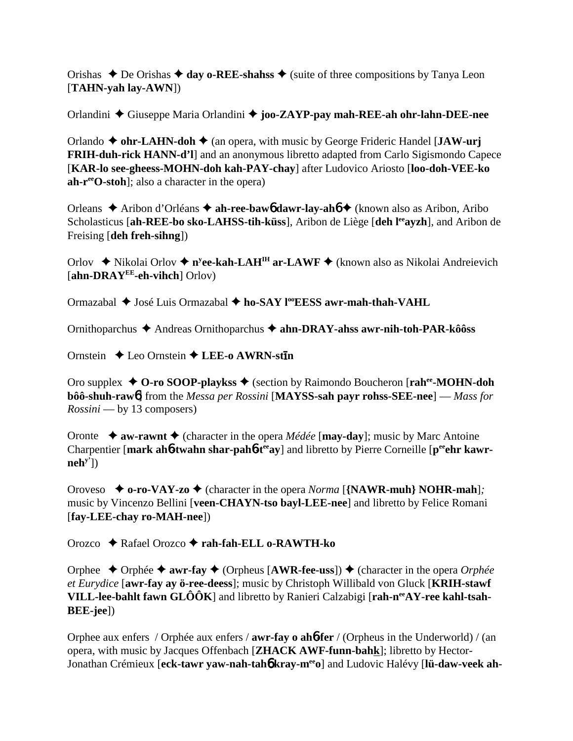Orishas  $\triangle$  De Orishas  $\triangle$  day o-REE-shahss  $\triangle$  (suite of three compositions by Tanya Leon [**TAHN-yah lay-AWN**])

Orlandini Giuseppe Maria Orlandini **joo-ZAYP-pay mah-REE-ah ohr-lahn-DEE-nee**

Orlando  $\blacklozenge$  ohr-LAHN-doh  $\blacklozenge$  (an opera, with music by George Frideric Handel [**JAW-urj FRIH-duh-rick HANN-d'l**] and an anonymous libretto adapted from Carlo Sigismondo Capece [**KAR-lo see-gheess-MOHN-doh kah-PAY-chay**] after Ludovico Ariosto [**loo-doh-VEE-ko ah-reeO-stoh**]; also a character in the opera)

Orleans Aribon d'Orléans **ah-ree-baw**6 **dawr-lay-ah**6 (known also as Aribon, Aribo Scholasticus [**ah-REE-bo sko-LAHSS-tih-küss**], Aribon de Liège [**deh l<sup>ee</sup>avzh**], and Aribon de Freising [**deh freh-sihng**])

Orlov ◆ Nikolai Orlov ◆ n<sup>y</sup>ee-kah-LAH<sup>IH</sup> ar-LAWF ◆ (known also as Nikolai Andreievich [**ahn-DRAYEE-eh-vihch**] Orlov)

Ormazabal **→** José Luis Ormazabal ◆ ho-SAY l<sup>oo</sup>EESS awr-mah-thah-VAHL

Ornithoparchus Andreas Ornithoparchus **ahn-DRAY-ahss awr-nih-toh-PAR-kôôss**

Ornstein ◆ Leo Ornstein ◆ LEE-o AWRN-st**in** 

Oro supplex ◆ **O-ro SOOP-playkss** ◆ (section by Raimondo Boucheron [**rah<sup>ee</sup>-MOHN-doh bôô-shuh-raw**6] from the *Messa per Rossini* [**MAYSS-sah payr rohss-SEE-nee**] — *Mass for Rossini* — by 13 composers)

Oronte  $\triangle$  **aw-rawnt**  $\triangle$  (character in the opera *Médée* [**may-day**]; music by Marc Antoine Charpentier [mark ah**6-twahn shar-pah6-t<sup>ee</sup>ay**] and libretto by Pierre Corneille [peen] kawr**nehy'**])

Oroveso  $\blacklozenge$  **o-ro-VAY-zo**  $\blacklozenge$  (character in the opera *Norma* [{**NAWR-muh**} **NOHR-mah**]*;* music by Vincenzo Bellini [**veen-CHAYN-tso bayl-LEE-nee**] and libretto by Felice Romani [**fay-LEE-chay ro-MAH-nee**])

Orozco Rafael Orozco **rah-fah-ELL o-RAWTH-ko**

Orphee ◆ Orphée ◆ awr-fay ◆ (Orpheus [AWR-fee-uss]) ◆ (character in the opera *Orphée et Eurydice* [**awr-fay ay ö-ree-deess**]; music by Christoph Willibald von Gluck [**KRIH-stawf VILL-lee-bahlt fawn GLÔÔK**] and libretto by Ranieri Calzabigi [rah-n<sup>ee</sup>AY-ree kahl-tsah-**BEE-jee**])

Orphee aux enfers / Orphée aux enfers / **awr-fay o ah**6**-fer** / (Orpheus in the Underworld) / (an opera, with music by Jacques Offenbach [**ZHACK AWF-funn-bahk**]; libretto by Hector-Jonathan Crémieux [**eck-tawr yaw-nah-tah**6 **kray-meeo**] and Ludovic Halévy [**lü-daw-veek ah-**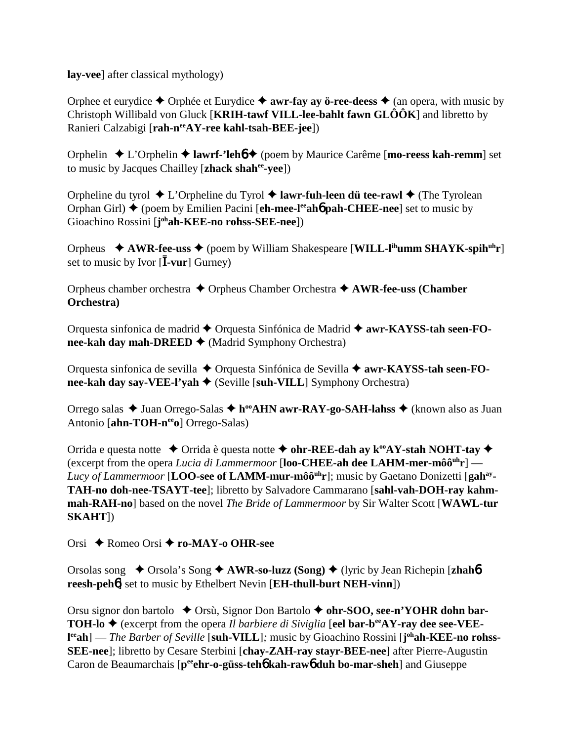lay-veel after classical mythology)

Orphee et eurydice  $\triangle$  Orphée et Eurydice  $\triangle$  awr-fay ay ö-ree-deess  $\triangle$  (an opera, with music by Christoph Willibald von Gluck [KRIH-tawf VILL-lee-bahlt fawn  $GL\hat{O} \hat{O} K$ ] and libretto by Ranieri Calzabigi [rah-nee AY-ree kahl-tsah-BEE-jee])

Orphelin  $\triangle$  L'Orphelin  $\triangle$  lawrf-'leho  $\triangle$  (poem by Maurice Carême [mo-reess kah-remm] set to music by Jacques Chailley [zhack shahee-yee])

Orpheline du tyrol  $\triangle$  L'Orpheline du Tyrol  $\triangle$  lawr-fuh-leen dü tee-rawl  $\triangle$  (The Tyrolean Orphan Girl)  $\blacklozenge$  (poem by Emilien Pacini [eh-mee-l<sup>ee</sup> aho pah-CHEE-nee] set to music by Gioachino Rossini [johah-KEE-no rohss-SEE-nee])

Orpheus  $\triangleq$  AWR-fee-uss  $\triangleq$  (poem by William Shakespeare [WILL-I<sup>th</sup>umm SHAYK-spih<sup>uh</sup>r] set to music by Ivor  $[\bar{I}$ -vur] Gurney)

Orpheus chamber orchestra  $\triangle$  Orpheus Chamber Orchestra  $\triangle$  AWR-fee-uss (Chamber Orchestra)

Orquesta sinfonica de madrid ◆ Orquesta Sinfónica de Madrid ◆ awr-KAYSS-tah seen-FOnee-kah day mah-DREED  $\blacklozenge$  (Madrid Symphony Orchestra)

Orquesta sinfonica de sevilla ◆ Orquesta Sinfónica de Sevilla ◆ awr-KAYSS-tah seen-FOnee-kah day say-VEE-l'vah  $\triangle$  (Seville [suh-VILL] Symphony Orchestra)

Orrego salas ◆ Juan Orrego-Salas ◆ h<sup>oo</sup>AHN awr-RAY-go-SAH-lahss ◆ (known also as Juan Antonio [ahn-TOH-nee o] Orrego-Salas)

Orrida e questa notte  $\triangle$  Orrida è questa notte  $\triangle$  ohr-REE-dah ay k<sup>oo</sup>AY-stah NOHT-tay  $\triangle$ (excerpt from the opera Lucia di Lammermoor [loo-CHEE-ah dee LAHM-mer-môô<sup>uh</sup>r] — Lucy of Lammermoor [LOO-see of LAMM-mur-môô<sup>uh</sup>r]; music by Gaetano Donizetti [gah<sup>ay</sup>-TAH-no doh-nee-TSAYT-tee]; libretto by Salvadore Cammarano [sahl-vah-DOH-rav kahmmah-RAH-no] based on the novel The Bride of Lammermoor by Sir Walter Scott [WAWL-tur  $SKAHT$ ])

Orsi  $\triangle$  Romeo Orsi  $\triangle$  ro-MAY-o OHR-see

Orsolas song  $\rightarrow$  Orsola's Song  $\rightarrow$  AWR-so-luzz (Song)  $\rightarrow$  (lyric by Jean Richepin [zhahb] reesh-peh<sup>6</sup> set to music by Ethelbert Nevin [EH-thull-burt NEH-vinn])

Orsu signor don bartolo  $\triangle$  Orsù, Signor Don Bartolo  $\triangle$  ohr-SOO, see-n'YOHR dohn bar-**TOH-lo**  $\blacklozenge$  (excerpt from the opera *Il barbiere di Siviglia* [eel bar-b<sup>ee</sup>AY-ray dee see-VEE- $I^{\text{ee}}$ ah] — *The Barber of Seville* [suh-VILL]; music by Gioachino Rossini [ $j^{\text{oh}}$ ah-KEE-no rohss-SEE-nee]; libretto by Cesare Sterbini [chay-ZAH-ray stayr-BEE-nee] after Pierre-Augustin Caron de Beaumarchais [p<sup>ee</sup>ehr-o-güss-teho kah-rawo duh bo-mar-sheh] and Giuseppe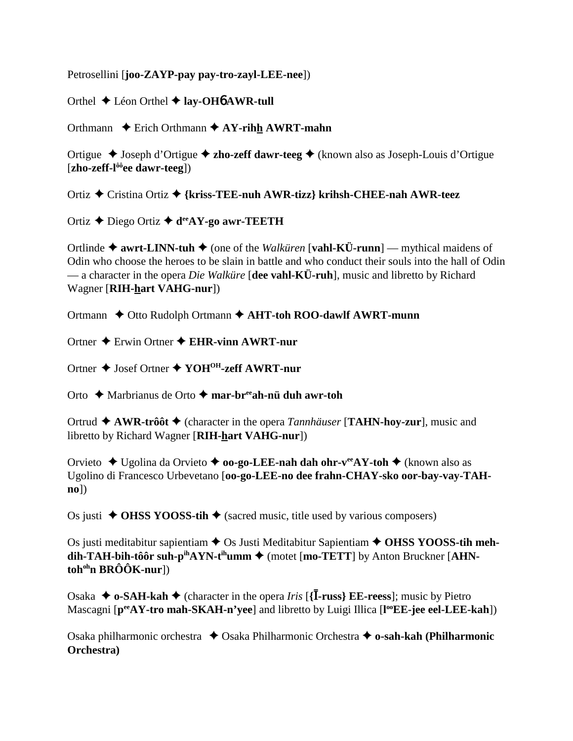Petrosellini [**joo-ZAYP-pay pay-tro-zayl-LEE-nee**])

Orthel Léon Orthel **lay-OH**6 **AWR-tull**

Orthmann **←** Erich Orthmann ← AY-rihh AWRT-mahn

Ortigue Joseph d'Ortigue **zho-zeff dawr-teeg** (known also as Joseph-Louis d'Ortigue [**zho-zeff-lôôee dawr-teeg**])

Ortiz Cristina Ortiz **{kriss-TEE-nuh AWR-tizz} krihsh-CHEE-nah AWR-teez**

Ortiz Diego Ortiz **deeAY-go awr-TEETH**

Ortlinde  $\triangle$  awrt-LINN-tuh  $\triangle$  (one of the *Walküren* [vahl-KÜ-runn] — mythical maidens of Odin who choose the heroes to be slain in battle and who conduct their souls into the hall of Odin — a character in the opera *Die Walküre* [**dee vahl-KÜ-ruh**], music and libretto by Richard Wagner [**RIH-hart VAHG-nur**])

Ortmann **←** Otto Rudolph Ortmann ← AHT-toh ROO-dawlf AWRT-munn

Ortner Erwin Ortner **EHR-vinn AWRT-nur**

Ortner Josef Ortner **YOHOH-zeff AWRT-nur**

Orto Marbrianus de Orto **mar-breeah-nü duh awr-toh**

Ortrud  $\triangle$  AWR-trôôt  $\triangle$  (character in the opera *Tannhäuser* [TAHN-hoy-zur], music and libretto by Richard Wagner [**RIH-hart VAHG-nur**])

Orvieto Ugolina da Orvieto **oo-go-LEE-nah dah ohr-veeAY-toh** (known also as Ugolino di Francesco Urbevetano [**oo-go-LEE-no dee frahn-CHAY-sko oor-bay-vay-TAHno**])

Os justi  $\triangle$  **OHSS YOOSS-tih**  $\triangle$  (sacred music, title used by various composers)

Os justi meditabitur sapientiam **→** Os Justi Meditabitur Sapientiam ◆ OHSS YOOSS-tih meh- $\text{d}$ **ih-TAH-bih-tôôr suh-p<sup>ih</sup>AYN-t<sup>ih</sup>umm**  $\blacklozenge$  **(motet [mo-TETT] by Anton Bruckner [AHNtohohn BRÔÔK-nur**])

Osaka  $\blacklozenge$  **o-SAH-kah**  $\blacklozenge$  (character in the opera *Iris* [{**I-russ**} **EE-reess**]; music by Pietro Mascagni [**peeAY-tro mah-SKAH-n'yee**] and libretto by Luigi Illica [**l ooEE-jee eel-LEE-kah**])

Osaka philharmonic orchestra **→** Osaka Philharmonic Orchestra **→ o-sah-kah (Philharmonic Orchestra)**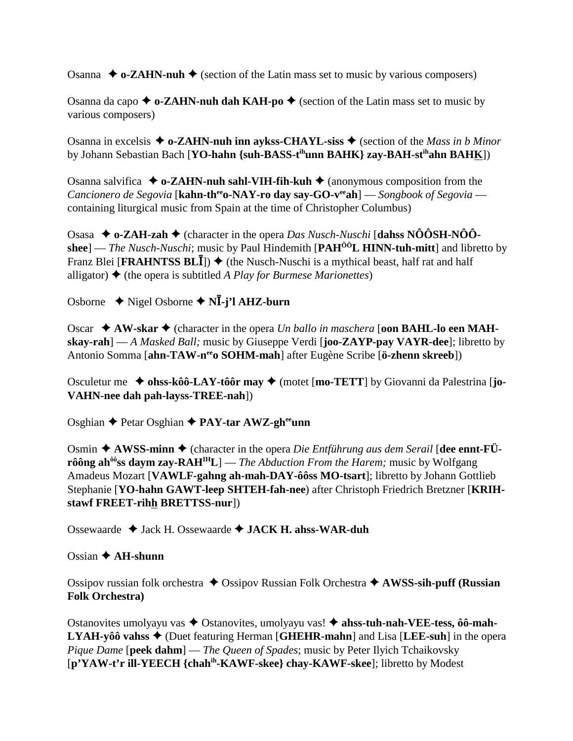Osanna  $\triangle$  o-ZAHN-nuh  $\triangle$  (section of the Latin mass set to music by various composers)

Osanna da capo  $\triangle$  o-ZAHN-nuh dah KAH-po  $\triangle$  (section of the Latin mass set to music by various composers)

Osanna in excelsis  $\triangle$  o-ZAHN-nuh inn aykss-CHAYL-siss  $\triangle$  (section of the *Mass in b Minor* by Johann Sebastian Bach [**YO-hahn {suh-BASS-tihunn BAHK} zay-BAH-stihahn BAHK**])

Osanna salvifica  $\triangleq$  o-ZAHN-nuh sahl-VIH-fih-kuh  $\triangleq$  (anonymous composition from the *Cancionero de Segovia* [**kahn-th<sup>ee</sup>o-NAY-ro day say-GO-v<sup>ee</sup>ah**] — *Songbook of Segovia* containing liturgical music from Spain at the time of Christopher Columbus)

Osasa **o-ZAH-zah** (character in the opera *Das Nusch-Nuschi* [**dahss NÔÔSH-NÔÔshee**] — *The Nusch-Nuschi*; music by Paul Hindemith [**PAHÔÔL HINN-tuh-mitt**] and libretto by Franz Blei [**FRAHNTSS BLI**])  $\blacklozenge$  (the Nusch-Nuschi is a mythical beast, half rat and half alligator)  $\triangle$  (the opera is subtitled *A Play for Burmese Marionettes*)

Osborne  $\rightarrow$  Nigel Osborne  $\rightarrow$  N**I**-j'l AHZ-burn

Oscar  $\triangle$  AW-skar  $\triangle$  (character in the opera *Un ballo in maschera* **[oon BAHL-lo een MAHskay-rah**] — *A Masked Ball;* music by Giuseppe Verdi [**joo-ZAYP-pay VAYR-dee**]; libretto by Antonio Somma [**ahn-TAW-neeo SOHM-mah**] after Eugène Scribe [**ö-zhenn skreeb**])

Osculetur me **→ ohss-kôô-LAY-tôôr may →** (motet [**mo-TETT**] by Giovanni da Palestrina [**jo-VAHN-nee dah pah-layss-TREE-nah**])

Osghian Petar Osghian **PAY-tar AWZ-gheeunn**

Osmin  $\triangle$  AWSS-minn  $\triangle$  (character in the opera *Die Entführung aus dem Serail* [dee ennt-FÜ**rôông ah<sup>ôô</sup>ss daym zay-RAH<sup>IH</sup>L**] — *The Abduction From the Harem;* music by Wolfgang Amadeus Mozart [**VAWLF-gahng ah-mah-DAY-ôôss MO-tsart**]; libretto by Johann Gottlieb Stephanie [**YO-hahn GAWT-leep SHTEH-fah-nee**) after Christoph Friedrich Bretzner [**KRIHstawf FREET-rihh BRETTSS-nur**])

Ossewaarde Jack H. Ossewaarde **JACK H. ahss-WAR-duh**

Ossian **AH-shunn**

Ossipov russian folk orchestra **→** Ossipov Russian Folk Orchestra → **AWSS-sih-puff (Russian Folk Orchestra)**

Ostanovites umolyayu vas ◆ Ostanovites, umolyayu vas! ◆ ahss-tuh-nah-VEE-tess, ôô-mah-**LYAH-yôô vahss** (Duet featuring Herman [**GHEHR-mahn**] and Lisa [**LEE-suh**] in the opera *Pique Dame* [**peek dahm**] — *The Queen of Spades*; music by Peter Ilyich Tchaikovsky [**p'YAW-t'r ill-YEECH {chahih-KAWF-skee} chay-KAWF-skee**]; libretto by Modest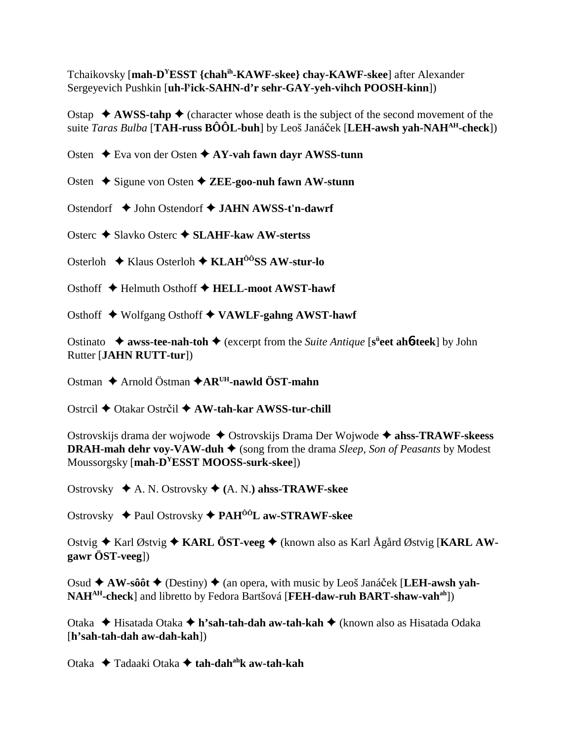Tchaikovsky [mah-D<sup>Y</sup>ESST {chah<sup>ih</sup>-KAWF-skee} chay-KAWF-skee] after Alexander Sergeyevich Pushkin [uh-l<sup>y</sup>ick-SAHN-d'r sehr-GAY-yeh-vihch POOSH-kinn])

Ostap  $\triangle$  AWSS-tahp  $\triangle$  (character whose death is the subject of the second movement of the suite Taras Bulba [TAH-russ  $\angle B\angle O\angle L$ -buh] by Leoš Janáček [LEH-awsh yah-NAH<sup>AH</sup>-check])

Osten  $\div$  Eva von der Osten  $\div$  AY-vah fawn dayr AWSS-tunn

Osten  $\triangle$  Sigune von Osten  $\triangle$  ZEE-goo-nuh fawn AW-stunn

Ostendorf  $\rightarrow$  John Ostendorf  $\rightarrow$  JAHN AWSS-t'n-dawrf

Osterc  $\triangle$  Slavko Osterc  $\triangle$  SLAHF-kaw AW-stertss

Osterloh  $\triangle$  Klaus Osterloh  $\triangle$  KLAH<sup> $\hat{o}$ ôSS AW-stur-lo</sup>

Osthoff ◆ Helmuth Osthoff ◆ HELL-moot AWST-hawf

Osthoff ◆ Wolfgang Osthoff ◆ VAWLF-gahng AWST-hawf

Ostinato  $\rightarrow$  awss-tee-nah-toh  $\rightarrow$  (excerpt from the Suite Antique [s<sup>ii</sup>eet ah**6-teek**] by John Rutter [JAHN RUTT-tur])

Ostman  $\triangle$  Arnold Östman  $\triangle$ AR<sup>UH</sup>-nawld ÖST-mahn

Ostrcil ◆ Otakar Ostrčil ◆ AW-tah-kar AWSS-tur-chill

Ostrovskijs drama der wojwode ◆ Ostrovskijs Drama Der Wojwode ◆ ahss-TRAWF-skeess **DRAH-mah dehr voy-VAW-duh**  $\triangleq$  (song from the drama *Sleep, Son of Peasants* by Modest Moussorgsky [mah-D<sup>Y</sup>ESST MOOSS-surk-skee])

Ostrovsky  $\triangleleft$  A. N. Ostrovsky  $\triangleleft$  (A. N.) ahss-TRAWF-skee

Ostrovsky ◆ Paul Ostrovsky ◆ PAH<sup>ôô</sup>L aw-STRAWF-skee

Ostvig  $\triangle$  Karl Østvig  $\triangle$  KARL ÖST-veeg  $\triangle$  (known also as Karl Ågård Østvig [KARL AW $gawr$  ÖST-veeg])

Osud  $\triangle$  AW-sôôt  $\triangle$  (Destiny)  $\triangle$  (an opera, with music by Leoš Janáček [LEH-awsh yah-NAH<sup>AH</sup>-check] and libretto by Fedora Bartšová [FEH-daw-ruh BART-shaw-vah<sup>ah</sup>])

Otaka → Hisatada Otaka → h'sah-tah-dah aw-tah-kah → (known also as Hisatada Odaka  $[h'sah-tah-dah aw-dah-kah]$ 

Otaka  $\triangle$  Tadaaki Otaka  $\triangle$  tah-dah<sup>ah</sup>k aw-tah-kah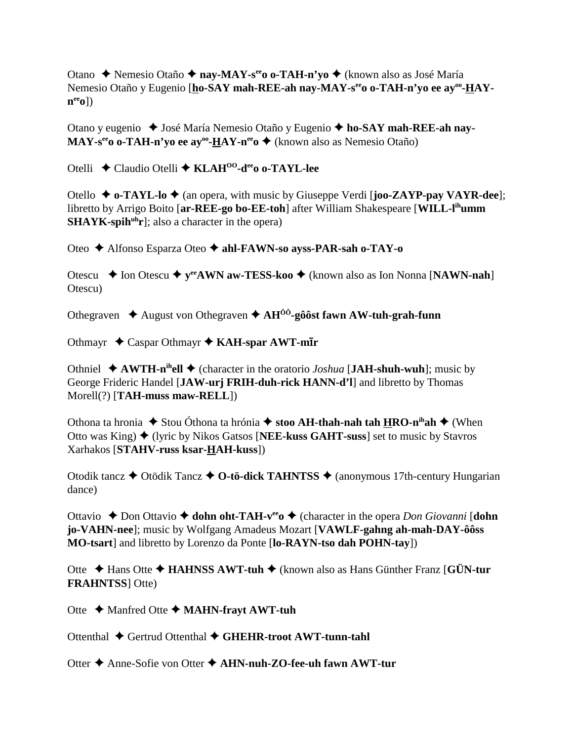Otano ◆ Nemesio Otaño ◆ nay-MAY-s<sup>ee</sup> o o-TAH-n'yo ◆ (known also as José María Nemesio Otaño y Eugenio [ho-SAY mah-REE-ah nay-MAY-s<sup>ee</sup>o o-TAH-n'yo ee ay<sup>oo</sup>-HAY- $\mathbf{n}^{\text{ee}}$ 0])

Otano y eugenio ◆ José María Nemesio Otaño y Eugenio ◆ ho-SAY mah-REE-ah nay- $\mathbf{MAY}\text{-}\mathbf{s}^{\text{ee}}\text{o}\text{-} \mathbf{TAH}\text{-}\mathbf{n}'\text{yo}\text{ ee}\text{ ay}^{\text{oo}}\text{-}\mathbf{HAY}\text{-}\mathbf{n}^{\text{ee}}\text{o}$   $\blacklozenge$  (known also as Nemesio Otaño)

Otelli ◆ Claudio Otelli ◆ KLAH<sup>00</sup>-d<sup>ee</sup> oo-TAYL-lee

Otello  $\triangle$  o-TAYL-lo  $\triangle$  (an opera, with music by Giuseppe Verdi [joo-ZAYP-pay VAYR-dee]; libretto by Arrigo Boito [ar-REE-go bo-EE-toh] after William Shakespeare [WILL-l<sup>ih</sup>umm]  $SHAYK-spin<sup>uh</sup>r$ ; also a character in the opera)

Oteo ◆ Alfonso Esparza Oteo ◆ ahl-FAWN-so ayss-PAR-sah o-TAY-o

Otescu  $\div$  Ion Otescu  $\div$  y<sup>ee</sup> AWN aw-TESS-koo  $\div$  (known also as Ion Nonna [NAWN-nah] Otescu)

Othegraven  $\triangle$  August von Othegraven  $\triangle$  AH<sup>00</sup>-gôôst fawn AW-tuh-grah-funn

Othmayr  $\triangle$  Caspar Othmayr  $\triangle$  KAH-spar AWT-mIr

Othniel  $\triangle$  AWTH-n<sup>ih</sup>ell  $\triangle$  (character in the oratorio *Joshua* [JAH-shuh-wuh]; music by George Frideric Handel [JAW-urj FRIH-duh-rick HANN-d'l] and libretto by Thomas  $Morell(?)$  [TAH-muss maw-RELL])

Othona ta hronia  $\triangle$  Stou Óthona ta hrónia  $\triangle$  stoo AH-thah-nah tah HRO-n<sup>ih</sup>ah  $\triangle$  (When Otto was King  $\bullet$  (lyric by Nikos Gatsos [NEE-kuss GAHT-suss] set to music by Stavros Xarhakos [STAHV-russ ksar-HAH-kuss])

Otodik tancz  $\triangle$  Otödik Tancz  $\triangle$  O-tö-dick TAHNTSS  $\triangle$  (anonymous 17th-century Hungarian dance)

Ottavio  $\triangle$  Don Ottavio  $\triangle$  dohn oht-TAH- $v^{ee}$   $\triangle$  (character in the opera *Don Giovanni* [dohn jo-VAHN-nee]; music by Wolfgang Amadeus Mozart [VAWLF-gahng ah-mah-DAY-ôôss MO-tsart] and libretto by Lorenzo da Ponte [lo-RAYN-tso dah POHN-tay])

Otte  $\triangle$  Hans Otte  $\triangle$  HAHNSS AWT-tuh  $\triangle$  (known also as Hans Günther Franz [GÜN-tur] **FRAHNTSS**] Otte)

Otte  $\triangle$  Manfred Otte  $\triangle$  MAHN-frayt AWT-tuh

Ottenthal ♦ Gertrud Ottenthal ♦ GHEHR-troot AWT-tunn-tahl

Otter ♦ Anne-Sofie von Otter ♦ AHN-nuh-ZO-fee-uh fawn AWT-tur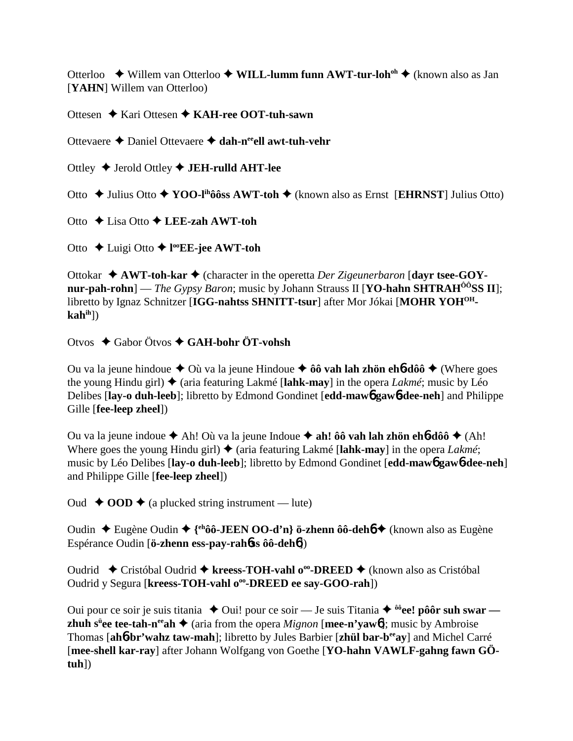Otterloo **→** Willem van Otterloo ◆ WILL-lumm funn AWT-tur-loh<sup>oh</sup> ◆ (known also as Jan [**YAHN**] Willem van Otterloo)

Ottesen **→ Kari Ottesen → KAH-ree OOT-tuh-sawn** 

Ottevaere Daniel Ottevaere **dah-neeell awt-tuh-vehr**

Ottley Jerold Ottley **JEH-rulld AHT-lee**

Otto Julius Otto **YOO-lihôôss AWT-toh** (known also as Ernst [**EHRNST**] Julius Otto)

Otto Lisa Otto **LEE-zah AWT-toh**

Otto Luigi Otto **l ooEE-jee AWT-toh**

Ottokar **→ AWT-toh-kar** ◆ (character in the operetta *Der Zigeunerbaron* [dayr tsee-GOY**nur-pah-rohn**] — *The Gypsy Baron*; music by Johann Strauss II [**YO-hahn SHTRAH<sup>00</sup>SS II**]; libretto by Ignaz Schnitzer [**IGG-nahtss SHNITT-tsur**] after Mor Jókai [**MOHR YOHOHkahih**])

Otvos Gabor Ötvos **GAH-bohr ÖT-vohsh**

Ou va la jeune hindoue  $\triangle$  Où va la jeune Hindoue  $\triangle$  ôô vah lah zhön eh**6-dôô**  $\triangle$  (Where goes the young Hindu girl)  $\triangleq$  (aria featuring Lakmé [lahk-may] in the opera *Lakmé*; music by Léo Delibes [**lay-o duh-leeb**]; libretto by Edmond Gondinet [**edd-maw**6 **gaw**6**-dee-neh**] and Philippe Gille [**fee-leep zheel**])

Ou va la jeune indoue  $\triangle$  Ah! Où va la jeune Indoue  $\triangle$  ah! ôô vah lah zhön eh**6-d**ôô  $\triangle$  (Ah! Where goes the young Hindu girl)  $\triangle$  (aria featuring Lakmé [lahk-may] in the opera *Lakmé*; music by Léo Delibes [**lay-o duh-leeb**]; libretto by Edmond Gondinet [**edd-maw**6 **gaw**6**-dee-neh**] and Philippe Gille [**fee-leep zheel**])

Oud **← OOD** ← (a plucked string instrument — lute)

Oudin Eugène Oudin **{ehôô-JEEN OO-d'n} ö-zhenn ôô-deh**6 (known also as Eugène Espérance Oudin [**ö-zhenn ess-pay-rah**6**ss ôô-deh**6])

Oudrid Cristóbal Oudrid **kreess-TOH-vahl ooo-DREED** (known also as Cristóbal Oudrid y Segura [kreess-TOH-vahl o<sup>oo</sup>-DREED ee say-GOO-rah])

Oui pour ce soir je suis titania **→** Oui! pour ce soir — Je suis Titania ◆ <sup>ôô</sup>ee! pôôr suh swar **zhuh s<sup>ü</sup>ee tee-tah-n<sup>ee</sup>ah ◆** (aria from the opera *Mignon* [**mee-n'yaw6**]; music by Ambroise Thomas [**ah**6**-br'wahz taw-mah**]; libretto by Jules Barbier [**zhül bar-beeay**] and Michel Carré [mee-shell kar-ray] after Johann Wolfgang von Goethe [YO-hahn VAWLF-gahng fawn GÖ**tuh**])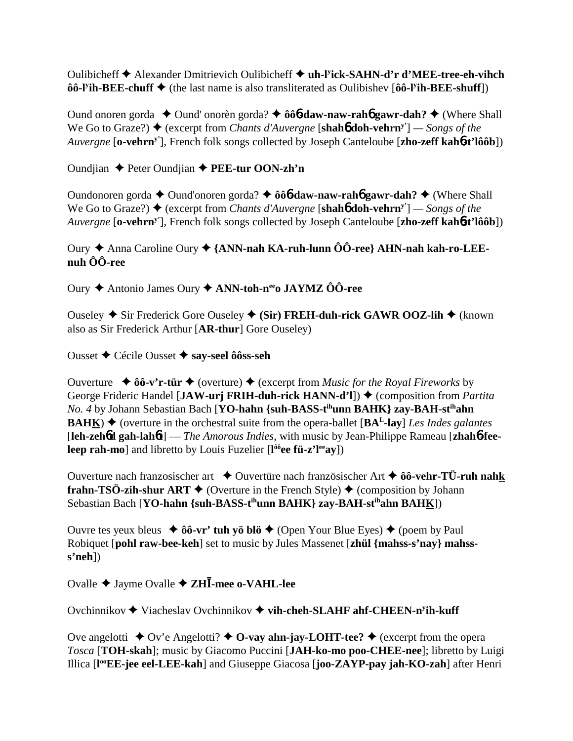Oulibicheff Alexander Dmitrievich Oulibicheff **uh-ly ick-SAHN-d'r d'MEE-tree-eh-vihch ôô-l<sup>y</sup>ih-BEE-chuff ◆** (the last name is also transliterated as Oulibishev [ôô-l<sup>y</sup>ih-BEE-shuff])

Ound onoren gorda ◆ Ound' onorèn gorda? ◆ ôô**6-daw-naw-rah6 gawr-dah?** ◆ (Where Shall We Go to Graze?) ♦ (excerpt from *Chants d'Auvergne* [**shahb doh-vehrn**<sup>y'</sup>] — Songs of the *Auvergne* [**o-vehrny'**], French folk songs collected by Joseph Canteloube [**zho-zeff kah**6**-t'lôôb**])

Oundjian Peter Oundjian **PEE-tur OON-zh'n**

Oundonoren gorda **←** Ound'onoren gorda? ← ôô**6-daw-naw-rah6 gawr-dah?** ← (Where Shall We Go to Graze?)  $\triangleq$  (excerpt from *Chants d'Auvergne* [shah**6** doh-vehrn<sup>y'</sup>] — *Songs of the Auvergne* [**o-vehrny'**], French folk songs collected by Joseph Canteloube [**zho-zeff kah**6**-t'lôôb**])

## Oury Anna Caroline Oury **{ANN-nah KA-ruh-lunn ÔÔ-ree} AHN-nah kah-ro-LEEnuh ÔÔ-ree**

Oury Antonio James Oury **ANN-toh-neeo JAYMZ ÔÔ-ree**

Ouseley ◆ Sir Frederick Gore Ouseley ◆ (Sir) FREH-duh-rick GAWR OOZ-lih ◆ (known also as Sir Frederick Arthur [**AR-thur**] Gore Ouseley)

Ousset Cécile Ousset **say-seel ôôss-seh**

Ouverture  $\rightarrow 0$ <sup>o</sup>-v'r-tür  $\rightarrow$  (overture)  $\rightarrow$  (excerpt from *Music for the Royal Fireworks* by George Frideric Handel [JAW-urj FRIH-duh-rick HANN-d'l])  $\triangleq$  (composition from *Partita No. 4* by Johann Sebastian Bach [**YO-hahn {suh-BASS-tihunn BAHK} zay-BAH-stihahn BAHK**)  $\blacklozenge$  (overture in the orchestral suite from the opera-ballet [ $BA<sup>L</sup>$ -lay] *Les Indes galantes* [**leh-zeh**6**d gah-lah**6**t**] — *The Amorous Indies*, with music by Jean-Philippe Rameau [**zhah**6**-feeleep rah-mo**] and libretto by Louis Fuzelier [l<sup>ôô</sup>ee fü-z'l<sup>ee</sup>ay])

Ouverture nach franzosischer art  $\triangle$  Ouvertüre nach französischer Art  $\triangle$  ôô-vehr-TÜ-ruh nahk **frahn-TSÖ-zih-shur ART**  $\blacklozenge$  (Overture in the French Style)  $\blacklozenge$  (composition by Johann Sebastian Bach [**YO-hahn {suh-BASS-tihunn BAHK} zay-BAH-stihahn BAHK**])

Ouvre tes yeux bleus  $\rightarrow 0$ **ô-vr' tuh yö blö**  $\rightarrow$  (Open Your Blue Eyes)  $\rightarrow$  (poem by Paul Robiquet [**pohl raw-bee-keh**] set to music by Jules Massenet [**zhül {mahss-s'nay} mahsss'neh**])

Ovalle Jayme Ovalle **ZH-mee o-VAHL-lee**

Ovchinnikov ◆ Viacheslav Ovchinnikov ◆ vih-cheh-SLAHF ahf-CHEEN-n<sup>y</sup>ih-kuff

Ove angelotti  $\blacklozenge$  Ov'e Angelotti?  $\blacklozenge$  O-vay ahn-jay-LOHT-tee?  $\blacklozenge$  (excerpt from the opera *Tosca* [**TOH-skah**]; music by Giacomo Puccini [**JAH-ko-mo poo-CHEE-nee**]; libretto by Luigi Illica [**l ooEE-jee eel-LEE-kah**] and Giuseppe Giacosa [**joo-ZAYP-pay jah-KO-zah**] after Henri